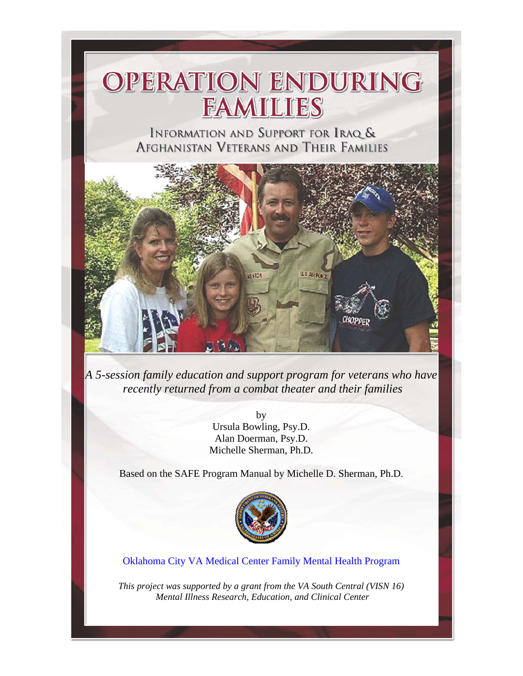

*A 5-session family education and support program for veterans who have recently returned from a combat theater and their families* 

> by Ursula Bowling, Psy.D. Alan Doerman, Psy.D. Michelle Sherman, Ph.D.

Based on the SAFE Program Manual by Michelle D. Sherman, Ph.D.



Oklahoma City VA Medical Center Family Mental Health Program

*This project was supported by a grant from the VA South Central (VISN 16) Mental Illness Research, Education, and Clinical Center*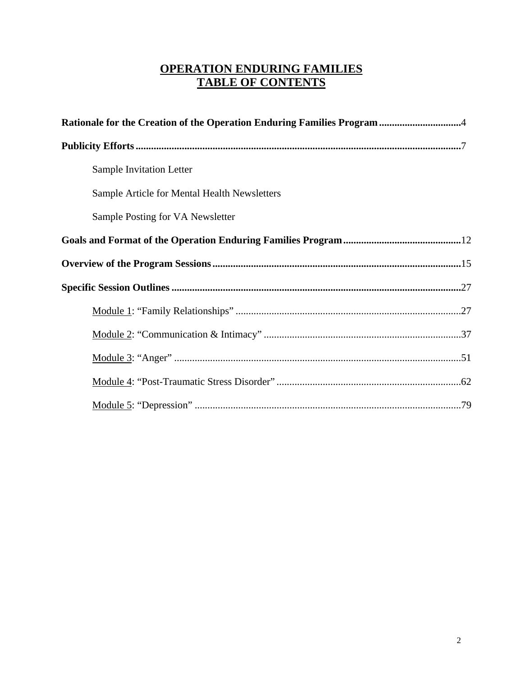### **OPERATION ENDURING FAMILIES TABLE OF CONTENTS**

| Rationale for the Creation of the Operation Enduring Families Program 4 |  |  |  |  |
|-------------------------------------------------------------------------|--|--|--|--|
|                                                                         |  |  |  |  |
| Sample Invitation Letter                                                |  |  |  |  |
| Sample Article for Mental Health Newsletters                            |  |  |  |  |
| Sample Posting for VA Newsletter                                        |  |  |  |  |
|                                                                         |  |  |  |  |
|                                                                         |  |  |  |  |
|                                                                         |  |  |  |  |
|                                                                         |  |  |  |  |
|                                                                         |  |  |  |  |
|                                                                         |  |  |  |  |
|                                                                         |  |  |  |  |
|                                                                         |  |  |  |  |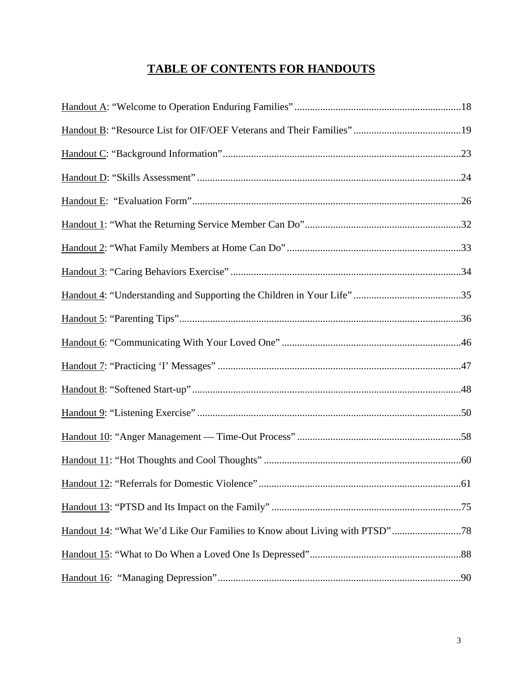## **TABLE OF CONTENTS FOR HANDOUTS**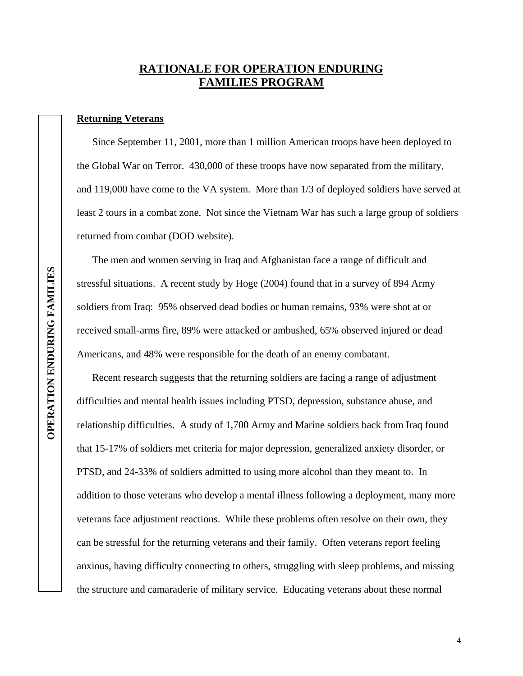### **RATIONALE FOR OPERATION ENDURING FAMILIES PROGRAM**

#### **Returning Veterans**

 Since September 11, 2001, more than 1 million American troops have been deployed to the Global War on Terror. 430,000 of these troops have now separated from the military, and 119,000 have come to the VA system. More than 1/3 of deployed soldiers have served at least 2 tours in a combat zone. Not since the Vietnam War has such a large group of soldiers returned from combat (DOD website).

 The men and women serving in Iraq and Afghanistan face a range of difficult and stressful situations. A recent study by Hoge (2004) found that in a survey of 894 Army soldiers from Iraq: 95% observed dead bodies or human remains, 93% were shot at or received small-arms fire, 89% were attacked or ambushed, 65% observed injured or dead Americans, and 48% were responsible for the death of an enemy combatant.

 Recent research suggests that the returning soldiers are facing a range of adjustment difficulties and mental health issues including PTSD, depression, substance abuse, and relationship difficulties. A study of 1,700 Army and Marine soldiers back from Iraq found that 15-17% of soldiers met criteria for major depression, generalized anxiety disorder, or PTSD, and 24-33% of soldiers admitted to using more alcohol than they meant to. In addition to those veterans who develop a mental illness following a deployment, many more veterans face adjustment reactions. While these problems often resolve on their own, they can be stressful for the returning veterans and their family. Often veterans report feeling anxious, having difficulty connecting to others, struggling with sleep problems, and missing the structure and camaraderie of military service. Educating veterans about these normal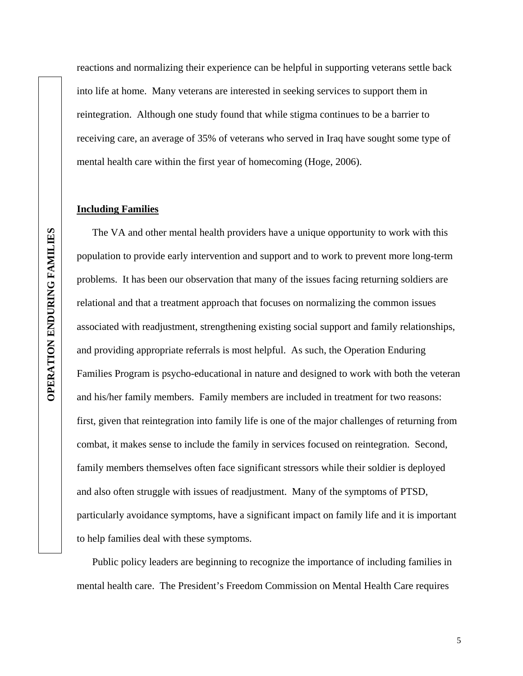reactions and normalizing their experience can be helpful in supporting veterans settle back into life at home. Many veterans are interested in seeking services to support them in reintegration. Although one study found that while stigma continues to be a barrier to receiving care, an average of 35% of veterans who served in Iraq have sought some type of mental health care within the first year of homecoming (Hoge, 2006).

#### **Including Families**

 The VA and other mental health providers have a unique opportunity to work with this population to provide early intervention and support and to work to prevent more long-term problems. It has been our observation that many of the issues facing returning soldiers are relational and that a treatment approach that focuses on normalizing the common issues associated with readjustment, strengthening existing social support and family relationships, and providing appropriate referrals is most helpful. As such, the Operation Enduring Families Program is psycho-educational in nature and designed to work with both the veteran and his/her family members. Family members are included in treatment for two reasons: first, given that reintegration into family life is one of the major challenges of returning from combat, it makes sense to include the family in services focused on reintegration. Second, family members themselves often face significant stressors while their soldier is deployed and also often struggle with issues of readjustment. Many of the symptoms of PTSD, particularly avoidance symptoms, have a significant impact on family life and it is important to help families deal with these symptoms.

 Public policy leaders are beginning to recognize the importance of including families in mental health care. The President's Freedom Commission on Mental Health Care requires

5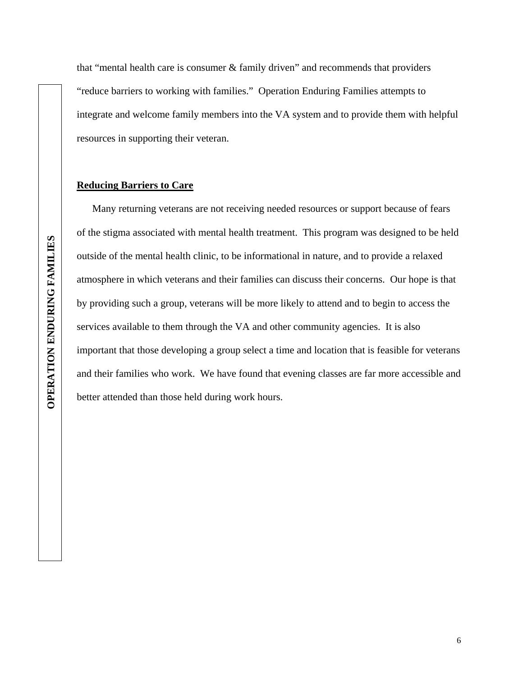that "mental health care is consumer & family driven" and recommends that providers "reduce barriers to working with families." Operation Enduring Families attempts to integrate and welcome family members into the VA system and to provide them with helpful resources in supporting their veteran.

#### **Reducing Barriers to Care**

 Many returning veterans are not receiving needed resources or support because of fears of the stigma associated with mental health treatment. This program was designed to be held outside of the mental health clinic, to be informational in nature, and to provide a relaxed atmosphere in which veterans and their families can discuss their concerns. Our hope is that by providing such a group, veterans will be more likely to attend and to begin to access the services available to them through the VA and other community agencies. It is also important that those developing a group select a time and location that is feasible for veterans and their families who work. We have found that evening classes are far more accessible and better attended than those held during work hours.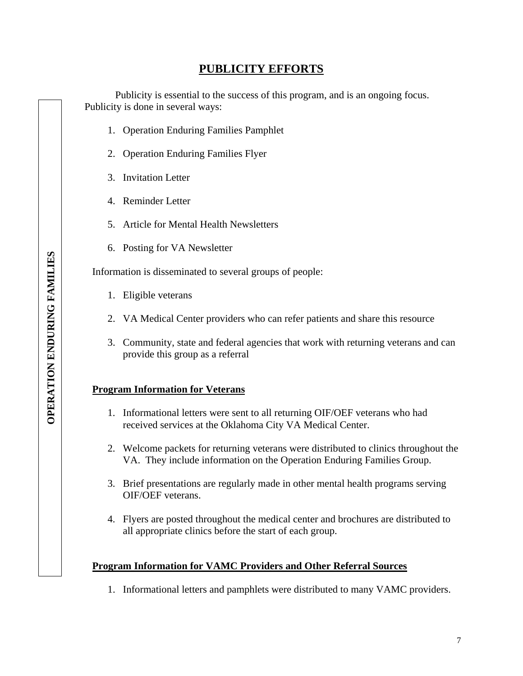### **PUBLICITY EFFORTS**

Publicity is essential to the success of this program, and is an ongoing focus. Publicity is done in several ways:

- 1. Operation Enduring Families Pamphlet
- 2. Operation Enduring Families Flyer
- 3. Invitation Letter
- 4. Reminder Letter
- 5. Article for Mental Health Newsletters
- 6. Posting for VA Newsletter

Information is disseminated to several groups of people:

- 1. Eligible veterans
- 2. VA Medical Center providers who can refer patients and share this resource
- 3. Community, state and federal agencies that work with returning veterans and can provide this group as a referral

#### **Program Information for Veterans**

- 1. Informational letters were sent to all returning OIF/OEF veterans who had received services at the Oklahoma City VA Medical Center.
- 2. Welcome packets for returning veterans were distributed to clinics throughout the VA. They include information on the Operation Enduring Families Group.
- 3. Brief presentations are regularly made in other mental health programs serving OIF/OEF veterans.
- 4. Flyers are posted throughout the medical center and brochures are distributed to all appropriate clinics before the start of each group.

#### **Program Information for VAMC Providers and Other Referral Sources**

1. Informational letters and pamphlets were distributed to many VAMC providers.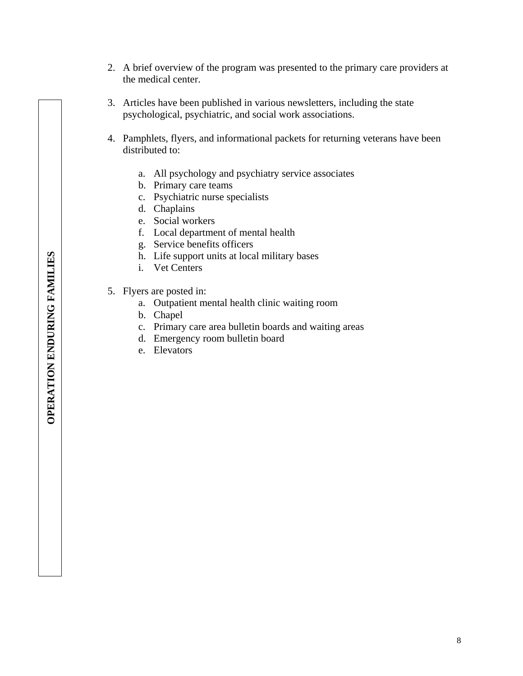- 2. A brief overview of the program was presented to the primary care providers at the medical center.
- 3. Articles have been published in various newsletters, including the state psychological, psychiatric, and social work associations.
- 4. Pamphlets, flyers, and informational packets for returning veterans have been distributed to:
	- a. All psychology and psychiatry service associates
	- b. Primary care teams
	- c. Psychiatric nurse specialists
	- d. Chaplains
	- e. Social workers
	- f. Local department of mental health
	- g. Service benefits officers
	- h. Life support units at local military bases
	- i. Vet Centers
- 5. Flyers are posted in:
	- a. Outpatient mental health clinic waiting room
	- b. Chapel
	- c. Primary care area bulletin boards and waiting areas
	- d. Emergency room bulletin board
	- e. Elevators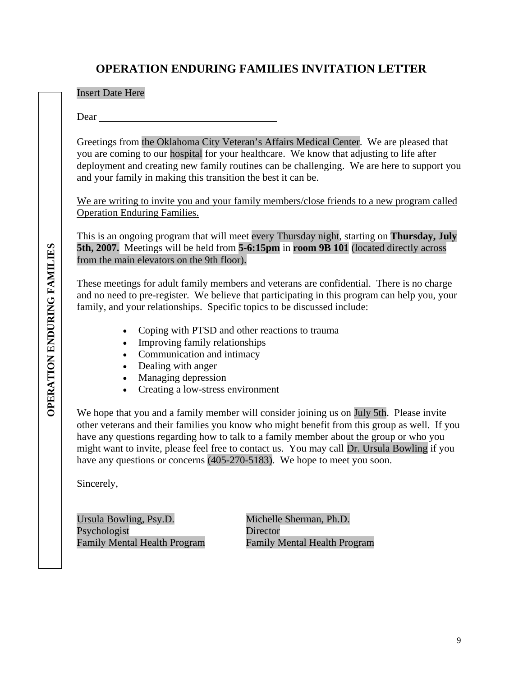### **OPERATION ENDURING FAMILIES INVITATION LETTER**

Insert Date Here

Dear

Greetings from the Oklahoma City Veteran's Affairs Medical Center. We are pleased that you are coming to our hospital for your healthcare. We know that adjusting to life after deployment and creating new family routines can be challenging. We are here to support you and your family in making this transition the best it can be.

We are writing to invite you and your family members/close friends to a new program called Operation Enduring Families.

This is an ongoing program that will meet every Thursday night, starting on **Thursday, July 5th, 2007.** Meetings will be held from **5-6:15pm** in **room 9B 101** (located directly across from the main elevators on the 9th floor).

These meetings for adult family members and veterans are confidential. There is no charge and no need to pre-register. We believe that participating in this program can help you, your family, and your relationships. Specific topics to be discussed include:

- Coping with PTSD and other reactions to trauma
- Improving family relationships
- Communication and intimacy
- Dealing with anger
- Managing depression
- Creating a low-stress environment

We hope that you and a family member will consider joining us on July 5th. Please invite other veterans and their families you know who might benefit from this group as well. If you have any questions regarding how to talk to a family member about the group or who you might want to invite, please feel free to contact us. You may call Dr. Ursula Bowling if you have any questions or concerns (405-270-5183). We hope to meet you soon.

Sincerely,

Ursula Bowling, Psy.D. Michelle Sherman, Ph.D. Psychologist<br>
Family Mental Health Program<br>
Family Mental Health Program<br>
Family Mental Health Program

Family Mental Health Program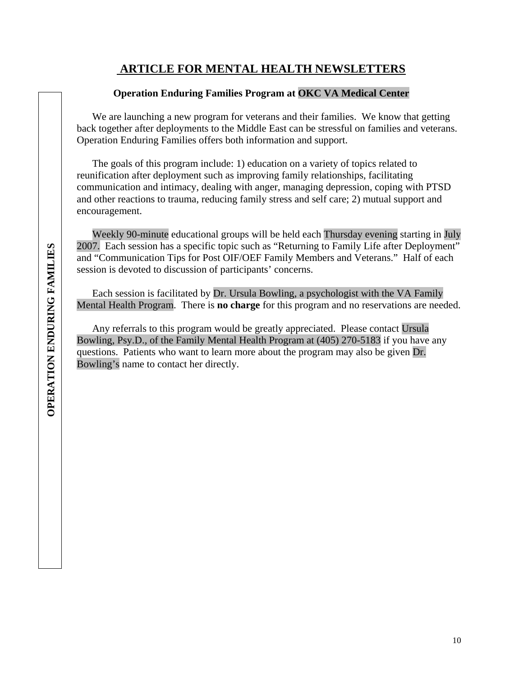### **ARTICLE FOR MENTAL HEALTH NEWSLETTERS**

#### **Operation Enduring Families Program at OKC VA Medical Center**

We are launching a new program for veterans and their families. We know that getting back together after deployments to the Middle East can be stressful on families and veterans. Operation Enduring Families offers both information and support.

The goals of this program include: 1) education on a variety of topics related to reunification after deployment such as improving family relationships, facilitating communication and intimacy, dealing with anger, managing depression, coping with PTSD and other reactions to trauma, reducing family stress and self care; 2) mutual support and encouragement.

Weekly 90-minute educational groups will be held each Thursday evening starting in July 2007. Each session has a specific topic such as "Returning to Family Life after Deployment" and "Communication Tips for Post OIF/OEF Family Members and Veterans." Half of each session is devoted to discussion of participants' concerns.

Each session is facilitated by Dr. Ursula Bowling, a psychologist with the VA Family Mental Health Program. There is **no charge** for this program and no reservations are needed.

Any referrals to this program would be greatly appreciated. Please contact Ursula Bowling, Psy.D., of the Family Mental Health Program at (405) 270-5183 if you have any questions. Patients who want to learn more about the program may also be given Dr. Bowling's name to contact her directly.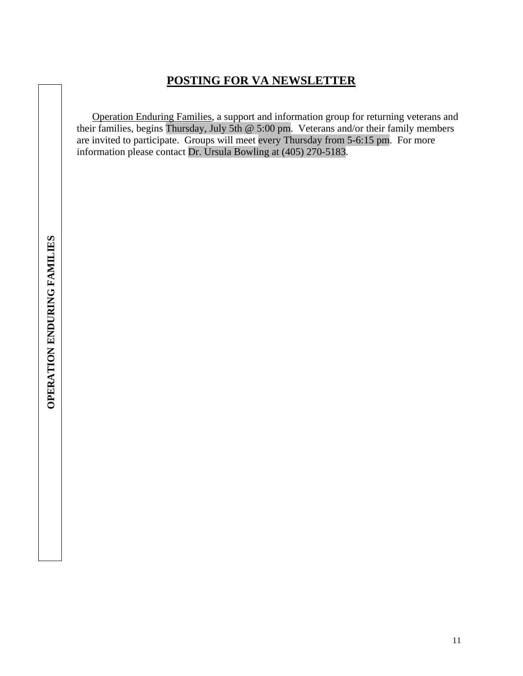### **POSTING FOR VA NEWSLETTER**

Operation Enduring Families, a support and information group for returning veterans and their families, begins Thursday, July 5th @ 5:00 pm. Veterans and/or their family members are invited to participate. Groups will meet every Thursday from 5-6:15 pm. For more information please contact Dr. Ursula Bowling at (405) 270-5183.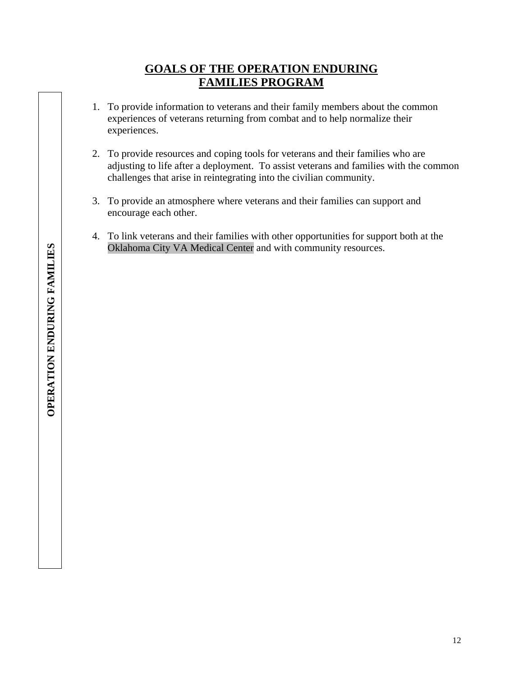### **GOALS OF THE OPERATION ENDURING FAMILIES PROGRAM**

- 1. To provide information to veterans and their family members about the common experiences of veterans returning from combat and to help normalize their experiences.
- 2. To provide resources and coping tools for veterans and their families who are adjusting to life after a deployment. To assist veterans and families with the common challenges that arise in reintegrating into the civilian community.
- 3. To provide an atmosphere where veterans and their families can support and encourage each other.
- 4. To link veterans and their families with other opportunities for support both at the Oklahoma City VA Medical Center and with community resources.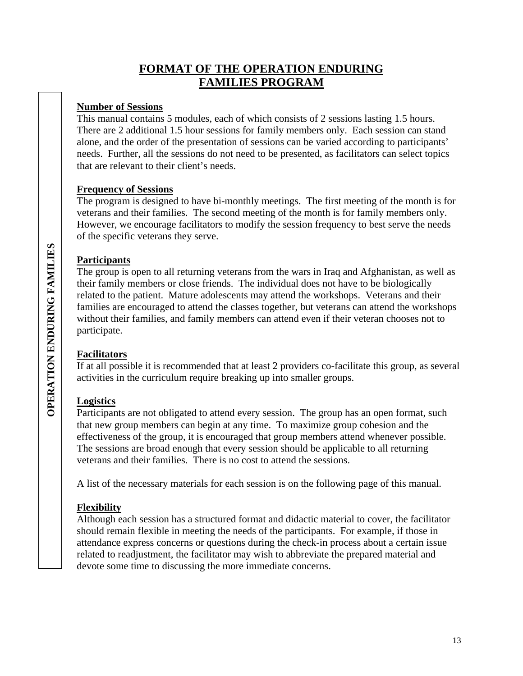### **FORMAT OF THE OPERATION ENDURING FAMILIES PROGRAM**

#### **Number of Sessions**

This manual contains 5 modules, each of which consists of 2 sessions lasting 1.5 hours. There are 2 additional 1.5 hour sessions for family members only. Each session can stand alone, and the order of the presentation of sessions can be varied according to participants' needs. Further, all the sessions do not need to be presented, as facilitators can select topics that are relevant to their client's needs.

#### **Frequency of Sessions**

The program is designed to have bi-monthly meetings. The first meeting of the month is for veterans and their families. The second meeting of the month is for family members only. However, we encourage facilitators to modify the session frequency to best serve the needs of the specific veterans they serve.

#### **Participants**

The group is open to all returning veterans from the wars in Iraq and Afghanistan, as well as their family members or close friends. The individual does not have to be biologically related to the patient. Mature adolescents may attend the workshops. Veterans and their families are encouraged to attend the classes together, but veterans can attend the workshops without their families, and family members can attend even if their veteran chooses not to participate.

#### **Facilitators**

If at all possible it is recommended that at least 2 providers co-facilitate this group, as several activities in the curriculum require breaking up into smaller groups.

#### **Logistics**

Participants are not obligated to attend every session. The group has an open format, such that new group members can begin at any time. To maximize group cohesion and the effectiveness of the group, it is encouraged that group members attend whenever possible. The sessions are broad enough that every session should be applicable to all returning veterans and their families. There is no cost to attend the sessions.

A list of the necessary materials for each session is on the following page of this manual.

#### **Flexibility**

Although each session has a structured format and didactic material to cover, the facilitator should remain flexible in meeting the needs of the participants. For example, if those in attendance express concerns or questions during the check-in process about a certain issue related to readjustment, the facilitator may wish to abbreviate the prepared material and devote some time to discussing the more immediate concerns.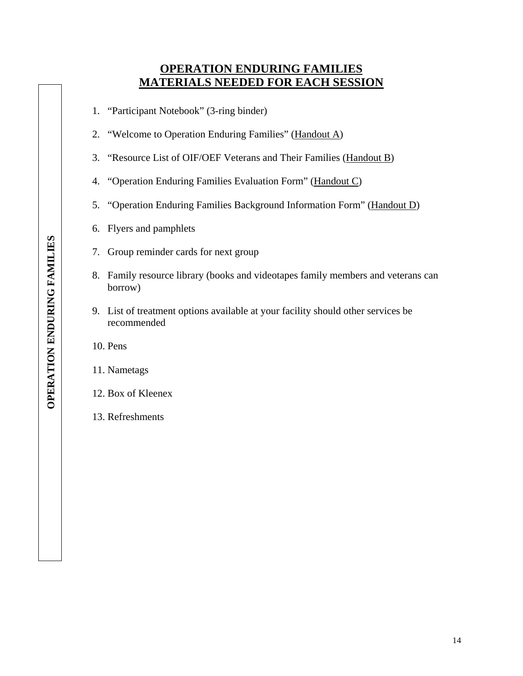### **OPERATION ENDURING FAMILIES MATERIALS NEEDED FOR EACH SESSION**

- 1. "Participant Notebook" (3-ring binder)
- 2. "Welcome to Operation Enduring Families" (Handout A)
- 3. "Resource List of OIF/OEF Veterans and Their Families (Handout B)
- 4. "Operation Enduring Families Evaluation Form" (Handout C)
- 5. "Operation Enduring Families Background Information Form" (Handout D)
- 6. Flyers and pamphlets
- 7. Group reminder cards for next group
- 8. Family resource library (books and videotapes family members and veterans can borrow)
- 9. List of treatment options available at your facility should other services be recommended

10. Pens

11. Nametags

#### 12. Box of Kleenex

13. Refreshments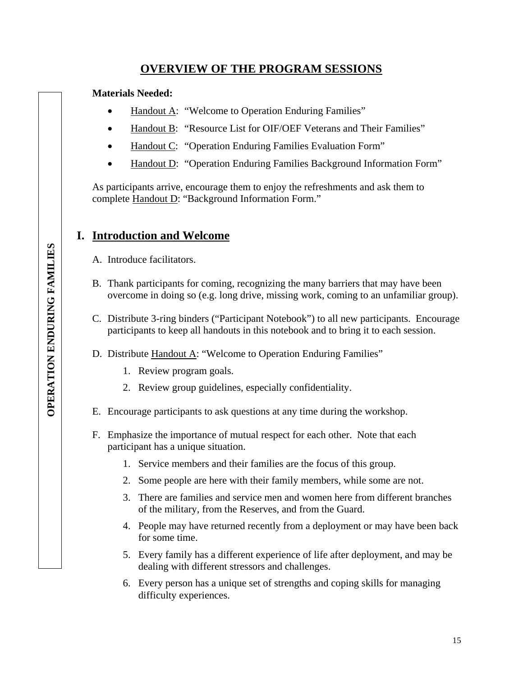### **OVERVIEW OF THE PROGRAM SESSIONS**

#### **Materials Needed:**

- Handout A: "Welcome to Operation Enduring Families"
- Handout B: "Resource List for OIF/OEF Veterans and Their Families"
- Handout C: "Operation Enduring Families Evaluation Form"
- Handout D: "Operation Enduring Families Background Information Form"

As participants arrive, encourage them to enjoy the refreshments and ask them to complete Handout D: "Background Information Form."

### **I. Introduction and Welcome**

- A. Introduce facilitators.
- B. Thank participants for coming, recognizing the many barriers that may have been overcome in doing so (e.g. long drive, missing work, coming to an unfamiliar group).
- C. Distribute 3-ring binders ("Participant Notebook") to all new participants. Encourage participants to keep all handouts in this notebook and to bring it to each session.
- D. Distribute Handout A: "Welcome to Operation Enduring Families"
	- 1. Review program goals.
	- 2. Review group guidelines, especially confidentiality.
- E. Encourage participants to ask questions at any time during the workshop.
- F. Emphasize the importance of mutual respect for each other. Note that each participant has a unique situation.
	- 1. Service members and their families are the focus of this group.
	- 2. Some people are here with their family members, while some are not.
	- 3. There are families and service men and women here from different branches of the military, from the Reserves, and from the Guard.
	- 4. People may have returned recently from a deployment or may have been back for some time.
	- 5. Every family has a different experience of life after deployment, and may be dealing with different stressors and challenges.
	- 6. Every person has a unique set of strengths and coping skills for managing difficulty experiences.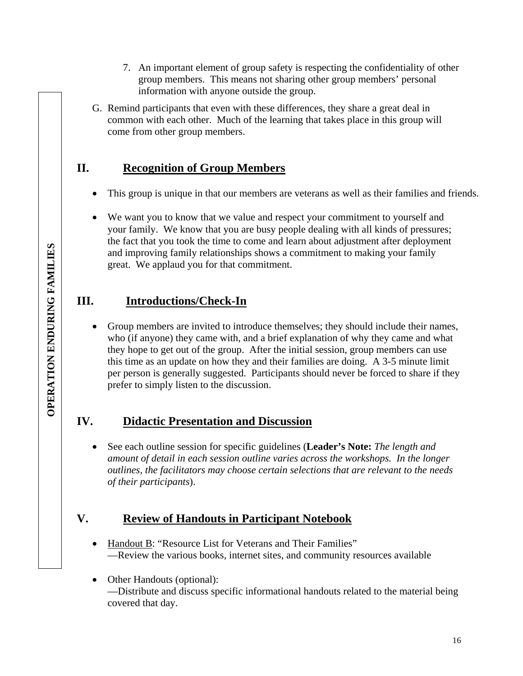- 7. An important element of group safety is respecting the confidentiality of other group members. This means not sharing other group members' personal information with anyone outside the group.
- G. Remind participants that even with these differences, they share a great deal in common with each other. Much of the learning that takes place in this group will come from other group members.

### **II. Recognition of Group Members**

- This group is unique in that our members are veterans as well as their families and friends.
- We want you to know that we value and respect your commitment to yourself and your family. We know that you are busy people dealing with all kinds of pressures; the fact that you took the time to come and learn about adjustment after deployment and improving family relationships shows a commitment to making your family great. We applaud you for that commitment.

### **III. Introductions/Check-In**

• Group members are invited to introduce themselves; they should include their names, who (if anyone) they came with, and a brief explanation of why they came and what they hope to get out of the group. After the initial session, group members can use this time as an update on how they and their families are doing. A 3-5 minute limit per person is generally suggested. Participants should never be forced to share if they prefer to simply listen to the discussion.

### **IV. Didactic Presentation and Discussion**

• See each outline session for specific guidelines (**Leader's Note:** *The length and amount of detail in each session outline varies across the workshops. In the longer outlines, the facilitators may choose certain selections that are relevant to the needs of their participants*).

### **V. Review of Handouts in Participant Notebook**

- Handout B: "Resource List for Veterans and Their Families" —Review the various books, internet sites, and community resources available
- Other Handouts (optional): —Distribute and discuss specific informational handouts related to the material being covered that day.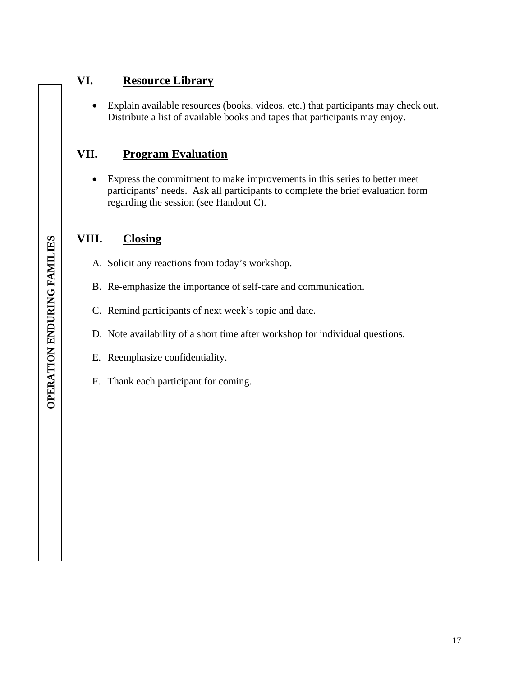### **VI. Resource Library**

• Explain available resources (books, videos, etc.) that participants may check out. Distribute a list of available books and tapes that participants may enjoy.

### **VII. Program Evaluation**

• Express the commitment to make improvements in this series to better meet participants' needs. Ask all participants to complete the brief evaluation form regarding the session (see Handout C).

### **VIII. Closing**

- A. Solicit any reactions from today's workshop.
- B. Re-emphasize the importance of self-care and communication.
- C. Remind participants of next week's topic and date.
- D. Note availability of a short time after workshop for individual questions.
- E. Reemphasize confidentiality.
- F. Thank each participant for coming.

 $\overline{\phantom{a}}$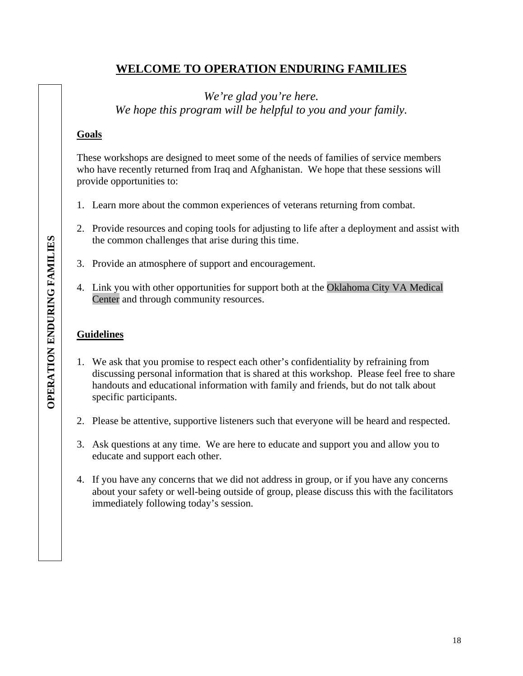### **WELCOME TO OPERATION ENDURING FAMILIES**

*We're glad you're here. We hope this program will be helpful to you and your family.* 

#### **Goals**

These workshops are designed to meet some of the needs of families of service members who have recently returned from Iraq and Afghanistan. We hope that these sessions will provide opportunities to:

- 1. Learn more about the common experiences of veterans returning from combat.
- 2. Provide resources and coping tools for adjusting to life after a deployment and assist with the common challenges that arise during this time.
- 3. Provide an atmosphere of support and encouragement.
- 4. Link you with other opportunities for support both at the Oklahoma City VA Medical Center and through community resources.

### **Guidelines**

- 1. We ask that you promise to respect each other's confidentiality by refraining from discussing personal information that is shared at this workshop. Please feel free to share handouts and educational information with family and friends, but do not talk about specific participants.
- 2. Please be attentive, supportive listeners such that everyone will be heard and respected.
- 3. Ask questions at any time. We are here to educate and support you and allow you to educate and support each other.
- 4. If you have any concerns that we did not address in group, or if you have any concerns about your safety or well-being outside of group, please discuss this with the facilitators immediately following today's session.

 $\overline{\phantom{a}}$ 

 $\overline{\phantom{a}}$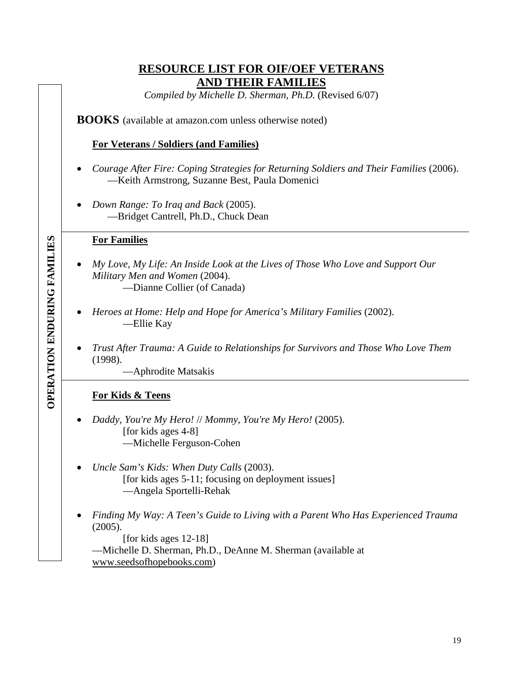### **RESOURCE LIST FOR OIF/OEF VETERANS AND THEIR FAMILIES**

*Compiled by Michelle D. Sherman, Ph.D.* (Revised 6/07)

**BOOKS** (available at amazon.com unless otherwise noted)

#### **For Veterans / Soldiers (and Families)**

- *Courage After Fire: Coping Strategies for Returning Soldiers and Their Families* (2006). —Keith Armstrong, Suzanne Best, Paula Domenici
- *Down Range: To Iraq and Back* (2005). —Bridget Cantrell, Ph.D., Chuck Dean

#### **For Families**

- *My Love, My Life: An Inside Look at the Lives of Those Who Love and Support Our Military Men and Women* (2004). —Dianne Collier (of Canada)
- *Heroes at Home: Help and Hope for America's Military Families* (2002). —Ellie Kay
- *Trust After Trauma: A Guide to Relationships for Survivors and Those Who Love Them*  (1998).

—Aphrodite Matsakis

#### **For Kids & Teens**

- *Daddy, You're My Hero!* // *Mommy, You're My Hero!* (2005). [for kids ages 4-8] —Michelle Ferguson-Cohen
- *Uncle Sam's Kids: When Duty Calls* (2003). [for kids ages 5-11; focusing on deployment issues] —Angela Sportelli-Rehak
- *Finding My Way: A Teen's Guide to Living with a Parent Who Has Experienced Trauma* (2005).

[for kids ages 12-18] —Michelle D. Sherman, Ph.D., DeAnne M. Sherman (available at www.seedsofhopebooks.com)

**OPERATION ENDURING FAMILIES** OPERATION ENDURING FAMILIES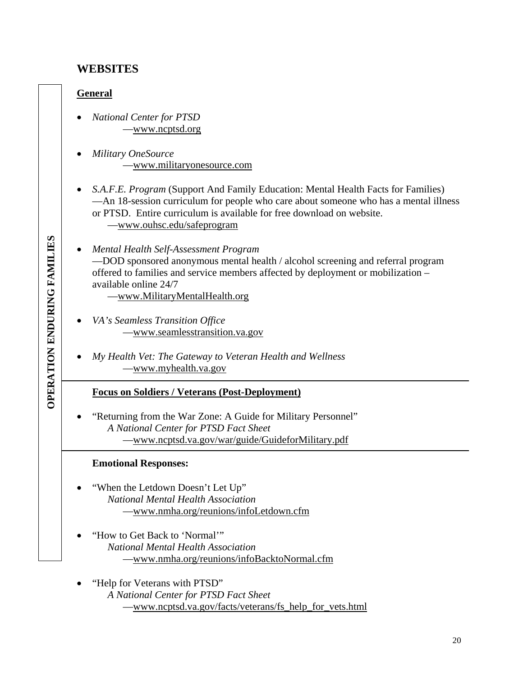### **WEBSITES**

#### **General**

**OPERATION ENDURING FAMILIES** OPERATION ENDURING FAMILIES

- *National Center for PTSD*  —www.ncptsd.org
- *Military OneSource*  —www.militaryonesource.com
- *S.A.F.E. Program* (Support And Family Education: Mental Health Facts for Families) —An 18-session curriculum for people who care about someone who has a mental illness or PTSD. Entire curriculum is available for free download on website. —www.ouhsc.edu/safeprogram
- *Mental Health Self-Assessment Program*  —DOD sponsored anonymous mental health / alcohol screening and referral program offered to families and service members affected by deployment or mobilization – available online 24/7

—www.MilitaryMentalHealth.org

- *VA's Seamless Transition Office*  —www.seamlesstransition.va.gov
- *My Health Vet: The Gateway to Veteran Health and Wellness*  —www.myhealth.va.gov

#### **Focus on Soldiers / Veterans (Post-Deployment)**

• "Returning from the War Zone: A Guide for Military Personnel" *A National Center for PTSD Fact Sheet*  —www.ncptsd.va.gov/war/guide/GuideforMilitary.pdf

#### **Emotional Responses:**

- "When the Letdown Doesn't Let Up" *National Mental Health Association*  —www.nmha.org/reunions/infoLetdown.cfm
- "How to Get Back to 'Normal'" *National Mental Health Association*  —www.nmha.org/reunions/infoBacktoNormal.cfm
- "Help for Veterans with PTSD" *A National Center for PTSD Fact Sheet*  —www.ncptsd.va.gov/facts/veterans/fs\_help\_for\_vets.html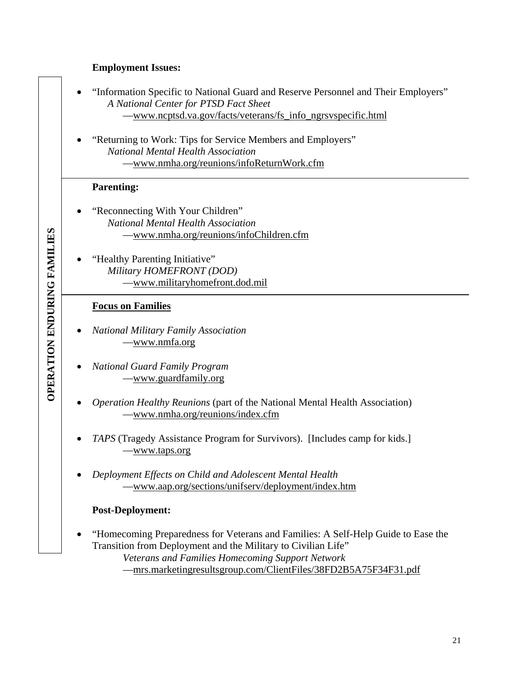#### **Employment Issues:**

- "Information Specific to National Guard and Reserve Personnel and Their Employers" *A National Center for PTSD Fact Sheet*  —www.ncptsd.va.gov/facts/veterans/fs\_info\_ngrsvspecific.html
- "Returning to Work: Tips for Service Members and Employers" *National Mental Health Association*  —www.nmha.org/reunions/infoReturnWork.cfm

#### **Parenting:**

- "Reconnecting With Your Children" *National Mental Health Association*  —www.nmha.org/reunions/infoChildren.cfm
- "Healthy Parenting Initiative" *Military HOMEFRONT (DOD)*  —www.militaryhomefront.dod.mil

#### **Focus on Families**

- *National Military Family Association*  —www.nmfa.org
- *National Guard Family Program*  —www.guardfamily.org
- *Operation Healthy Reunions* (part of the National Mental Health Association) —www.nmha.org/reunions/index.cfm
- *TAPS* (Tragedy Assistance Program for Survivors). [Includes camp for kids.] —www.taps.org
- *Deployment Effects on Child and Adolescent Mental Health*  —www.aap.org/sections/unifserv/deployment/index.htm

#### **Post-Deployment:**

• "Homecoming Preparedness for Veterans and Families: A Self-Help Guide to Ease the Transition from Deployment and the Military to Civilian Life"

*Veterans and Families Homecoming Support Network* 

—mrs.marketingresultsgroup.com/ClientFiles/38FD2B5A75F34F31.pdf

**OPERATION ENDURING FAMILIES** OPERATION ENDURING FAMILIES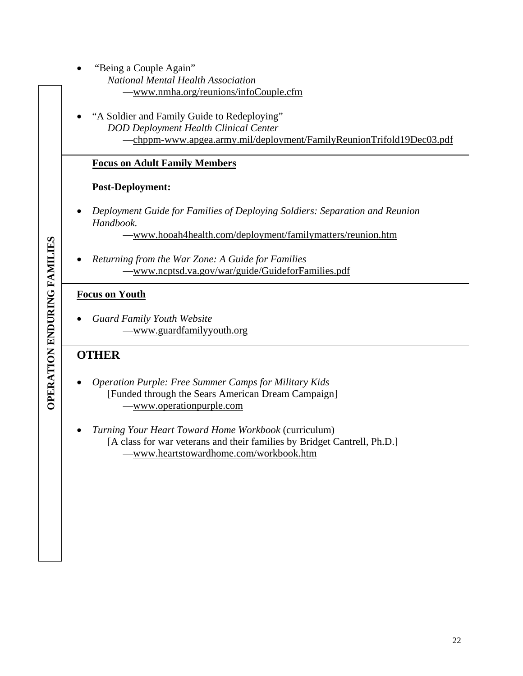- "Being a Couple Again"
	- *National Mental Health Association*  —www.nmha.org/reunions/infoCouple.cfm
- "A Soldier and Family Guide to Redeploying" *DOD Deployment Health Clinical Center*  —chppm-www.apgea.army.mil/deployment/FamilyReunionTrifold19Dec03.pdf

#### **Focus on Adult Family Members**

#### **Post-Deployment:**

• *Deployment Guide for Families of Deploying Soldiers: Separation and Reunion Handbook.* 

—www.hooah4health.com/deployment/familymatters/reunion.htm

• *Returning from the War Zone: A Guide for Families*  —www.ncptsd.va.gov/war/guide/GuideforFamilies.pdf

#### **Focus on Youth**

• *Guard Family Youth Website*  —www.guardfamilyyouth.org

### **OTHER**

- *Operation Purple: Free Summer Camps for Military Kids*  [Funded through the Sears American Dream Campaign] —www.operationpurple.com
- *Turning Your Heart Toward Home Workbook* (curriculum) [A class for war veterans and their families by Bridget Cantrell, Ph.D.] —www.heartstowardhome.com/workbook.htm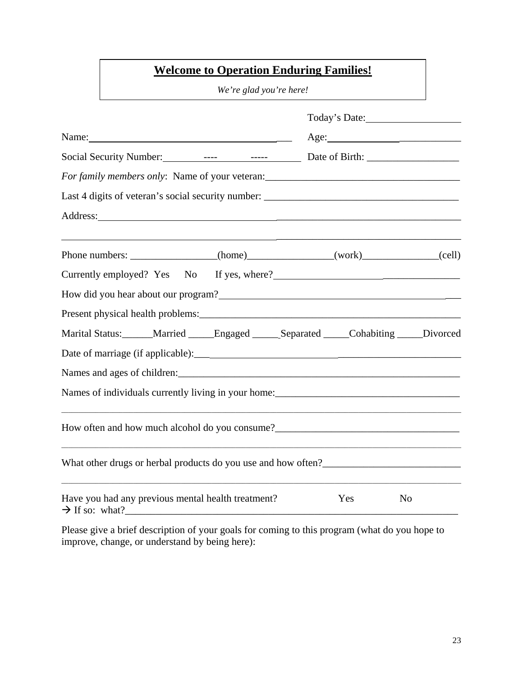### **Welcome to Operation Enduring Families!**

*We're glad you're here!* 

|                                                                                                                                                                                                                                               | Today's Date: |                |  |  |
|-----------------------------------------------------------------------------------------------------------------------------------------------------------------------------------------------------------------------------------------------|---------------|----------------|--|--|
| Name: $\frac{1}{2}$                                                                                                                                                                                                                           | Age:          |                |  |  |
|                                                                                                                                                                                                                                               |               |                |  |  |
| For family members only: Name of your veteran: _________________________________                                                                                                                                                              |               |                |  |  |
| Last 4 digits of veteran's social security number: ______________________________                                                                                                                                                             |               |                |  |  |
| Address:                                                                                                                                                                                                                                      |               |                |  |  |
|                                                                                                                                                                                                                                               |               |                |  |  |
| Phone numbers: _______________(home)_____________(work)____________(cell)                                                                                                                                                                     |               |                |  |  |
| Currently employed? Yes No If yes, where?                                                                                                                                                                                                     |               |                |  |  |
| How did you hear about our program?                                                                                                                                                                                                           |               |                |  |  |
|                                                                                                                                                                                                                                               |               |                |  |  |
| Marital Status: ______Married _____Engaged _____Separated _____Cohabiting ____Divorced                                                                                                                                                        |               |                |  |  |
|                                                                                                                                                                                                                                               |               |                |  |  |
|                                                                                                                                                                                                                                               |               |                |  |  |
| Names of individuals currently living in your home:<br><u>Letting and the contract of individuals currently</u> living in your home:<br><u>Letting and the contract of the contract of the contract of the contract of the contract of th</u> |               |                |  |  |
| How often and how much alcohol do you consume?<br><u>Letting</u> 2020 and the manufacture of the manufacture of the manufacture of the manufacture of the manufacture of the manufacture of the manufacture of the manufacture of the         |               |                |  |  |
|                                                                                                                                                                                                                                               |               |                |  |  |
| Have you had any previous mental health treatment?<br>$\rightarrow$ If so: what?                                                                                                                                                              | Yes           | N <sub>o</sub> |  |  |

Please give a brief description of your goals for coming to this program (what do you hope to improve, change, or understand by being here):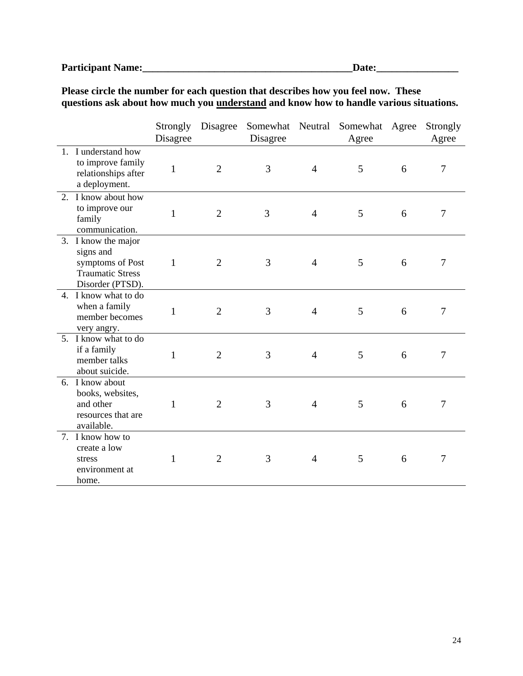### **Participant Name:\_\_\_\_\_\_\_\_\_\_\_\_\_\_\_\_\_\_\_\_\_\_\_\_\_\_\_\_\_\_\_\_\_\_\_\_\_\_\_\_\_Date:\_\_\_\_\_\_\_\_\_\_\_\_\_\_\_\_**

**Please circle the number for each question that describes how you feel now. These questions ask about how much you understand and know how to handle various situations.** 

|    |                                                                                                     | Strongly<br>Disagree | Disagree       | Somewhat<br>Disagree | Neutral        | Somewhat<br>Agree | Agree | Strongly<br>Agree |
|----|-----------------------------------------------------------------------------------------------------|----------------------|----------------|----------------------|----------------|-------------------|-------|-------------------|
| 1. | I understand how<br>to improve family<br>relationships after<br>a deployment.                       | $\mathbf{1}$         | $\overline{2}$ | 3                    | $\overline{4}$ | 5                 | 6     | $\tau$            |
|    | 2. I know about how<br>to improve our<br>family<br>communication.                                   | $\mathbf{1}$         | $\overline{2}$ | 3                    | $\overline{4}$ | 5                 | 6     | $\overline{7}$    |
|    | 3. I know the major<br>signs and<br>symptoms of Post<br><b>Traumatic Stress</b><br>Disorder (PTSD). | $\mathbf{1}$         | $\overline{2}$ | 3                    | $\overline{4}$ | 5                 | 6     | 7                 |
|    | 4. I know what to do<br>when a family<br>member becomes<br>very angry.                              | $\mathbf{1}$         | $\overline{2}$ | 3                    | $\overline{4}$ | 5                 | 6     | $\overline{7}$    |
|    | 5. I know what to do<br>if a family<br>member talks<br>about suicide.                               | $\mathbf{1}$         | $\overline{2}$ | 3                    | $\overline{4}$ | 5                 | 6     | $\tau$            |
|    | 6. I know about<br>books, websites,<br>and other<br>resources that are<br>available.                | $\mathbf{1}$         | $\overline{2}$ | 3                    | $\overline{4}$ | 5                 | 6     | 7                 |
|    | 7. I know how to<br>create a low<br>stress<br>environment at<br>home.                               | 1                    | $\overline{2}$ | 3                    | $\overline{4}$ | 5                 | 6     | 7                 |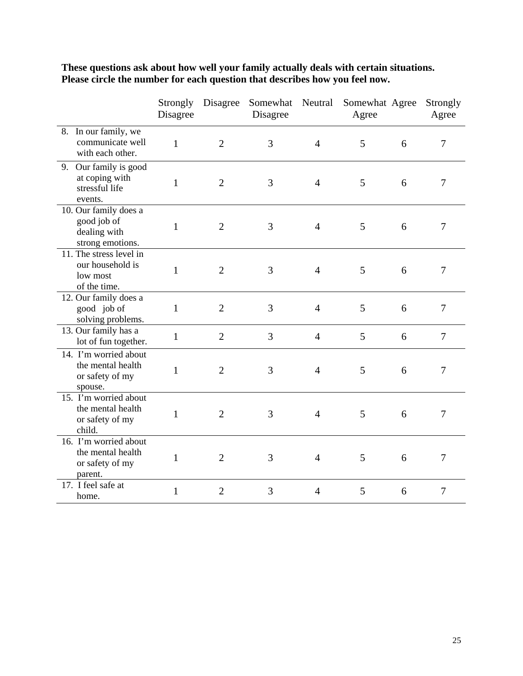|                                                                          | Strongly<br>Disagree | Disagree       | Somewhat<br>Disagree | Neutral        | Somewhat Agree<br>Agree |   | Strongly<br>Agree |
|--------------------------------------------------------------------------|----------------------|----------------|----------------------|----------------|-------------------------|---|-------------------|
| 8. In our family, we<br>communicate well<br>with each other.             | $\mathbf{1}$         | $\overline{2}$ | 3                    | $\overline{4}$ | 5                       | 6 | $\overline{7}$    |
| 9. Our family is good<br>at coping with<br>stressful life<br>events.     | $\mathbf{1}$         | $\overline{2}$ | 3                    | $\overline{4}$ | 5                       | 6 | $\overline{7}$    |
| 10. Our family does a<br>good job of<br>dealing with<br>strong emotions. | $\mathbf{1}$         | $\overline{2}$ | 3                    | $\overline{4}$ | 5                       | 6 | $\overline{7}$    |
| 11. The stress level in<br>our household is<br>low most<br>of the time.  | $\mathbf{1}$         | $\overline{2}$ | 3                    | $\overline{4}$ | 5                       | 6 | $\overline{7}$    |
| 12. Our family does a<br>good job of<br>solving problems.                | $\mathbf{1}$         | $\overline{2}$ | 3                    | $\overline{4}$ | 5                       | 6 | $\overline{7}$    |
| 13. Our family has a<br>lot of fun together.                             | $\mathbf{1}$         | $\overline{2}$ | 3                    | $\overline{4}$ | 5                       | 6 | $\overline{7}$    |
| 14. I'm worried about<br>the mental health<br>or safety of my<br>spouse. | $\mathbf{1}$         | $\overline{2}$ | 3                    | $\overline{4}$ | 5                       | 6 | 7                 |
| 15. I'm worried about<br>the mental health<br>or safety of my<br>child.  | $\mathbf{1}$         | $\mathfrak{2}$ | 3                    | $\overline{4}$ | 5                       | 6 | 7                 |
| 16. I'm worried about<br>the mental health<br>or safety of my<br>parent. | $\mathbf{1}$         | $\overline{2}$ | 3                    | $\overline{4}$ | 5                       | 6 | 7                 |
| 17. I feel safe at<br>home.                                              | 1                    | $\overline{2}$ | 3                    | $\overline{4}$ | 5                       | 6 | 7                 |

**These questions ask about how well your family actually deals with certain situations. Please circle the number for each question that describes how you feel now.**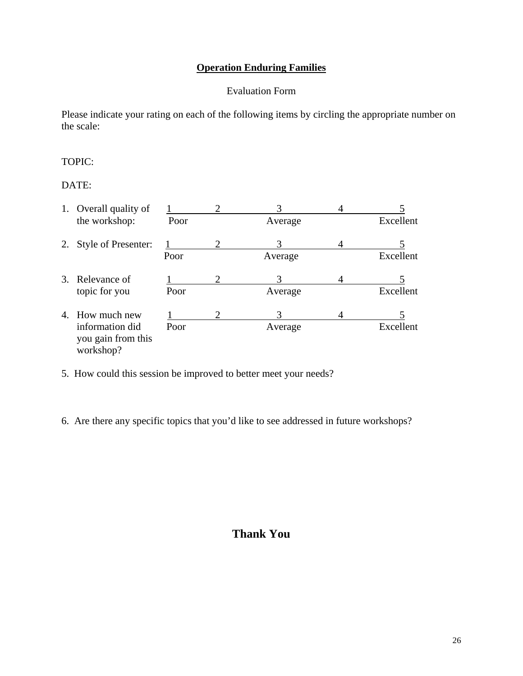### **Operation Enduring Families**

#### Evaluation Form

Please indicate your rating on each of the following items by circling the appropriate number on the scale:

#### TOPIC:

DATE:

|    | 1. Overall quality of                              |      |   |         |   |           |
|----|----------------------------------------------------|------|---|---------|---|-----------|
|    | the workshop:                                      | Poor |   | Average |   | Excellent |
| 2. | <b>Style of Presenter:</b>                         |      | 2 | 3       | 4 |           |
|    |                                                    | Poor |   | Average |   | Excellent |
|    | 3. Relevance of                                    |      | റ |         |   |           |
|    | topic for you                                      | Poor |   | Average |   | Excellent |
| 4. | How much new                                       |      | 2 | 3       |   |           |
|    | information did<br>you gain from this<br>workshop? | Poor |   | Average |   | Excellent |

- 5. How could this session be improved to better meet your needs?
- 6. Are there any specific topics that you'd like to see addressed in future workshops?

### **Thank You**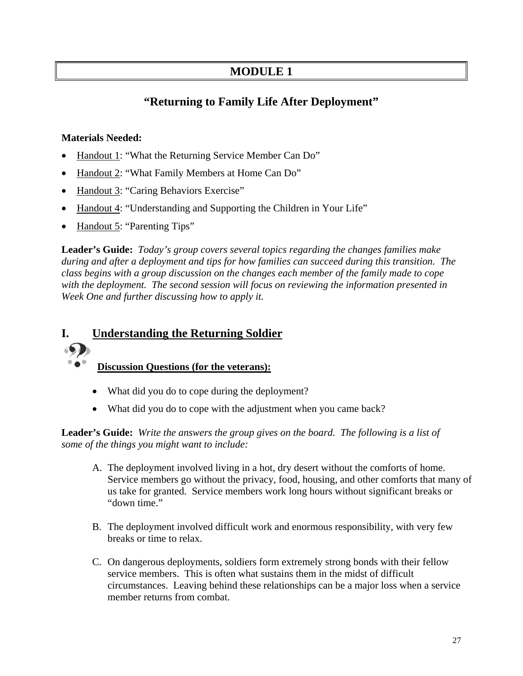### **MODULE 1**

### **"Returning to Family Life After Deployment"**

#### **Materials Needed:**

- Handout 1: "What the Returning Service Member Can Do"
- Handout 2: "What Family Members at Home Can Do"
- Handout 3: "Caring Behaviors Exercise"
- Handout 4: "Understanding and Supporting the Children in Your Life"
- Handout 5: "Parenting Tips"

**Leader's Guide:** *Today's group covers several topics regarding the changes families make during and after a deployment and tips for how families can succeed during this transition. The class begins with a group discussion on the changes each member of the family made to cope with the deployment. The second session will focus on reviewing the information presented in Week One and further discussing how to apply it.* 

### **I. Understanding the Returning Soldier**

### **Discussion Questions (for the veterans):**

- What did you do to cope during the deployment?
- What did you do to cope with the adjustment when you came back?

**Leader's Guide:** *Write the answers the group gives on the board. The following is a list of some of the things you might want to include:* 

- A. The deployment involved living in a hot, dry desert without the comforts of home. Service members go without the privacy, food, housing, and other comforts that many of us take for granted. Service members work long hours without significant breaks or "down time."
- B. The deployment involved difficult work and enormous responsibility, with very few breaks or time to relax.
- C. On dangerous deployments, soldiers form extremely strong bonds with their fellow service members. This is often what sustains them in the midst of difficult circumstances. Leaving behind these relationships can be a major loss when a service member returns from combat.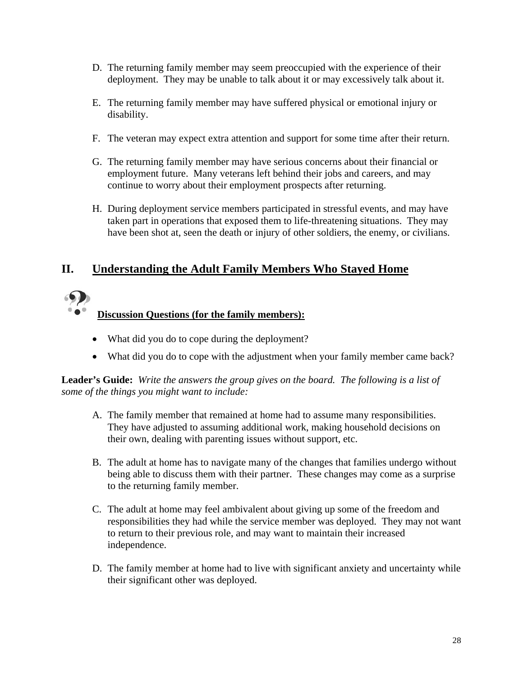- D. The returning family member may seem preoccupied with the experience of their deployment. They may be unable to talk about it or may excessively talk about it.
- E. The returning family member may have suffered physical or emotional injury or disability.
- F. The veteran may expect extra attention and support for some time after their return.
- G. The returning family member may have serious concerns about their financial or employment future. Many veterans left behind their jobs and careers, and may continue to worry about their employment prospects after returning.
- H. During deployment service members participated in stressful events, and may have taken part in operations that exposed them to life-threatening situations. They may have been shot at, seen the death or injury of other soldiers, the enemy, or civilians.

### **II. Understanding the Adult Family Members Who Stayed Home**



### **Discussion Questions (for the family members):**

- What did you do to cope during the deployment?
- What did you do to cope with the adjustment when your family member came back?

#### **Leader's Guide:** *Write the answers the group gives on the board. The following is a list of some of the things you might want to include:*

- A. The family member that remained at home had to assume many responsibilities. They have adjusted to assuming additional work, making household decisions on their own, dealing with parenting issues without support, etc.
- B. The adult at home has to navigate many of the changes that families undergo without being able to discuss them with their partner. These changes may come as a surprise to the returning family member.
- C. The adult at home may feel ambivalent about giving up some of the freedom and responsibilities they had while the service member was deployed. They may not want to return to their previous role, and may want to maintain their increased independence.
- D. The family member at home had to live with significant anxiety and uncertainty while their significant other was deployed.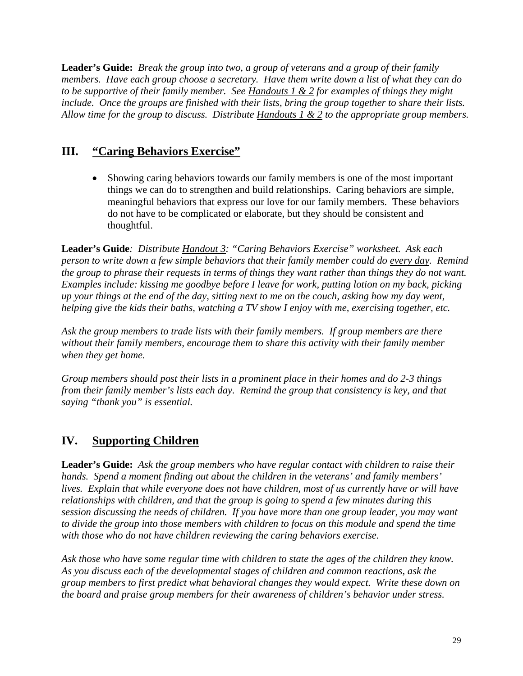**Leader's Guide:** *Break the group into two, a group of veterans and a group of their family members. Have each group choose a secretary. Have them write down a list of what they can do to be supportive of their family member. See Handouts 1 & 2 for examples of things they might include. Once the groups are finished with their lists, bring the group together to share their lists. Allow time for the group to discuss. Distribute Handouts 1 & 2 to the appropriate group members.* 

### **III. "Caring Behaviors Exercise"**

• Showing caring behaviors towards our family members is one of the most important things we can do to strengthen and build relationships. Caring behaviors are simple, meaningful behaviors that express our love for our family members. These behaviors do not have to be complicated or elaborate, but they should be consistent and thoughtful.

**Leader's Guide***: Distribute Handout 3: "Caring Behaviors Exercise" worksheet. Ask each person to write down a few simple behaviors that their family member could do every day. Remind the group to phrase their requests in terms of things they want rather than things they do not want. Examples include: kissing me goodbye before I leave for work, putting lotion on my back, picking up your things at the end of the day, sitting next to me on the couch, asking how my day went, helping give the kids their baths, watching a TV show I enjoy with me, exercising together, etc.* 

*Ask the group members to trade lists with their family members. If group members are there without their family members, encourage them to share this activity with their family member when they get home.* 

*Group members should post their lists in a prominent place in their homes and do 2-3 things from their family member's lists each day. Remind the group that consistency is key, and that saying "thank you" is essential.* 

### **IV. Supporting Children**

**Leader's Guide:** *Ask the group members who have regular contact with children to raise their hands. Spend a moment finding out about the children in the veterans' and family members'*  lives. Explain that while everyone does not have children, most of us currently have or will have *relationships with children, and that the group is going to spend a few minutes during this session discussing the needs of children. If you have more than one group leader, you may want to divide the group into those members with children to focus on this module and spend the time with those who do not have children reviewing the caring behaviors exercise.* 

*Ask those who have some regular time with children to state the ages of the children they know. As you discuss each of the developmental stages of children and common reactions, ask the group members to first predict what behavioral changes they would expect. Write these down on the board and praise group members for their awareness of children's behavior under stress.*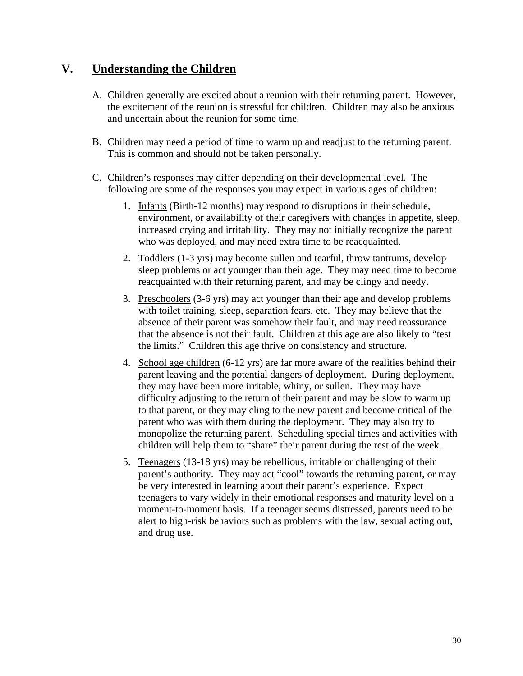### **V. Understanding the Children**

- A. Children generally are excited about a reunion with their returning parent. However, the excitement of the reunion is stressful for children. Children may also be anxious and uncertain about the reunion for some time.
- B. Children may need a period of time to warm up and readjust to the returning parent. This is common and should not be taken personally.
- C. Children's responses may differ depending on their developmental level. The following are some of the responses you may expect in various ages of children:
	- 1. Infants (Birth-12 months) may respond to disruptions in their schedule, environment, or availability of their caregivers with changes in appetite, sleep, increased crying and irritability. They may not initially recognize the parent who was deployed, and may need extra time to be reacquainted.
	- 2. Toddlers (1-3 yrs) may become sullen and tearful, throw tantrums, develop sleep problems or act younger than their age. They may need time to become reacquainted with their returning parent, and may be clingy and needy.
	- 3. Preschoolers (3-6 yrs) may act younger than their age and develop problems with toilet training, sleep, separation fears, etc. They may believe that the absence of their parent was somehow their fault, and may need reassurance that the absence is not their fault. Children at this age are also likely to "test the limits." Children this age thrive on consistency and structure.
	- 4. School age children (6-12 yrs) are far more aware of the realities behind their parent leaving and the potential dangers of deployment. During deployment, they may have been more irritable, whiny, or sullen. They may have difficulty adjusting to the return of their parent and may be slow to warm up to that parent, or they may cling to the new parent and become critical of the parent who was with them during the deployment. They may also try to monopolize the returning parent. Scheduling special times and activities with children will help them to "share" their parent during the rest of the week.
	- 5. Teenagers (13-18 yrs) may be rebellious, irritable or challenging of their parent's authority. They may act "cool" towards the returning parent, or may be very interested in learning about their parent's experience. Expect teenagers to vary widely in their emotional responses and maturity level on a moment-to-moment basis. If a teenager seems distressed, parents need to be alert to high-risk behaviors such as problems with the law, sexual acting out, and drug use.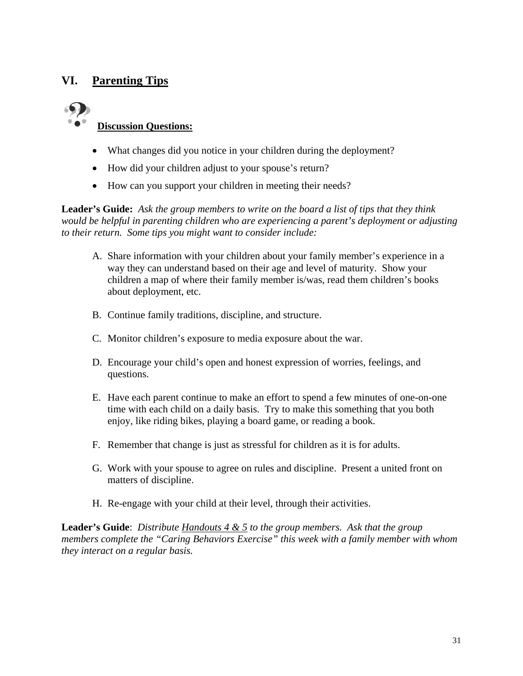### **VI. Parenting Tips**

# **Discussion Questions:**

- What changes did you notice in your children during the deployment?
- How did your children adjust to your spouse's return?
- How can you support your children in meeting their needs?

**Leader's Guide:** *Ask the group members to write on the board a list of tips that they think would be helpful in parenting children who are experiencing a parent's deployment or adjusting to their return. Some tips you might want to consider include:* 

- A. Share information with your children about your family member's experience in a way they can understand based on their age and level of maturity. Show your children a map of where their family member is/was, read them children's books about deployment, etc.
- B. Continue family traditions, discipline, and structure.
- C. Monitor children's exposure to media exposure about the war.
- D. Encourage your child's open and honest expression of worries, feelings, and questions.
- E. Have each parent continue to make an effort to spend a few minutes of one-on-one time with each child on a daily basis. Try to make this something that you both enjoy, like riding bikes, playing a board game, or reading a book.
- F. Remember that change is just as stressful for children as it is for adults.
- G. Work with your spouse to agree on rules and discipline. Present a united front on matters of discipline.
- H. Re-engage with your child at their level, through their activities.

**Leader's Guide**: *Distribute Handouts 4 & 5 to the group members. Ask that the group members complete the "Caring Behaviors Exercise" this week with a family member with whom they interact on a regular basis.*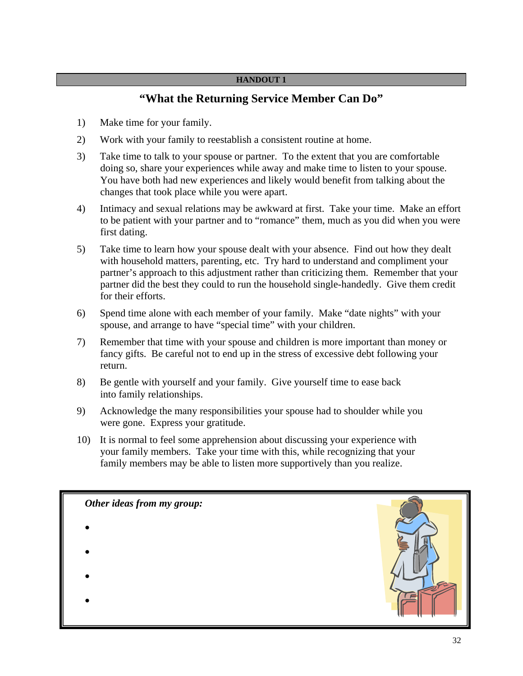### **"What the Returning Service Member Can Do"**

- 1) Make time for your family.
- 2) Work with your family to reestablish a consistent routine at home.
- 3) Take time to talk to your spouse or partner. To the extent that you are comfortable doing so, share your experiences while away and make time to listen to your spouse. You have both had new experiences and likely would benefit from talking about the changes that took place while you were apart.
- 4) Intimacy and sexual relations may be awkward at first. Take your time. Make an effort to be patient with your partner and to "romance" them, much as you did when you were first dating.
- 5) Take time to learn how your spouse dealt with your absence. Find out how they dealt with household matters, parenting, etc. Try hard to understand and compliment your partner's approach to this adjustment rather than criticizing them. Remember that your partner did the best they could to run the household single-handedly. Give them credit for their efforts.
- 6) Spend time alone with each member of your family. Make "date nights" with your spouse, and arrange to have "special time" with your children.
- 7) Remember that time with your spouse and children is more important than money or fancy gifts. Be careful not to end up in the stress of excessive debt following your return.
- 8) Be gentle with yourself and your family. Give yourself time to ease back into family relationships.
- 9) Acknowledge the many responsibilities your spouse had to shoulder while you were gone. Express your gratitude.
- 10) It is normal to feel some apprehension about discussing your experience with your family members. Take your time with this, while recognizing that your family members may be able to listen more supportively than you realize.

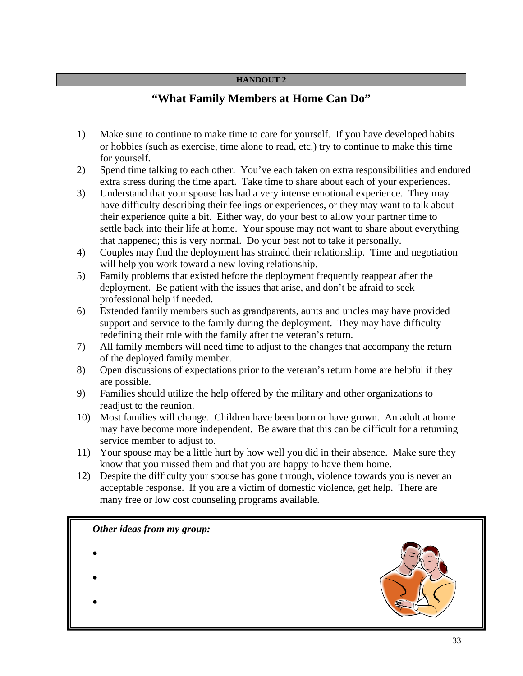### **"What Family Members at Home Can Do"**

- 1) Make sure to continue to make time to care for yourself. If you have developed habits or hobbies (such as exercise, time alone to read, etc.) try to continue to make this time for yourself.
- 2) Spend time talking to each other. You've each taken on extra responsibilities and endured extra stress during the time apart. Take time to share about each of your experiences.
- 3) Understand that your spouse has had a very intense emotional experience. They may have difficulty describing their feelings or experiences, or they may want to talk about their experience quite a bit. Either way, do your best to allow your partner time to settle back into their life at home. Your spouse may not want to share about everything that happened; this is very normal. Do your best not to take it personally.
- 4) Couples may find the deployment has strained their relationship. Time and negotiation will help you work toward a new loving relationship.
- 5) Family problems that existed before the deployment frequently reappear after the deployment. Be patient with the issues that arise, and don't be afraid to seek professional help if needed.
- 6) Extended family members such as grandparents, aunts and uncles may have provided support and service to the family during the deployment. They may have difficulty redefining their role with the family after the veteran's return.
- 7) All family members will need time to adjust to the changes that accompany the return of the deployed family member.
- 8) Open discussions of expectations prior to the veteran's return home are helpful if they are possible.
- 9) Families should utilize the help offered by the military and other organizations to readjust to the reunion.
- 10) Most families will change. Children have been born or have grown. An adult at home may have become more independent. Be aware that this can be difficult for a returning service member to adjust to.
- 11) Your spouse may be a little hurt by how well you did in their absence. Make sure they know that you missed them and that you are happy to have them home.
- 12) Despite the difficulty your spouse has gone through, violence towards you is never an acceptable response. If you are a victim of domestic violence, get help. There are many free or low cost counseling programs available.

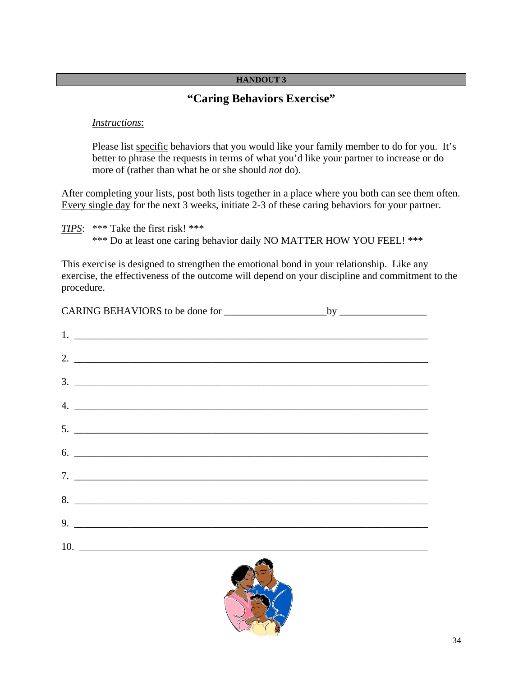### **"Caring Behaviors Exercise"**

#### *Instructions*:

Please list specific behaviors that you would like your family member to do for you. It's better to phrase the requests in terms of what you'd like your partner to increase or do more of (rather than what he or she should *not* do).

After completing your lists, post both lists together in a place where you both can see them often. Every single day for the next 3 weeks, initiate 2-3 of these caring behaviors for your partner.

*TIPS*: \*\*\* Take the first risk! \*\*\* \*\*\* Do at least one caring behavior daily NO MATTER HOW YOU FEEL! \*\*\*

This exercise is designed to strengthen the emotional bond in your relationship. Like any exercise, the effectiveness of the outcome will depend on your discipline and commitment to the procedure.

| 2. $\frac{1}{2}$ $\frac{1}{2}$ $\frac{1}{2}$ $\frac{1}{2}$ $\frac{1}{2}$ $\frac{1}{2}$ $\frac{1}{2}$ $\frac{1}{2}$ $\frac{1}{2}$ $\frac{1}{2}$ $\frac{1}{2}$ $\frac{1}{2}$ $\frac{1}{2}$ $\frac{1}{2}$ $\frac{1}{2}$ $\frac{1}{2}$ $\frac{1}{2}$ $\frac{1}{2}$ $\frac{1}{2}$ $\frac{1}{2}$ $\frac{1}{2}$ $\frac{1}{2}$ |  |
|------------------------------------------------------------------------------------------------------------------------------------------------------------------------------------------------------------------------------------------------------------------------------------------------------------------------|--|
| $\frac{3}{2}$                                                                                                                                                                                                                                                                                                          |  |
| $\mathcal{A}$ . $\qquad \qquad$                                                                                                                                                                                                                                                                                        |  |
|                                                                                                                                                                                                                                                                                                                        |  |
| $\frac{1}{2}$                                                                                                                                                                                                                                                                                                          |  |
| $7.$ $\overline{\phantom{a}}$                                                                                                                                                                                                                                                                                          |  |
| 8.                                                                                                                                                                                                                                                                                                                     |  |
| $9.$ $\overline{\phantom{a}}$                                                                                                                                                                                                                                                                                          |  |
|                                                                                                                                                                                                                                                                                                                        |  |
|                                                                                                                                                                                                                                                                                                                        |  |

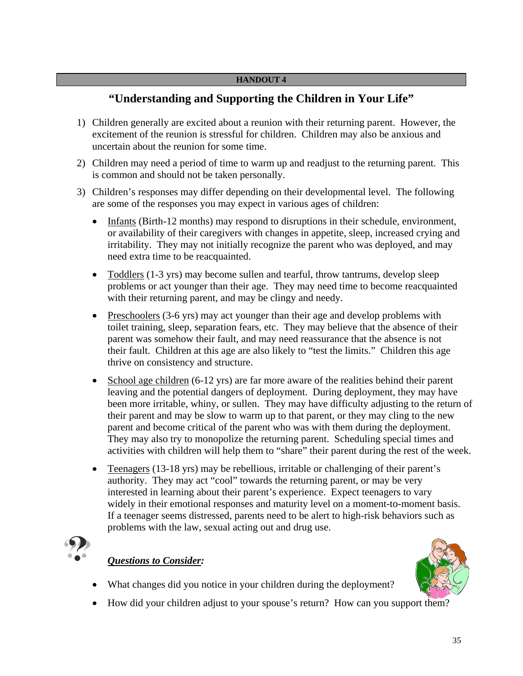### **"Understanding and Supporting the Children in Your Life"**

- 1) Children generally are excited about a reunion with their returning parent. However, the excitement of the reunion is stressful for children. Children may also be anxious and uncertain about the reunion for some time.
- 2) Children may need a period of time to warm up and readjust to the returning parent. This is common and should not be taken personally.
- 3) Children's responses may differ depending on their developmental level. The following are some of the responses you may expect in various ages of children:
	- Infants (Birth-12 months) may respond to disruptions in their schedule, environment, or availability of their caregivers with changes in appetite, sleep, increased crying and irritability. They may not initially recognize the parent who was deployed, and may need extra time to be reacquainted.
	- Toddlers (1-3 yrs) may become sullen and tearful, throw tantrums, develop sleep problems or act younger than their age. They may need time to become reacquainted with their returning parent, and may be clingy and needy.
	- Preschoolers (3-6 yrs) may act younger than their age and develop problems with toilet training, sleep, separation fears, etc. They may believe that the absence of their parent was somehow their fault, and may need reassurance that the absence is not their fault. Children at this age are also likely to "test the limits." Children this age thrive on consistency and structure.
	- School age children (6-12 yrs) are far more aware of the realities behind their parent leaving and the potential dangers of deployment. During deployment, they may have been more irritable, whiny, or sullen. They may have difficulty adjusting to the return of their parent and may be slow to warm up to that parent, or they may cling to the new parent and become critical of the parent who was with them during the deployment. They may also try to monopolize the returning parent. Scheduling special times and activities with children will help them to "share" their parent during the rest of the week.
	- Teenagers (13-18 yrs) may be rebellious, irritable or challenging of their parent's authority. They may act "cool" towards the returning parent, or may be very interested in learning about their parent's experience. Expect teenagers to vary widely in their emotional responses and maturity level on a moment-to-moment basis. If a teenager seems distressed, parents need to be alert to high-risk behaviors such as problems with the law, sexual acting out and drug use.



#### *Questions to Consider:*

- What changes did you notice in your children during the deployment?
- How did your children adjust to your spouse's return? How can you support them?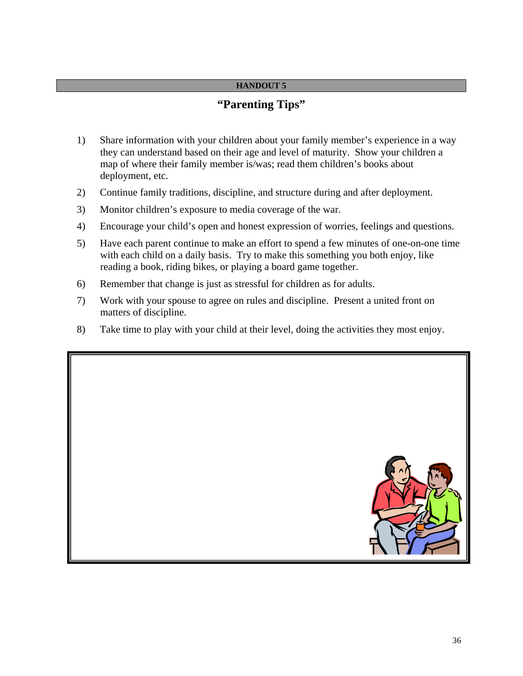### **"Parenting Tips"**

- 1) Share information with your children about your family member's experience in a way they can understand based on their age and level of maturity. Show your children a map of where their family member is/was; read them children's books about deployment, etc.
- 2) Continue family traditions, discipline, and structure during and after deployment.
- 3) Monitor children's exposure to media coverage of the war.
- 4) Encourage your child's open and honest expression of worries, feelings and questions.
- 5) Have each parent continue to make an effort to spend a few minutes of one-on-one time with each child on a daily basis. Try to make this something you both enjoy, like reading a book, riding bikes, or playing a board game together.
- 6) Remember that change is just as stressful for children as for adults.
- 7) Work with your spouse to agree on rules and discipline. Present a united front on matters of discipline.
- 8) Take time to play with your child at their level, doing the activities they most enjoy.

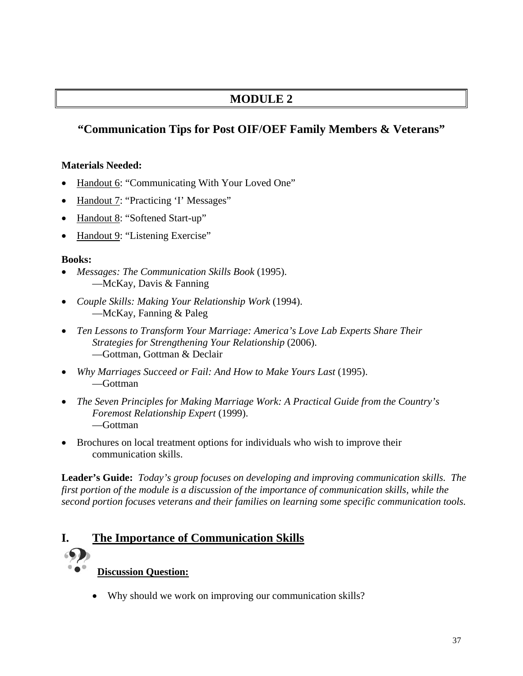# **MODULE 2**

# **"Communication Tips for Post OIF/OEF Family Members & Veterans"**

## **Materials Needed:**

- Handout 6: "Communicating With Your Loved One"
- Handout 7: "Practicing 'I' Messages"
- Handout 8: "Softened Start-up"
- Handout 9: "Listening Exercise"

#### **Books:**

- *Messages: The Communication Skills Book* (1995). —McKay, Davis & Fanning
- *Couple Skills: Making Your Relationship Work* (1994). —McKay, Fanning & Paleg
- *Ten Lessons to Transform Your Marriage: America's Love Lab Experts Share Their Strategies for Strengthening Your Relationship* (2006). —Gottman, Gottman & Declair
- *Why Marriages Succeed or Fail: And How to Make Yours Last* (1995). —Gottman
- *The Seven Principles for Making Marriage Work: A Practical Guide from the Country's Foremost Relationship Expert* (1999). —Gottman
- Brochures on local treatment options for individuals who wish to improve their communication skills.

**Leader's Guide:** *Today's group focuses on developing and improving communication skills. The first portion of the module is a discussion of the importance of communication skills, while the second portion focuses veterans and their families on learning some specific communication tools.* 

# **I. The Importance of Communication Skills**

- **Discussion Question:**
	- Why should we work on improving our communication skills?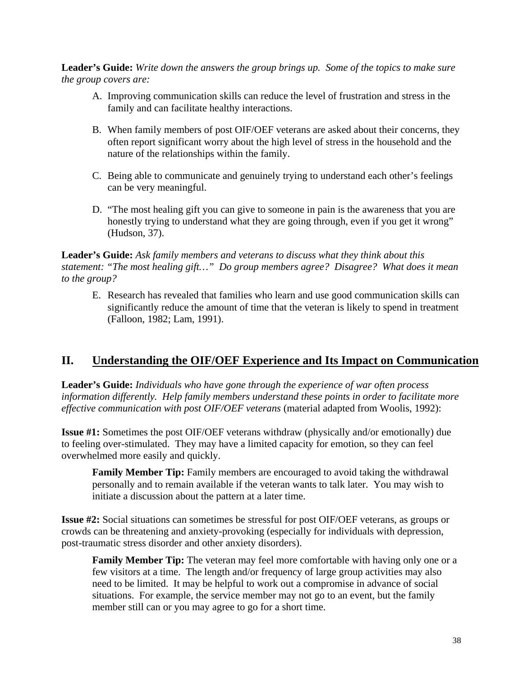**Leader's Guide:** *Write down the answers the group brings up. Some of the topics to make sure the group covers are:* 

- A. Improving communication skills can reduce the level of frustration and stress in the family and can facilitate healthy interactions.
- B. When family members of post OIF/OEF veterans are asked about their concerns, they often report significant worry about the high level of stress in the household and the nature of the relationships within the family.
- C. Being able to communicate and genuinely trying to understand each other's feelings can be very meaningful.
- D. "The most healing gift you can give to someone in pain is the awareness that you are honestly trying to understand what they are going through, even if you get it wrong" (Hudson, 37).

**Leader's Guide:** *Ask family members and veterans to discuss what they think about this statement: "The most healing gift…" Do group members agree? Disagree? What does it mean to the group?* 

E. Research has revealed that families who learn and use good communication skills can significantly reduce the amount of time that the veteran is likely to spend in treatment (Falloon, 1982; Lam, 1991).

# **II. Understanding the OIF/OEF Experience and Its Impact on Communication**

**Leader's Guide:** *Individuals who have gone through the experience of war often process information differently. Help family members understand these points in order to facilitate more effective communication with post OIF/OEF veterans* (material adapted from Woolis, 1992):

**Issue #1:** Sometimes the post OIF/OEF veterans withdraw (physically and/or emotionally) due to feeling over-stimulated. They may have a limited capacity for emotion, so they can feel overwhelmed more easily and quickly.

**Family Member Tip:** Family members are encouraged to avoid taking the withdrawal personally and to remain available if the veteran wants to talk later. You may wish to initiate a discussion about the pattern at a later time.

**Issue #2:** Social situations can sometimes be stressful for post OIF/OEF veterans, as groups or crowds can be threatening and anxiety-provoking (especially for individuals with depression, post-traumatic stress disorder and other anxiety disorders).

**Family Member Tip:** The veteran may feel more comfortable with having only one or a few visitors at a time. The length and/or frequency of large group activities may also need to be limited. It may be helpful to work out a compromise in advance of social situations. For example, the service member may not go to an event, but the family member still can or you may agree to go for a short time.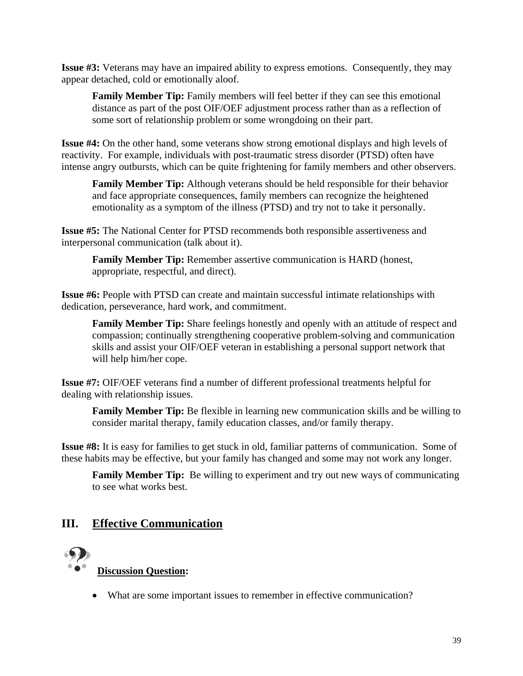**Issue #3:** Veterans may have an impaired ability to express emotions. Consequently, they may appear detached, cold or emotionally aloof.

**Family Member Tip:** Family members will feel better if they can see this emotional distance as part of the post OIF/OEF adjustment process rather than as a reflection of some sort of relationship problem or some wrongdoing on their part.

**Issue #4:** On the other hand, some veterans show strong emotional displays and high levels of reactivity. For example, individuals with post-traumatic stress disorder (PTSD) often have intense angry outbursts, which can be quite frightening for family members and other observers.

**Family Member Tip:** Although veterans should be held responsible for their behavior and face appropriate consequences, family members can recognize the heightened emotionality as a symptom of the illness (PTSD) and try not to take it personally.

**Issue #5:** The National Center for PTSD recommends both responsible assertiveness and interpersonal communication (talk about it).

**Family Member Tip:** Remember assertive communication is HARD (honest, appropriate, respectful, and direct).

**Issue #6:** People with PTSD can create and maintain successful intimate relationships with dedication, perseverance, hard work, and commitment.

**Family Member Tip:** Share feelings honestly and openly with an attitude of respect and compassion; continually strengthening cooperative problem-solving and communication skills and assist your OIF/OEF veteran in establishing a personal support network that will help him/her cope.

**Issue #7:** OIF/OEF veterans find a number of different professional treatments helpful for dealing with relationship issues.

**Family Member Tip:** Be flexible in learning new communication skills and be willing to consider marital therapy, family education classes, and/or family therapy.

**Issue #8:** It is easy for families to get stuck in old, familiar patterns of communication. Some of these habits may be effective, but your family has changed and some may not work any longer.

**Family Member Tip:** Be willing to experiment and try out new ways of communicating to see what works best.

# **III. Effective Communication**

# **Discussion Question:**

• What are some important issues to remember in effective communication?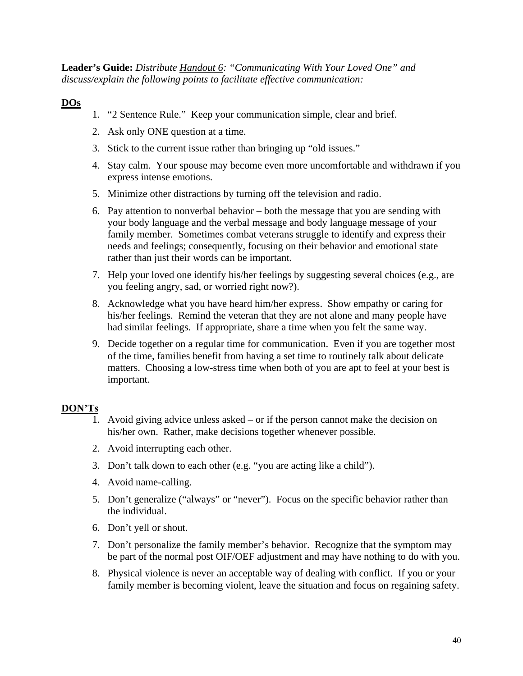**Leader's Guide:** *Distribute Handout 6: "Communicating With Your Loved One" and discuss/explain the following points to facilitate effective communication:* 

## **DOs**

- 1. "2 Sentence Rule." Keep your communication simple, clear and brief.
- 2. Ask only ONE question at a time.
- 3. Stick to the current issue rather than bringing up "old issues."
- 4. Stay calm. Your spouse may become even more uncomfortable and withdrawn if you express intense emotions.
- 5. Minimize other distractions by turning off the television and radio.
- 6. Pay attention to nonverbal behavior both the message that you are sending with your body language and the verbal message and body language message of your family member. Sometimes combat veterans struggle to identify and express their needs and feelings; consequently, focusing on their behavior and emotional state rather than just their words can be important.
- 7. Help your loved one identify his/her feelings by suggesting several choices (e.g., are you feeling angry, sad, or worried right now?).
- 8. Acknowledge what you have heard him/her express. Show empathy or caring for his/her feelings. Remind the veteran that they are not alone and many people have had similar feelings. If appropriate, share a time when you felt the same way.
- 9. Decide together on a regular time for communication. Even if you are together most of the time, families benefit from having a set time to routinely talk about delicate matters. Choosing a low-stress time when both of you are apt to feel at your best is important.

## **DON'Ts**

- 1. Avoid giving advice unless asked or if the person cannot make the decision on his/her own. Rather, make decisions together whenever possible.
- 2. Avoid interrupting each other.
- 3. Don't talk down to each other (e.g. "you are acting like a child").
- 4. Avoid name-calling.
- 5. Don't generalize ("always" or "never"). Focus on the specific behavior rather than the individual.
- 6. Don't yell or shout.
- 7. Don't personalize the family member's behavior. Recognize that the symptom may be part of the normal post OIF/OEF adjustment and may have nothing to do with you.
- 8. Physical violence is never an acceptable way of dealing with conflict. If you or your family member is becoming violent, leave the situation and focus on regaining safety.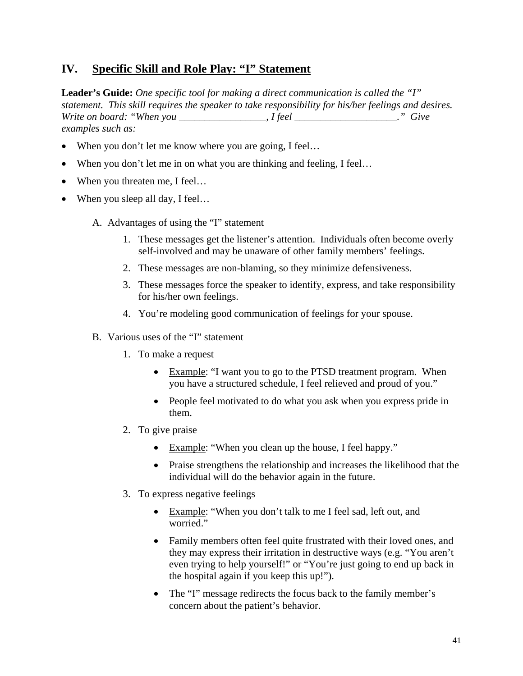## **IV. Specific Skill and Role Play: "I" Statement**

**Leader's Guide:** *One specific tool for making a direct communication is called the "I" statement. This skill requires the speaker to take responsibility for his/her feelings and desires. Write on board: "When you \_\_\_\_\_\_\_\_\_\_\_\_\_\_\_\_\_, I feel \_\_\_\_\_\_\_\_\_\_\_\_\_\_\_\_\_\_\_\_." Give examples such as:* 

- When you don't let me know where you are going, I feel...
- When you don't let me in on what you are thinking and feeling, I feel...
- When you threaten me, I feel...
- When you sleep all day, I feel...
	- A. Advantages of using the "I" statement
		- 1. These messages get the listener's attention. Individuals often become overly self-involved and may be unaware of other family members' feelings.
		- 2. These messages are non-blaming, so they minimize defensiveness.
		- 3. These messages force the speaker to identify, express, and take responsibility for his/her own feelings.
		- 4. You're modeling good communication of feelings for your spouse.
	- B. Various uses of the "I" statement
		- 1. To make a request
			- Example: "I want you to go to the PTSD treatment program. When you have a structured schedule, I feel relieved and proud of you."
			- People feel motivated to do what you ask when you express pride in them.
		- 2. To give praise
			- Example: "When you clean up the house, I feel happy."
			- Praise strengthens the relationship and increases the likelihood that the individual will do the behavior again in the future.
		- 3. To express negative feelings
			- Example: "When you don't talk to me I feel sad, left out, and worried."
			- Family members often feel quite frustrated with their loved ones, and they may express their irritation in destructive ways (e.g. "You aren't even trying to help yourself!" or "You're just going to end up back in the hospital again if you keep this up!").
			- The "I" message redirects the focus back to the family member's concern about the patient's behavior.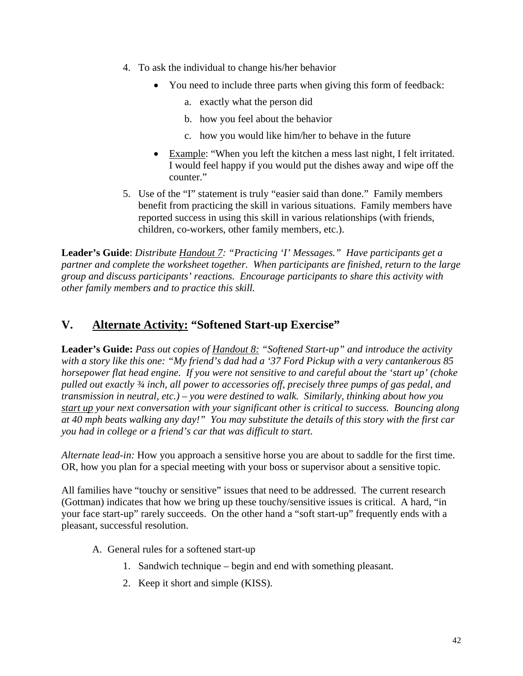- 4. To ask the individual to change his/her behavior
	- You need to include three parts when giving this form of feedback:
		- a. exactly what the person did
		- b. how you feel about the behavior
		- c. how you would like him/her to behave in the future
	- Example: "When you left the kitchen a mess last night, I felt irritated. I would feel happy if you would put the dishes away and wipe off the counter."
- 5. Use of the "I" statement is truly "easier said than done." Family members benefit from practicing the skill in various situations. Family members have reported success in using this skill in various relationships (with friends, children, co-workers, other family members, etc.).

**Leader's Guide**: *Distribute Handout 7: "Practicing 'I' Messages." Have participants get a partner and complete the worksheet together. When participants are finished, return to the large group and discuss participants' reactions. Encourage participants to share this activity with other family members and to practice this skill.* 

# **V. Alternate Activity: "Softened Start-up Exercise"**

**Leader's Guide:** *Pass out copies of Handout 8: "Softened Start-up" and introduce the activity with a story like this one: "My friend's dad had a '37 Ford Pickup with a very cantankerous 85 horsepower flat head engine. If you were not sensitive to and careful about the 'start up' (choke pulled out exactly ¾ inch, all power to accessories off, precisely three pumps of gas pedal, and transmission in neutral, etc.) – you were destined to walk. Similarly, thinking about how you start up your next conversation with your significant other is critical to success. Bouncing along at 40 mph beats walking any day!" You may substitute the details of this story with the first car you had in college or a friend's car that was difficult to start*.

*Alternate lead-in:* How you approach a sensitive horse you are about to saddle for the first time. OR, how you plan for a special meeting with your boss or supervisor about a sensitive topic.

All families have "touchy or sensitive" issues that need to be addressed. The current research (Gottman) indicates that how we bring up these touchy/sensitive issues is critical. A hard, "in your face start-up" rarely succeeds. On the other hand a "soft start-up" frequently ends with a pleasant, successful resolution.

- A. General rules for a softened start-up
	- 1. Sandwich technique begin and end with something pleasant.
	- 2. Keep it short and simple (KISS).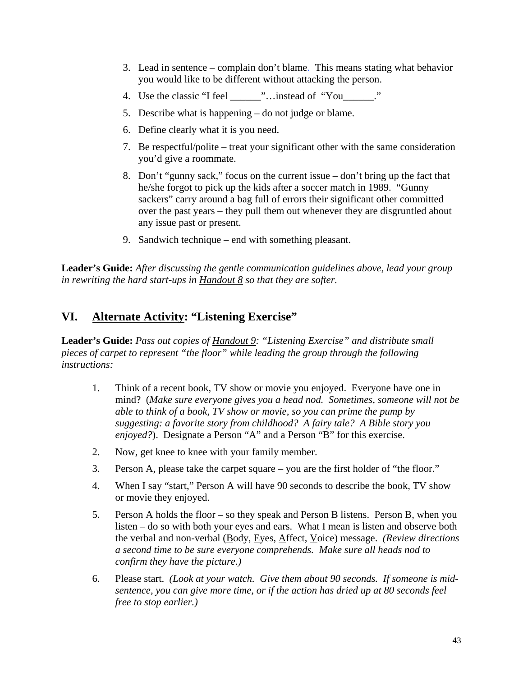- 3. Lead in sentence complain don't blame. This means stating what behavior you would like to be different without attacking the person.
- 4. Use the classic "I feel \_\_\_\_\_\_"…instead of "You\_\_\_\_\_\_."
- 5. Describe what is happening do not judge or blame.
- 6. Define clearly what it is you need.
- 7. Be respectful/polite treat your significant other with the same consideration you'd give a roommate.
- 8. Don't "gunny sack," focus on the current issue don't bring up the fact that he/she forgot to pick up the kids after a soccer match in 1989. "Gunny sackers" carry around a bag full of errors their significant other committed over the past years – they pull them out whenever they are disgruntled about any issue past or present.
- 9. Sandwich technique end with something pleasant.

**Leader's Guide:** *After discussing the gentle communication guidelines above, lead your group in rewriting the hard start-ups in Handout 8 so that they are softer.* 

## **VI. Alternate Activity: "Listening Exercise"**

**Leader's Guide:** *Pass out copies of Handout 9: "Listening Exercise" and distribute small pieces of carpet to represent "the floor" while leading the group through the following instructions:* 

- 1. Think of a recent book, TV show or movie you enjoyed. Everyone have one in mind? (*Make sure everyone gives you a head nod. Sometimes, someone will not be able to think of a book, TV show or movie, so you can prime the pump by suggesting: a favorite story from childhood? A fairy tale? A Bible story you enjoyed?*). Designate a Person "A" and a Person "B" for this exercise.
- 2. Now, get knee to knee with your family member.
- 3. Person A, please take the carpet square you are the first holder of "the floor."
- 4. When I say "start," Person A will have 90 seconds to describe the book, TV show or movie they enjoyed.
- 5. Person A holds the floor so they speak and Person B listens. Person B, when you listen – do so with both your eyes and ears. What I mean is listen and observe both the verbal and non-verbal (Body, Eyes, Affect, Voice) message. *(Review directions a second time to be sure everyone comprehends. Make sure all heads nod to confirm they have the picture.)*
- 6. Please start. *(Look at your watch. Give them about 90 seconds. If someone is midsentence, you can give more time, or if the action has dried up at 80 seconds feel free to stop earlier.)*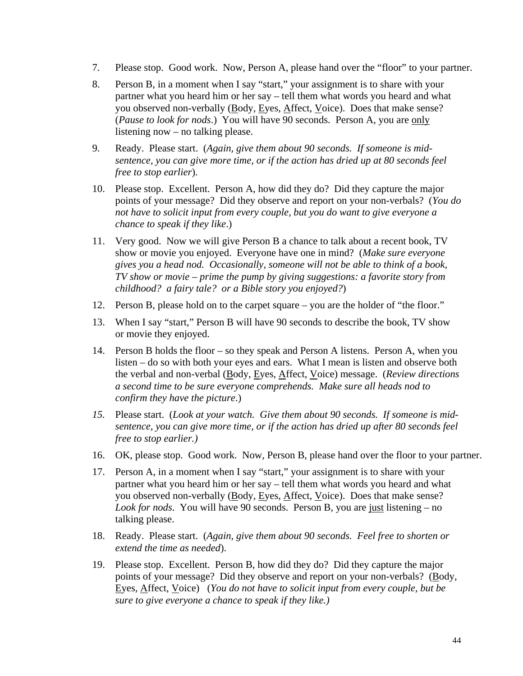- 7. Please stop. Good work. Now, Person A, please hand over the "floor" to your partner.
- 8. Person B, in a moment when I say "start," your assignment is to share with your partner what you heard him or her say – tell them what words you heard and what you observed non-verbally (Body, Eyes, Affect, Voice). Does that make sense? (*Pause to look for nods*.) You will have 90 seconds. Person A, you are only listening now – no talking please.
- 9. Ready. Please start. (*Again, give them about 90 seconds. If someone is midsentence, you can give more time, or if the action has dried up at 80 seconds feel free to stop earlier*).
- 10. Please stop. Excellent. Person A, how did they do? Did they capture the major points of your message? Did they observe and report on your non-verbals? (*You do not have to solicit input from every couple, but you do want to give everyone a chance to speak if they like*.)
- 11. Very good. Now we will give Person B a chance to talk about a recent book, TV show or movie you enjoyed. Everyone have one in mind? (*Make sure everyone gives you a head nod. Occasionally, someone will not be able to think of a book, TV show or movie – prime the pump by giving suggestions: a favorite story from childhood? a fairy tale? or a Bible story you enjoyed?*)
- 12. Person B, please hold on to the carpet square you are the holder of "the floor."
- 13. When I say "start," Person B will have 90 seconds to describe the book, TV show or movie they enjoyed.
- 14. Person B holds the floor so they speak and Person A listens. Person A, when you listen – do so with both your eyes and ears. What I mean is listen and observe both the verbal and non-verbal (Body, Eyes, Affect, Voice) message. (*Review directions a second time to be sure everyone comprehends. Make sure all heads nod to confirm they have the picture*.)
- *15.* Please start. (*Look at your watch. Give them about 90 seconds. If someone is midsentence, you can give more time, or if the action has dried up after 80 seconds feel free to stop earlier.)*
- 16. OK, please stop. Good work. Now, Person B, please hand over the floor to your partner.
- 17. Person A, in a moment when I say "start," your assignment is to share with your partner what you heard him or her say – tell them what words you heard and what you observed non-verbally (Body, Eyes, Affect, Voice). Does that make sense? *Look for nods*. You will have 90 seconds. Person B, you are just listening – no talking please.
- 18. Ready. Please start. (*Again, give them about 90 seconds. Feel free to shorten or extend the time as needed*).
- 19. Please stop. Excellent. Person B, how did they do? Did they capture the major points of your message? Did they observe and report on your non-verbals? (Body, Eyes, Affect, Voice) (*You do not have to solicit input from every couple, but be sure to give everyone a chance to speak if they like.)*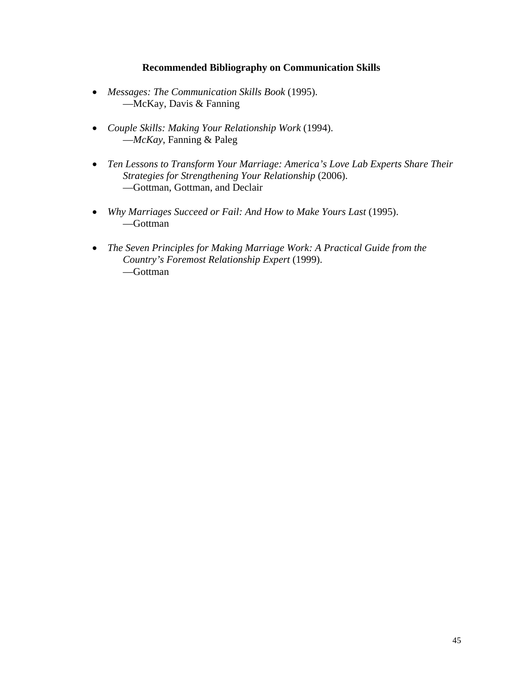#### **Recommended Bibliography on Communication Skills**

- *Messages: The Communication Skills Book* (1995). —McKay, Davis & Fanning
- *Couple Skills: Making Your Relationship Work* (1994). —*McKay*, Fanning & Paleg
- *Ten Lessons to Transform Your Marriage: America's Love Lab Experts Share Their Strategies for Strengthening Your Relationship* (2006). —Gottman, Gottman, and Declair
- *Why Marriages Succeed or Fail: And How to Make Yours Last* (1995). —Gottman
- *The Seven Principles for Making Marriage Work: A Practical Guide from the Country's Foremost Relationship Expert* (1999). —Gottman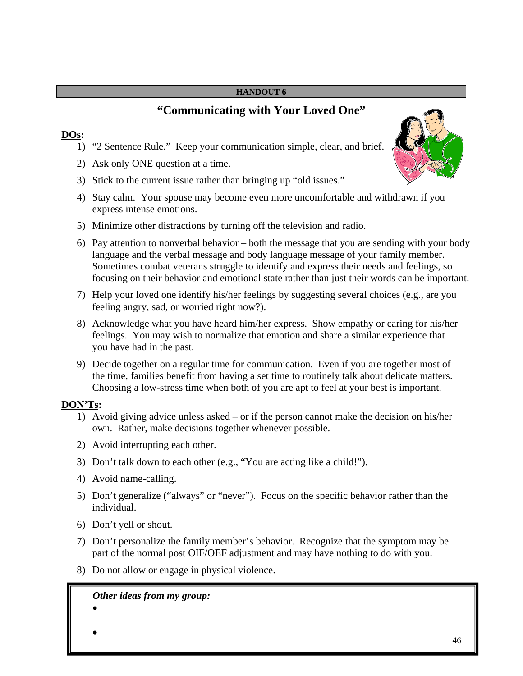# **"Communicating with Your Loved One"**

### **DOs:**

- 1) "2 Sentence Rule." Keep your communication simple, clear, and brief.
- 2) Ask only ONE question at a time.
- 3) Stick to the current issue rather than bringing up "old issues."
- 4) Stay calm. Your spouse may become even more uncomfortable and withdrawn if you express intense emotions.
- 5) Minimize other distractions by turning off the television and radio.
- 6) Pay attention to nonverbal behavior both the message that you are sending with your body language and the verbal message and body language message of your family member. Sometimes combat veterans struggle to identify and express their needs and feelings, so focusing on their behavior and emotional state rather than just their words can be important.
- 7) Help your loved one identify his/her feelings by suggesting several choices (e.g., are you feeling angry, sad, or worried right now?).
- 8) Acknowledge what you have heard him/her express. Show empathy or caring for his/her feelings. You may wish to normalize that emotion and share a similar experience that you have had in the past.
- 9) Decide together on a regular time for communication. Even if you are together most of the time, families benefit from having a set time to routinely talk about delicate matters. Choosing a low-stress time when both of you are apt to feel at your best is important.

## **DON'Ts:**

- 1) Avoid giving advice unless asked or if the person cannot make the decision on his/her own. Rather, make decisions together whenever possible.
- 2) Avoid interrupting each other.
- 3) Don't talk down to each other (e.g., "You are acting like a child!").
- 4) Avoid name-calling.
- 5) Don't generalize ("always" or "never"). Focus on the specific behavior rather than the individual.
- 6) Don't yell or shout.
- 7) Don't personalize the family member's behavior. Recognize that the symptom may be part of the normal post OIF/OEF adjustment and may have nothing to do with you.
- 8) Do not allow or engage in physical violence.

## *Other ideas from my group:*

•

•

46

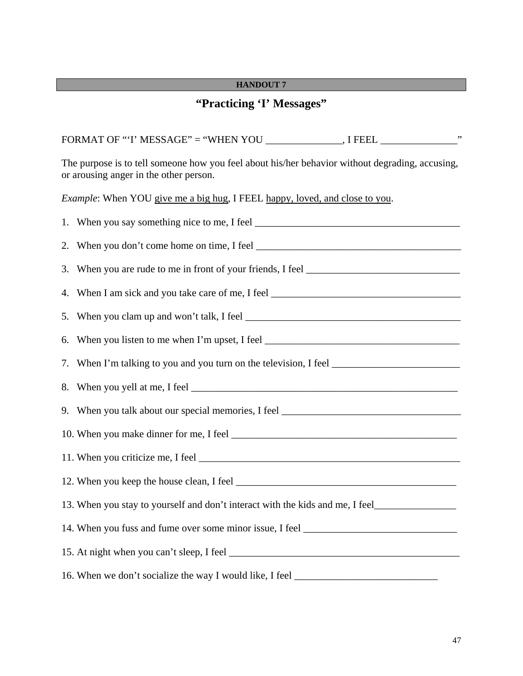## **"Practicing 'I' Messages"**

FORMAT OF "'I' MESSAGE" = "WHEN YOU \_\_\_\_\_\_\_\_\_\_\_\_\_, I FEEL \_\_\_\_\_\_\_\_\_\_\_\_\_\_\_\_\_\_\_\_\_\_ The purpose is to tell someone how you feel about his/her behavior without degrading, accusing, or arousing anger in the other person. *Example*: When YOU give me a big hug, I FEEL happy, loved, and close to you. 1. When you say something nice to me, I feel \_\_\_\_\_\_\_\_\_\_\_\_\_\_\_\_\_\_\_\_\_\_\_\_\_\_\_\_\_\_\_\_\_\_\_\_\_\_\_\_ 2. When you don't come home on time, I feel 3. When you are rude to me in front of your friends, I feel \_\_\_\_\_\_\_\_\_\_\_\_\_\_\_\_\_\_\_\_\_ 4. When I am sick and you take care of me, I feel 5. When you clam up and won't talk, I feel \_\_\_\_\_\_\_\_\_\_\_\_\_\_\_\_\_\_\_\_\_\_\_\_\_\_\_\_\_\_\_\_\_\_\_\_\_\_\_\_\_\_ 6. When you listen to me when I'm upset, I feel  $\frac{1}{2}$   $\frac{1}{2}$   $\frac{1}{2}$   $\frac{1}{2}$   $\frac{1}{2}$   $\frac{1}{2}$   $\frac{1}{2}$   $\frac{1}{2}$   $\frac{1}{2}$   $\frac{1}{2}$   $\frac{1}{2}$   $\frac{1}{2}$   $\frac{1}{2}$   $\frac{1}{2}$   $\frac{1}{2}$   $\frac{1}{2}$   $\frac{1}{2}$   $\frac$ 7. When I'm talking to you and you turn on the television, I feel \_\_\_\_\_\_\_\_\_\_\_\_\_\_\_\_\_\_\_\_\_\_\_\_\_ 8. When you yell at me, I feel \_\_\_\_\_\_\_\_\_\_\_\_\_\_\_\_\_\_\_\_\_\_\_\_\_\_\_\_\_\_\_\_\_\_\_\_\_\_\_\_\_\_\_\_\_\_\_\_\_\_\_\_ 9. When you talk about our special memories, I feel \_\_\_\_\_\_\_\_\_\_\_\_\_\_\_\_\_\_\_\_\_\_\_\_\_\_\_\_ 10. When you make dinner for me, I feel \_\_\_\_\_\_\_\_\_\_\_\_\_\_\_\_\_\_\_\_\_\_\_\_\_\_\_\_\_\_\_\_\_\_\_\_\_\_\_\_\_\_\_\_ 11. When you criticize me, I feel \_\_\_\_\_\_\_\_\_\_\_\_\_\_\_\_\_\_\_\_\_\_\_\_\_\_\_\_\_\_\_\_\_\_\_\_\_\_\_\_\_\_\_\_\_\_\_\_\_\_\_ 12. When you keep the house clean, I feel 13. When you stay to yourself and don't interact with the kids and me, I feel\_\_\_\_\_\_\_\_\_\_\_\_\_\_\_\_\_\_\_\_\_\_\_ 14. When you fuss and fume over some minor issue, I feel \_\_\_\_\_\_\_\_\_\_\_\_\_\_\_\_\_\_\_\_\_\_\_ 15. At night when you can't sleep, I feel 16. When we don't socialize the way I would like, I feel \_\_\_\_\_\_\_\_\_\_\_\_\_\_\_\_\_\_\_\_\_\_\_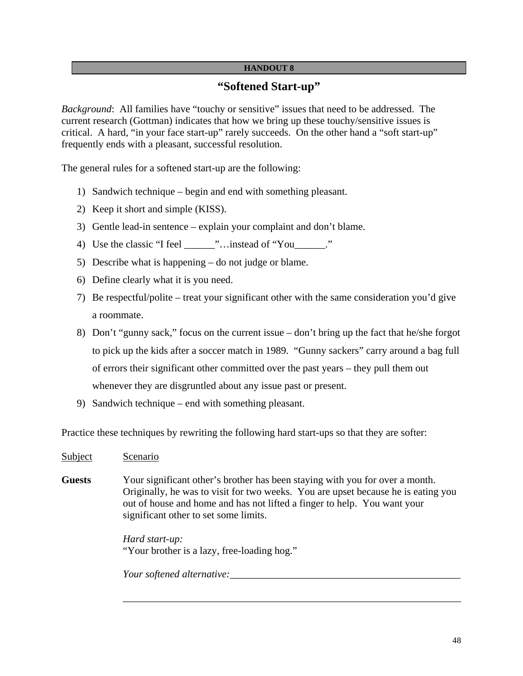## **"Softened Start-up"**

*Background*: All families have "touchy or sensitive" issues that need to be addressed. The current research (Gottman) indicates that how we bring up these touchy/sensitive issues is critical. A hard, "in your face start-up" rarely succeeds. On the other hand a "soft start-up" frequently ends with a pleasant, successful resolution.

The general rules for a softened start-up are the following:

- 1) Sandwich technique begin and end with something pleasant.
- 2) Keep it short and simple (KISS).
- 3) Gentle lead-in sentence explain your complaint and don't blame.
- 4) Use the classic "I feel  $\ldots$  instead of "You"
- 5) Describe what is happening do not judge or blame.
- 6) Define clearly what it is you need.
- 7) Be respectful/polite treat your significant other with the same consideration you'd give a roommate.
- 8) Don't "gunny sack," focus on the current issue don't bring up the fact that he/she forgot to pick up the kids after a soccer match in 1989. "Gunny sackers" carry around a bag full of errors their significant other committed over the past years – they pull them out whenever they are disgruntled about any issue past or present.
- 9) Sandwich technique end with something pleasant.

Practice these techniques by rewriting the following hard start-ups so that they are softer:

- Subject Scenario
- **Guests** Your significant other's brother has been staying with you for over a month. Originally, he was to visit for two weeks. You are upset because he is eating you out of house and home and has not lifted a finger to help. You want your significant other to set some limits.

 $\overline{\phantom{a}}$  ,  $\overline{\phantom{a}}$  ,  $\overline{\phantom{a}}$  ,  $\overline{\phantom{a}}$  ,  $\overline{\phantom{a}}$  ,  $\overline{\phantom{a}}$  ,  $\overline{\phantom{a}}$  ,  $\overline{\phantom{a}}$  ,  $\overline{\phantom{a}}$  ,  $\overline{\phantom{a}}$  ,  $\overline{\phantom{a}}$  ,  $\overline{\phantom{a}}$  ,  $\overline{\phantom{a}}$  ,  $\overline{\phantom{a}}$  ,  $\overline{\phantom{a}}$  ,  $\overline{\phantom{a}}$ 

*Hard start-up:*  "Your brother is a lazy, free-loading hog."

*Your softened alternative:*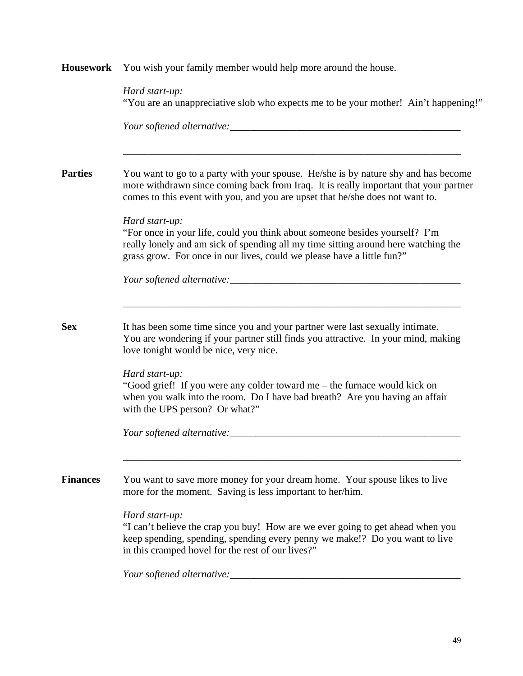| <b>Housework</b> | You wish your family member would help more around the house.                                                                                                                                                                                                 |  |
|------------------|---------------------------------------------------------------------------------------------------------------------------------------------------------------------------------------------------------------------------------------------------------------|--|
|                  | Hard start-up:<br>"You are an unappreciative slob who expects me to be your mother! Ain't happening!"<br>Your softened alternative:                                                                                                                           |  |
| <b>Parties</b>   | You want to go to a party with your spouse. He/she is by nature shy and has become<br>more withdrawn since coming back from Iraq. It is really important that your partner<br>comes to this event with you, and you are upset that he/she does not want to.   |  |
|                  | Hard start-up:<br>"For once in your life, could you think about someone besides yourself? I'm<br>really lonely and am sick of spending all my time sitting around here watching the<br>grass grow. For once in our lives, could we please have a little fun?" |  |
|                  |                                                                                                                                                                                                                                                               |  |
| <b>Sex</b>       | It has been some time since you and your partner were last sexually intimate.<br>You are wondering if your partner still finds you attractive. In your mind, making<br>love tonight would be nice, very nice.                                                 |  |
|                  | Hard start-up:<br>"Good grief! If you were any colder toward me – the furnace would kick on<br>when you walk into the room. Do I have bad breath? Are you having an affair<br>with the UPS person? Or what?"                                                  |  |
|                  | Your softened alternative:                                                                                                                                                                                                                                    |  |
| <b>Finances</b>  | You want to save more money for your dream home. Your spouse likes to live<br>more for the moment. Saving is less important to her/him.                                                                                                                       |  |
|                  | Hard start-up:<br>"I can't believe the crap you buy! How are we ever going to get ahead when you<br>keep spending, spending, spending every penny we make!? Do you want to live<br>in this cramped hovel for the rest of our lives?"                          |  |
|                  | Your softened alternative:                                                                                                                                                                                                                                    |  |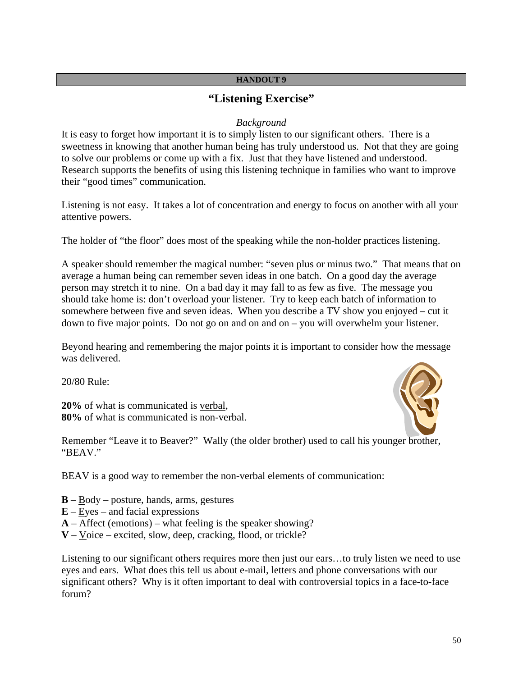## **"Listening Exercise"**

#### *Background*

It is easy to forget how important it is to simply listen to our significant others. There is a sweetness in knowing that another human being has truly understood us. Not that they are going to solve our problems or come up with a fix. Just that they have listened and understood. Research supports the benefits of using this listening technique in families who want to improve their "good times" communication.

Listening is not easy. It takes a lot of concentration and energy to focus on another with all your attentive powers.

The holder of "the floor" does most of the speaking while the non-holder practices listening.

A speaker should remember the magical number: "seven plus or minus two." That means that on average a human being can remember seven ideas in one batch. On a good day the average person may stretch it to nine. On a bad day it may fall to as few as five. The message you should take home is: don't overload your listener. Try to keep each batch of information to somewhere between five and seven ideas. When you describe a TV show you enjoyed – cut it down to five major points. Do not go on and on and on  $-$  you will overwhelm your listener.

Beyond hearing and remembering the major points it is important to consider how the message was delivered.

20/80 Rule:

**20%** of what is communicated is verbal, **80%** of what is communicated is non-verbal.



Remember "Leave it to Beaver?" Wally (the older brother) used to call his younger brother, "BEAV."

BEAV is a good way to remember the non-verbal elements of communication:

- $\mathbf{B} \underline{\text{Body}} -$  posture, hands, arms, gestures
- **E** Eyes and facial expressions
- $\bf{A}$   $\bf{After}$  (emotions) what feeling is the speaker showing?
- **V** Voice excited, slow, deep, cracking, flood, or trickle?

Listening to our significant others requires more then just our ears…to truly listen we need to use eyes and ears. What does this tell us about e-mail, letters and phone conversations with our significant others? Why is it often important to deal with controversial topics in a face-to-face forum?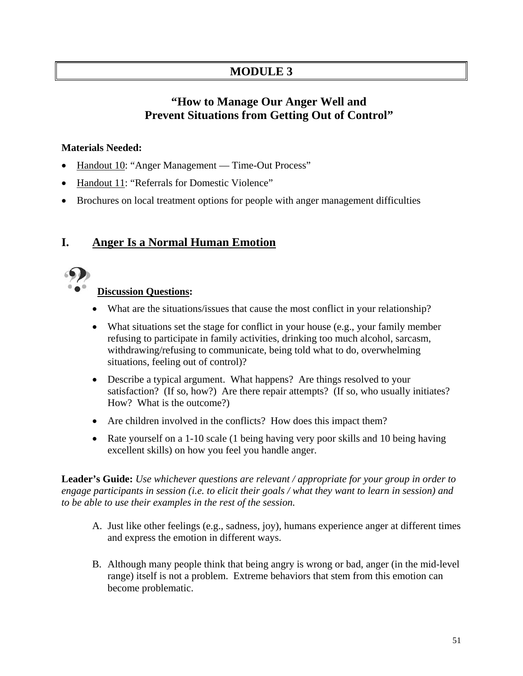# **MODULE 3**

# **"How to Manage Our Anger Well and Prevent Situations from Getting Out of Control"**

## **Materials Needed:**

- Handout 10: "Anger Management Time-Out Process"
- Handout 11: "Referrals for Domestic Violence"
- Brochures on local treatment options for people with anger management difficulties

# **I. Anger Is a Normal Human Emotion**



## **Discussion Questions:**

- What are the situations/issues that cause the most conflict in your relationship?
- What situations set the stage for conflict in your house (e.g., your family member refusing to participate in family activities, drinking too much alcohol, sarcasm, withdrawing/refusing to communicate, being told what to do, overwhelming situations, feeling out of control)?
- Describe a typical argument. What happens? Are things resolved to your satisfaction? (If so, how?) Are there repair attempts? (If so, who usually initiates? How? What is the outcome?)
- Are children involved in the conflicts? How does this impact them?
- Rate yourself on a 1-10 scale (1 being having very poor skills and 10 being having excellent skills) on how you feel you handle anger.

**Leader's Guide:** *Use whichever questions are relevant / appropriate for your group in order to engage participants in session (i.e. to elicit their goals / what they want to learn in session) and to be able to use their examples in the rest of the session.*

- A. Just like other feelings (e.g., sadness, joy), humans experience anger at different times and express the emotion in different ways.
- B. Although many people think that being angry is wrong or bad, anger (in the mid-level range) itself is not a problem. Extreme behaviors that stem from this emotion can become problematic.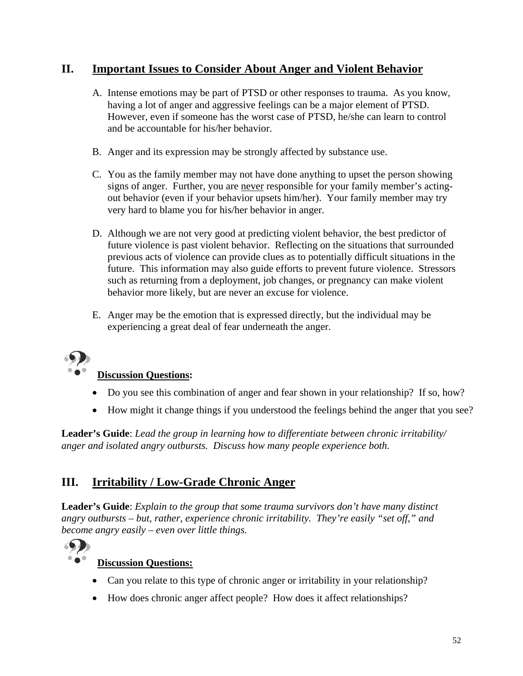# **II. Important Issues to Consider About Anger and Violent Behavior**

- A. Intense emotions may be part of PTSD or other responses to trauma. As you know, having a lot of anger and aggressive feelings can be a major element of PTSD. However, even if someone has the worst case of PTSD, he/she can learn to control and be accountable for his/her behavior.
- B. Anger and its expression may be strongly affected by substance use.
- C. You as the family member may not have done anything to upset the person showing signs of anger. Further, you are never responsible for your family member's actingout behavior (even if your behavior upsets him/her). Your family member may try very hard to blame you for his/her behavior in anger.
- D. Although we are not very good at predicting violent behavior, the best predictor of future violence is past violent behavior. Reflecting on the situations that surrounded previous acts of violence can provide clues as to potentially difficult situations in the future. This information may also guide efforts to prevent future violence. Stressors such as returning from a deployment, job changes, or pregnancy can make violent behavior more likely, but are never an excuse for violence.
- E. Anger may be the emotion that is expressed directly, but the individual may be experiencing a great deal of fear underneath the anger.



## **Discussion Questions:**

- Do you see this combination of anger and fear shown in your relationship? If so, how?
- How might it change things if you understood the feelings behind the anger that you see?

**Leader's Guide**: *Lead the group in learning how to differentiate between chronic irritability/ anger and isolated angry outbursts. Discuss how many people experience both.* 

# **III. Irritability / Low-Grade Chronic Anger**

**Leader's Guide**: *Explain to the group that some trauma survivors don't have many distinct angry outbursts – but, rather, experience chronic irritability. They're easily "set off," and become angry easily – even over little things.* 



## **Discussion Questions:**

- Can you relate to this type of chronic anger or irritability in your relationship?
- How does chronic anger affect people? How does it affect relationships?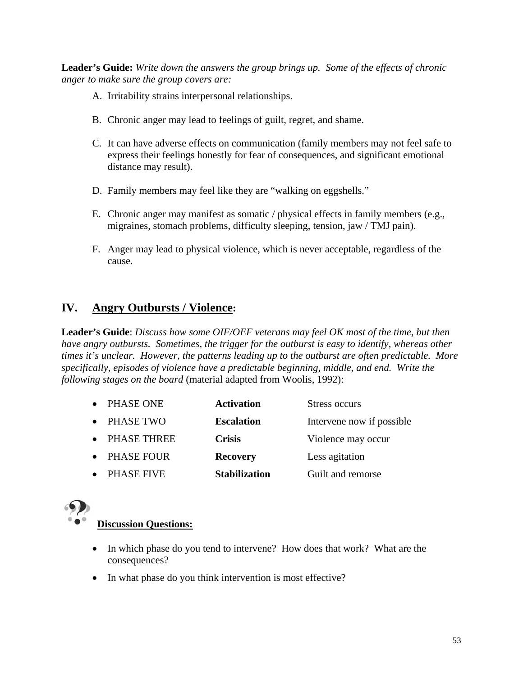**Leader's Guide:** *Write down the answers the group brings up. Some of the effects of chronic anger to make sure the group covers are:* 

- A. Irritability strains interpersonal relationships.
- B. Chronic anger may lead to feelings of guilt, regret, and shame.
- C. It can have adverse effects on communication (family members may not feel safe to express their feelings honestly for fear of consequences, and significant emotional distance may result).
- D. Family members may feel like they are "walking on eggshells."
- E. Chronic anger may manifest as somatic / physical effects in family members (e.g., migraines, stomach problems, difficulty sleeping, tension, jaw / TMJ pain).
- F. Anger may lead to physical violence, which is never acceptable, regardless of the cause.

# **IV. Angry Outbursts / Violence:**

**Leader's Guide**: *Discuss how some OIF/OEF veterans may feel OK most of the time, but then have angry outbursts. Sometimes, the trigger for the outburst is easy to identify, whereas other times it's unclear. However, the patterns leading up to the outburst are often predictable. More specifically, episodes of violence have a predictable beginning, middle, and end. Write the following stages on the board* (material adapted from Woolis, 1992):

- PHASE ONE **Activation** Stress occurs
- PHASE TWO **Escalation** Intervene now if possible
- PHASE THREE **Crisis** Violence may occur
- PHASE FOUR **Recovery** Less agitation
- PHASE FIVE **Stabilization** Guilt and remorse



## **Discussion Questions:**

- In which phase do you tend to intervene? How does that work? What are the consequences?
- In what phase do you think intervention is most effective?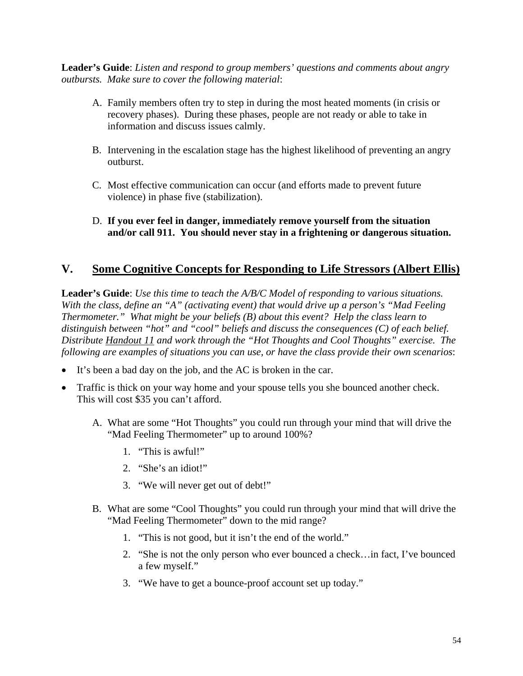**Leader's Guide**: *Listen and respond to group members' questions and comments about angry outbursts. Make sure to cover the following material*:

- A. Family members often try to step in during the most heated moments (in crisis or recovery phases). During these phases, people are not ready or able to take in information and discuss issues calmly.
- B. Intervening in the escalation stage has the highest likelihood of preventing an angry outburst.
- C. Most effective communication can occur (and efforts made to prevent future violence) in phase five (stabilization).
- D. **If you ever feel in danger, immediately remove yourself from the situation and/or call 911. You should never stay in a frightening or dangerous situation.**

# **V. Some Cognitive Concepts for Responding to Life Stressors (Albert Ellis)**

**Leader's Guide**: *Use this time to teach the A/B/C Model of responding to various situations. With the class, define an "A" (activating event) that would drive up a person's "Mad Feeling Thermometer." What might be your beliefs (B) about this event? Help the class learn to distinguish between "hot" and "cool" beliefs and discuss the consequences (C) of each belief. Distribute Handout 11 and work through the "Hot Thoughts and Cool Thoughts" exercise. The following are examples of situations you can use, or have the class provide their own scenarios*:

- It's been a bad day on the job, and the AC is broken in the car.
- Traffic is thick on your way home and your spouse tells you she bounced another check. This will cost \$35 you can't afford.
	- A. What are some "Hot Thoughts" you could run through your mind that will drive the "Mad Feeling Thermometer" up to around 100%?
		- 1. "This is awful!"
		- 2. "She's an idiot!"
		- 3. "We will never get out of debt!"
	- B. What are some "Cool Thoughts" you could run through your mind that will drive the "Mad Feeling Thermometer" down to the mid range?
		- 1. "This is not good, but it isn't the end of the world."
		- 2. "She is not the only person who ever bounced a check…in fact, I've bounced a few myself."
		- 3. "We have to get a bounce-proof account set up today."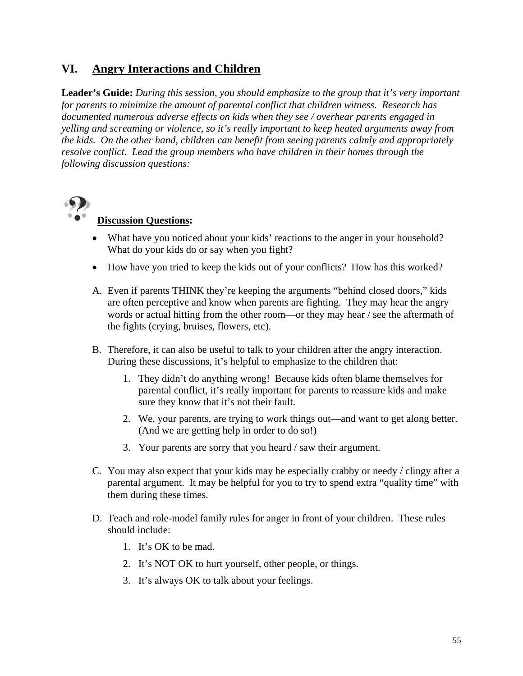# **VI. Angry Interactions and Children**

**Leader's Guide:** *During this session, you should emphasize to the group that it's very important for parents to minimize the amount of parental conflict that children witness. Research has documented numerous adverse effects on kids when they see / overhear parents engaged in yelling and screaming or violence, so it's really important to keep heated arguments away from the kids. On the other hand, children can benefit from seeing parents calmly and appropriately resolve conflict. Lead the group members who have children in their homes through the following discussion questions:* 



## **Discussion Questions:**

- What have you noticed about your kids' reactions to the anger in your household? What do your kids do or say when you fight?
- How have you tried to keep the kids out of your conflicts? How has this worked?
- A. Even if parents THINK they're keeping the arguments "behind closed doors," kids are often perceptive and know when parents are fighting. They may hear the angry words or actual hitting from the other room—or they may hear / see the aftermath of the fights (crying, bruises, flowers, etc).
- B. Therefore, it can also be useful to talk to your children after the angry interaction. During these discussions, it's helpful to emphasize to the children that:
	- 1. They didn't do anything wrong! Because kids often blame themselves for parental conflict, it's really important for parents to reassure kids and make sure they know that it's not their fault.
	- 2. We, your parents, are trying to work things out—and want to get along better. (And we are getting help in order to do so!)
	- 3. Your parents are sorry that you heard / saw their argument.
- C. You may also expect that your kids may be especially crabby or needy / clingy after a parental argument. It may be helpful for you to try to spend extra "quality time" with them during these times.
- D. Teach and role-model family rules for anger in front of your children. These rules should include:
	- 1. It's OK to be mad.
	- 2. It's NOT OK to hurt yourself, other people, or things.
	- 3. It's always OK to talk about your feelings.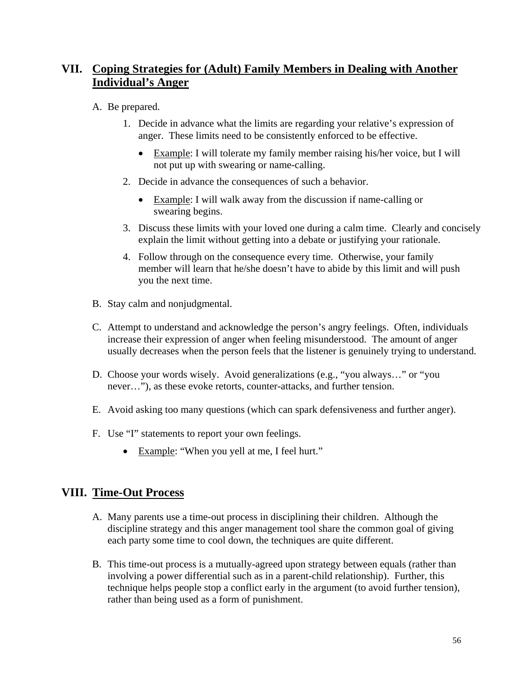# **VII. Coping Strategies for (Adult) Family Members in Dealing with Another Individual's Anger**

## A. Be prepared.

- 1. Decide in advance what the limits are regarding your relative's expression of anger. These limits need to be consistently enforced to be effective.
	- Example: I will tolerate my family member raising his/her voice, but I will not put up with swearing or name-calling.
- 2. Decide in advance the consequences of such a behavior.
	- Example: I will walk away from the discussion if name-calling or swearing begins.
- 3. Discuss these limits with your loved one during a calm time. Clearly and concisely explain the limit without getting into a debate or justifying your rationale.
- 4. Follow through on the consequence every time. Otherwise, your family member will learn that he/she doesn't have to abide by this limit and will push you the next time.
- B. Stay calm and nonjudgmental.
- C. Attempt to understand and acknowledge the person's angry feelings. Often, individuals increase their expression of anger when feeling misunderstood. The amount of anger usually decreases when the person feels that the listener is genuinely trying to understand.
- D. Choose your words wisely. Avoid generalizations (e.g., "you always…" or "you never…"), as these evoke retorts, counter-attacks, and further tension.
- E. Avoid asking too many questions (which can spark defensiveness and further anger).
- F. Use "I" statements to report your own feelings.
	- Example: "When you yell at me, I feel hurt."

## **VIII. Time-Out Process**

- A. Many parents use a time-out process in disciplining their children. Although the discipline strategy and this anger management tool share the common goal of giving each party some time to cool down, the techniques are quite different.
- B. This time-out process is a mutually-agreed upon strategy between equals (rather than involving a power differential such as in a parent-child relationship). Further, this technique helps people stop a conflict early in the argument (to avoid further tension), rather than being used as a form of punishment.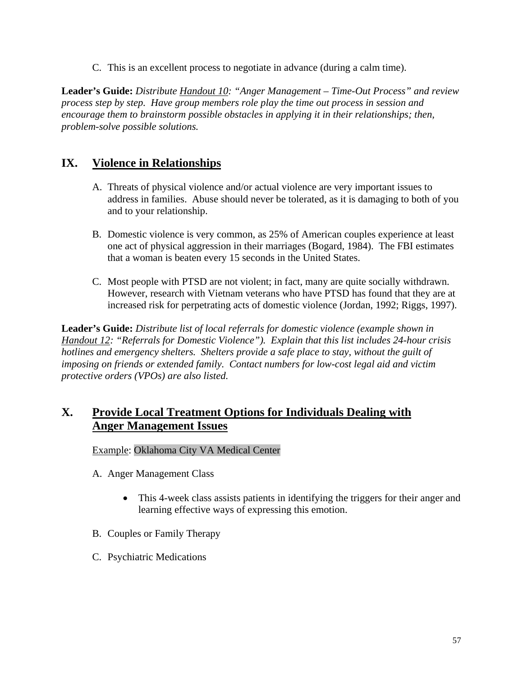C. This is an excellent process to negotiate in advance (during a calm time).

**Leader's Guide:** *Distribute Handout 10: "Anger Management – Time-Out Process" and review process step by step. Have group members role play the time out process in session and encourage them to brainstorm possible obstacles in applying it in their relationships; then, problem-solve possible solutions.* 

## **IX. Violence in Relationships**

- A. Threats of physical violence and/or actual violence are very important issues to address in families. Abuse should never be tolerated, as it is damaging to both of you and to your relationship.
- B. Domestic violence is very common, as 25% of American couples experience at least one act of physical aggression in their marriages (Bogard, 1984). The FBI estimates that a woman is beaten every 15 seconds in the United States.
- C. Most people with PTSD are not violent; in fact, many are quite socially withdrawn. However, research with Vietnam veterans who have PTSD has found that they are at increased risk for perpetrating acts of domestic violence (Jordan, 1992; Riggs, 1997).

**Leader's Guide:** *Distribute list of local referrals for domestic violence (example shown in Handout 12: "Referrals for Domestic Violence"). Explain that this list includes 24-hour crisis hotlines and emergency shelters. Shelters provide a safe place to stay, without the guilt of imposing on friends or extended family. Contact numbers for low-cost legal aid and victim protective orders (VPOs) are also listed.*

# **X. Provide Local Treatment Options for Individuals Dealing with Anger Management Issues**

#### Example: Oklahoma City VA Medical Center

- A. Anger Management Class
	- This 4-week class assists patients in identifying the triggers for their anger and learning effective ways of expressing this emotion.
- B. Couples or Family Therapy
- C. Psychiatric Medications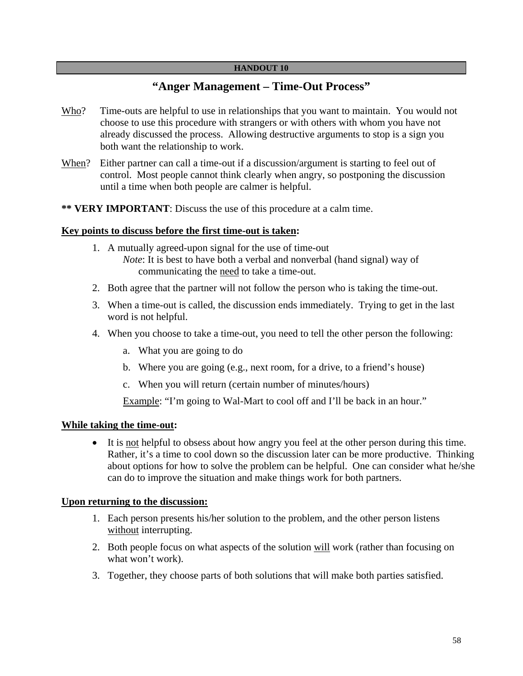## **"Anger Management – Time-Out Process"**

- Who? Time-outs are helpful to use in relationships that you want to maintain. You would not choose to use this procedure with strangers or with others with whom you have not already discussed the process. Allowing destructive arguments to stop is a sign you both want the relationship to work.
- When? Either partner can call a time-out if a discussion/argument is starting to feel out of control. Most people cannot think clearly when angry, so postponing the discussion until a time when both people are calmer is helpful.
- **\*\* VERY IMPORTANT**: Discuss the use of this procedure at a calm time.

#### **Key points to discuss before the first time-out is taken:**

- 1. A mutually agreed-upon signal for the use of time-out *Note*: It is best to have both a verbal and nonverbal (hand signal) way of communicating the need to take a time-out.
- 2. Both agree that the partner will not follow the person who is taking the time-out.
- 3. When a time-out is called, the discussion ends immediately. Trying to get in the last word is not helpful.
- 4. When you choose to take a time-out, you need to tell the other person the following:
	- a. What you are going to do
	- b. Where you are going (e.g., next room, for a drive, to a friend's house)
	- c. When you will return (certain number of minutes/hours)

Example: "I'm going to Wal-Mart to cool off and I'll be back in an hour."

#### **While taking the time-out:**

• It is not helpful to obsess about how angry you feel at the other person during this time. Rather, it's a time to cool down so the discussion later can be more productive. Thinking about options for how to solve the problem can be helpful. One can consider what he/she can do to improve the situation and make things work for both partners.

#### **Upon returning to the discussion:**

- 1. Each person presents his/her solution to the problem, and the other person listens without interrupting.
- 2. Both people focus on what aspects of the solution will work (rather than focusing on what won't work).
- 3. Together, they choose parts of both solutions that will make both parties satisfied.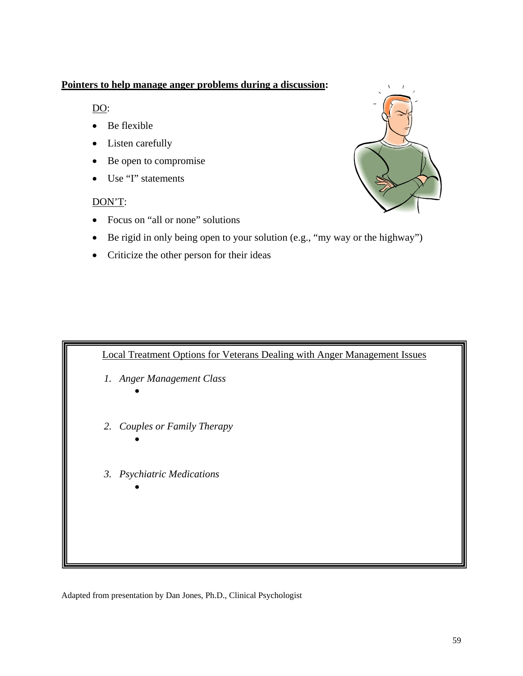## **Pointers to help manage anger problems during a discussion:**

 $\underline{DO}$ :

- Be flexible
- Listen carefully
- Be open to compromise
- Use "I" statements

## DON'T:

- Focus on "all or none" solutions
- Be rigid in only being open to your solution (e.g., "my way or the highway")
- Criticize the other person for their ideas



Adapted from presentation by Dan Jones, Ph.D., Clinical Psychologist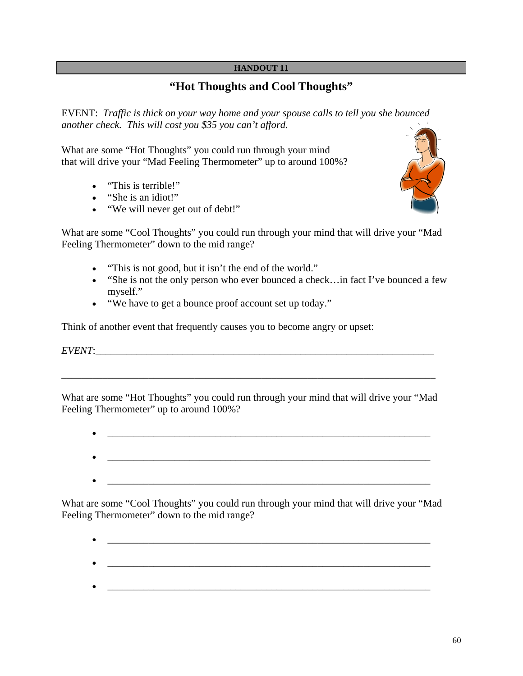# **"Hot Thoughts and Cool Thoughts"**

EVENT: *Traffic is thick on your way home and your spouse calls to tell you she bounced another check. This will cost you \$35 you can't afford.*

What are some "Hot Thoughts" you could run through your mind that will drive your "Mad Feeling Thermometer" up to around 100%?

- "This is terrible!"
- "She is an idiot!"
- "We will never get out of debt!"



What are some "Cool Thoughts" you could run through your mind that will drive your "Mad Feeling Thermometer" down to the mid range?

- "This is not good, but it isn't the end of the world."
- "She is not the only person who ever bounced a check... in fact I've bounced a few myself."
- "We have to get a bounce proof account set up today."

Think of another event that frequently causes you to become angry or upset:

 $EVENT:$ 

What are some "Hot Thoughts" you could run through your mind that will drive your "Mad Feeling Thermometer" up to around  $100\%$ ?

\_\_\_\_\_\_\_\_\_\_\_\_\_\_\_\_\_\_\_\_\_\_\_\_\_\_\_\_\_\_\_\_\_\_\_\_\_\_\_\_\_\_\_\_\_\_\_\_\_\_\_\_\_\_\_\_\_\_\_\_\_\_\_\_\_\_\_\_\_\_\_\_\_

What are some "Cool Thoughts" you could run through your mind that will drive your "Mad Feeling Thermometer" down to the mid range?

- \_\_\_\_\_\_\_\_\_\_\_\_\_\_\_\_\_\_\_\_\_\_\_\_\_\_\_\_\_\_\_\_\_\_\_\_\_\_\_\_\_\_\_\_\_\_\_\_\_\_\_\_\_\_\_\_\_\_\_\_\_\_\_
- 
-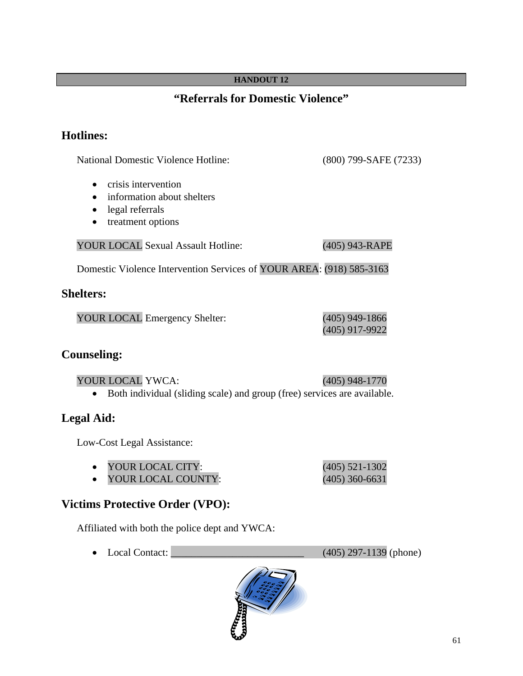# **"Referrals for Domestic Violence"**

# **Hotlines:**

National Domestic Violence Hotline: (800) 799-SAFE (7233)

(405) 917-9922

- crisis intervention
- information about shelters
- legal referrals
- treatment options

YOUR LOCAL Sexual Assault Hotline: (405) 943-RAPE

Domestic Violence Intervention Services of YOUR AREA: (918) 585-3163

## **Shelters:**

YOUR LOCAL Emergency Shelter: (405) 949-1866

## **Counseling:**

YOUR LOCAL YWCA: (405) 948-1770 • Both individual (sliding scale) and group (free) services are available.

# **Legal Aid:**

Low-Cost Legal Assistance:

- YOUR LOCAL CITY: (405) 521-1302
- YOUR LOCAL COUNTY: (405) 360-6631

# **Victims Protective Order (VPO):**

Affiliated with both the police dept and YWCA:

• Local Contact: \_\_\_\_\_\_\_\_\_\_\_\_\_\_\_\_\_\_\_\_\_\_\_\_\_\_ (405) 297-1139 (phone)

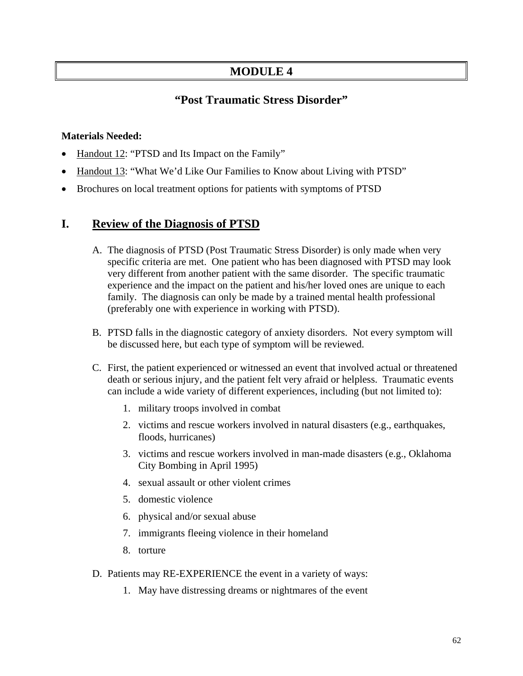# **MODULE 4**

# **"Post Traumatic Stress Disorder"**

### **Materials Needed:**

- Handout 12: "PTSD and Its Impact on the Family"
- Handout 13: "What We'd Like Our Families to Know about Living with PTSD"
- Brochures on local treatment options for patients with symptoms of PTSD

## **I. Review of the Diagnosis of PTSD**

- A. The diagnosis of PTSD (Post Traumatic Stress Disorder) is only made when very specific criteria are met. One patient who has been diagnosed with PTSD may look very different from another patient with the same disorder. The specific traumatic experience and the impact on the patient and his/her loved ones are unique to each family. The diagnosis can only be made by a trained mental health professional (preferably one with experience in working with PTSD).
- B. PTSD falls in the diagnostic category of anxiety disorders. Not every symptom will be discussed here, but each type of symptom will be reviewed.
- C. First, the patient experienced or witnessed an event that involved actual or threatened death or serious injury, and the patient felt very afraid or helpless. Traumatic events can include a wide variety of different experiences, including (but not limited to):
	- 1. military troops involved in combat
	- 2. victims and rescue workers involved in natural disasters (e.g., earthquakes, floods, hurricanes)
	- 3. victims and rescue workers involved in man-made disasters (e.g., Oklahoma City Bombing in April 1995)
	- 4. sexual assault or other violent crimes
	- 5. domestic violence
	- 6. physical and/or sexual abuse
	- 7. immigrants fleeing violence in their homeland
	- 8. torture
- D. Patients may RE-EXPERIENCE the event in a variety of ways:
	- 1. May have distressing dreams or nightmares of the event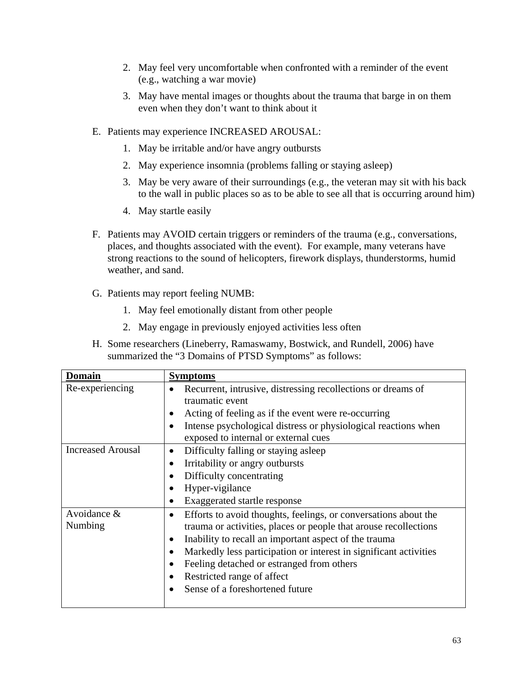- 2. May feel very uncomfortable when confronted with a reminder of the event (e.g., watching a war movie)
- 3. May have mental images or thoughts about the trauma that barge in on them even when they don't want to think about it
- E. Patients may experience INCREASED AROUSAL:
	- 1. May be irritable and/or have angry outbursts
	- 2. May experience insomnia (problems falling or staying asleep)
	- 3. May be very aware of their surroundings (e.g., the veteran may sit with his back to the wall in public places so as to be able to see all that is occurring around him)
	- 4. May startle easily
- F. Patients may AVOID certain triggers or reminders of the trauma (e.g., conversations, places, and thoughts associated with the event). For example, many veterans have strong reactions to the sound of helicopters, firework displays, thunderstorms, humid weather, and sand.
- G. Patients may report feeling NUMB:
	- 1. May feel emotionally distant from other people
	- 2. May engage in previously enjoyed activities less often
- H. Some researchers (Lineberry, Ramaswamy, Bostwick, and Rundell, 2006) have summarized the "3 Domains of PTSD Symptoms" as follows:

| <b>Domain</b>            | <b>Symptoms</b>                                                                                                                                                                                                                                                                                                                                                                                                                                  |
|--------------------------|--------------------------------------------------------------------------------------------------------------------------------------------------------------------------------------------------------------------------------------------------------------------------------------------------------------------------------------------------------------------------------------------------------------------------------------------------|
| Re-experiencing          | Recurrent, intrusive, distressing recollections or dreams of<br>traumatic event<br>Acting of feeling as if the event were re-occurring<br>$\bullet$<br>Intense psychological distress or physiological reactions when<br>$\bullet$<br>exposed to internal or external cues                                                                                                                                                                       |
| <b>Increased Arousal</b> | Difficulty falling or staying asleep<br>$\bullet$<br>Irritability or angry outbursts<br>$\bullet$<br>Difficulty concentrating<br>$\bullet$<br>Hyper-vigilance<br>$\bullet$<br>Exaggerated startle response<br>$\bullet$                                                                                                                                                                                                                          |
| Avoidance &<br>Numbing   | Efforts to avoid thoughts, feelings, or conversations about the<br>$\bullet$<br>trauma or activities, places or people that arouse recollections<br>Inability to recall an important aspect of the trauma<br>$\bullet$<br>Markedly less participation or interest in significant activities<br>$\bullet$<br>Feeling detached or estranged from others<br>$\bullet$<br>Restricted range of affect<br>$\bullet$<br>Sense of a foreshortened future |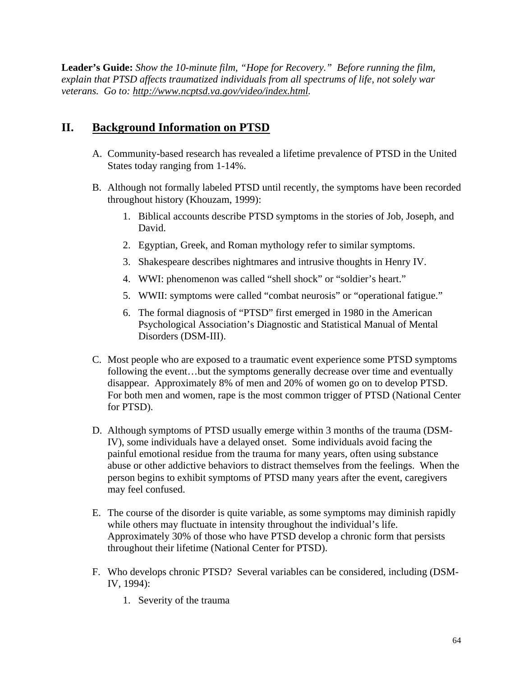**Leader's Guide:** *Show the 10-minute film, "Hope for Recovery." Before running the film, explain that PTSD affects traumatized individuals from all spectrums of life, not solely war veterans. Go to: http://www.ncptsd.va.gov/video/index.html.* 

# **II. Background Information on PTSD**

- A. Community-based research has revealed a lifetime prevalence of PTSD in the United States today ranging from 1-14%.
- B. Although not formally labeled PTSD until recently, the symptoms have been recorded throughout history (Khouzam, 1999):
	- 1. Biblical accounts describe PTSD symptoms in the stories of Job, Joseph, and David.
	- 2. Egyptian, Greek, and Roman mythology refer to similar symptoms.
	- 3. Shakespeare describes nightmares and intrusive thoughts in Henry IV.
	- 4. WWI: phenomenon was called "shell shock" or "soldier's heart."
	- 5. WWII: symptoms were called "combat neurosis" or "operational fatigue."
	- 6. The formal diagnosis of "PTSD" first emerged in 1980 in the American Psychological Association's Diagnostic and Statistical Manual of Mental Disorders (DSM-III).
- C. Most people who are exposed to a traumatic event experience some PTSD symptoms following the event…but the symptoms generally decrease over time and eventually disappear. Approximately 8% of men and 20% of women go on to develop PTSD. For both men and women, rape is the most common trigger of PTSD (National Center for PTSD).
- D. Although symptoms of PTSD usually emerge within 3 months of the trauma (DSM-IV), some individuals have a delayed onset. Some individuals avoid facing the painful emotional residue from the trauma for many years, often using substance abuse or other addictive behaviors to distract themselves from the feelings. When the person begins to exhibit symptoms of PTSD many years after the event, caregivers may feel confused.
- E. The course of the disorder is quite variable, as some symptoms may diminish rapidly while others may fluctuate in intensity throughout the individual's life. Approximately 30% of those who have PTSD develop a chronic form that persists throughout their lifetime (National Center for PTSD).
- F. Who develops chronic PTSD? Several variables can be considered, including (DSM-IV, 1994):
	- 1. Severity of the trauma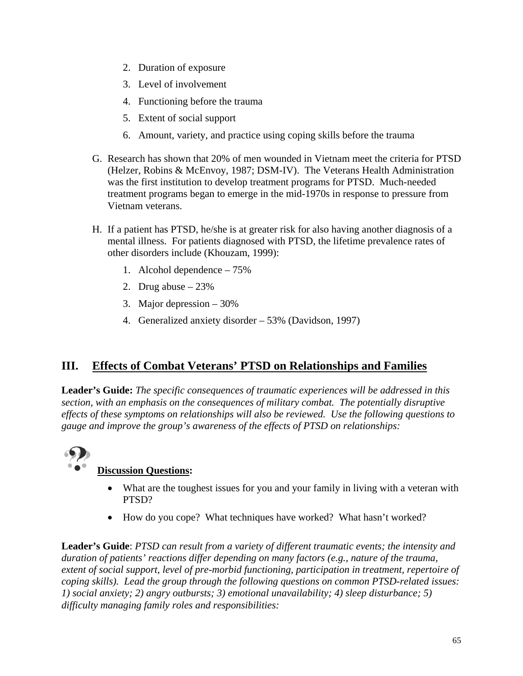- 2. Duration of exposure
- 3. Level of involvement
- 4. Functioning before the trauma
- 5. Extent of social support
- 6. Amount, variety, and practice using coping skills before the trauma
- G. Research has shown that 20% of men wounded in Vietnam meet the criteria for PTSD (Helzer, Robins & McEnvoy, 1987; DSM-IV). The Veterans Health Administration was the first institution to develop treatment programs for PTSD. Much-needed treatment programs began to emerge in the mid-1970s in response to pressure from Vietnam veterans.
- H. If a patient has PTSD, he/she is at greater risk for also having another diagnosis of a mental illness. For patients diagnosed with PTSD, the lifetime prevalence rates of other disorders include (Khouzam, 1999):
	- 1. Alcohol dependence 75%
	- 2. Drug abuse  $-23%$
	- 3. Major depression 30%
	- 4. Generalized anxiety disorder 53% (Davidson, 1997)

## **III. Effects of Combat Veterans' PTSD on Relationships and Families**

**Leader's Guide:** *The specific consequences of traumatic experiences will be addressed in this section, with an emphasis on the consequences of military combat. The potentially disruptive effects of these symptoms on relationships will also be reviewed. Use the following questions to gauge and improve the group's awareness of the effects of PTSD on relationships:* 



## **Discussion Questions:**

- What are the toughest issues for you and your family in living with a veteran with PTSD?
- How do you cope? What techniques have worked? What hasn't worked?

**Leader's Guide**: *PTSD can result from a variety of different traumatic events; the intensity and duration of patients' reactions differ depending on many factors (e.g., nature of the trauma, extent of social support, level of pre-morbid functioning, participation in treatment, repertoire of coping skills). Lead the group through the following questions on common PTSD-related issues: 1) social anxiety; 2) angry outbursts; 3) emotional unavailability; 4) sleep disturbance; 5) difficulty managing family roles and responsibilities:*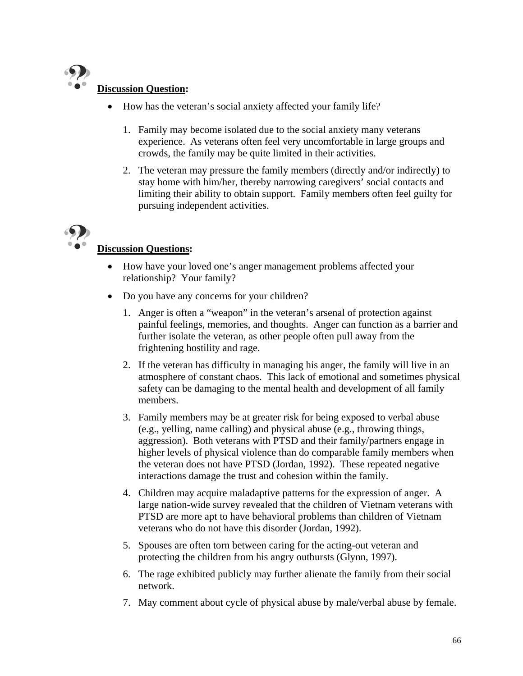

## **Discussion Question:**

- How has the veteran's social anxiety affected your family life?
	- 1. Family may become isolated due to the social anxiety many veterans experience. As veterans often feel very uncomfortable in large groups and crowds, the family may be quite limited in their activities.
	- 2. The veteran may pressure the family members (directly and/or indirectly) to stay home with him/her, thereby narrowing caregivers' social contacts and limiting their ability to obtain support. Family members often feel guilty for pursuing independent activities.



## **Discussion Questions:**

- How have your loved one's anger management problems affected your relationship? Your family?
- Do you have any concerns for your children?
	- 1. Anger is often a "weapon" in the veteran's arsenal of protection against painful feelings, memories, and thoughts. Anger can function as a barrier and further isolate the veteran, as other people often pull away from the frightening hostility and rage.
	- 2. If the veteran has difficulty in managing his anger, the family will live in an atmosphere of constant chaos. This lack of emotional and sometimes physical safety can be damaging to the mental health and development of all family members.
	- 3. Family members may be at greater risk for being exposed to verbal abuse (e.g., yelling, name calling) and physical abuse (e.g., throwing things, aggression). Both veterans with PTSD and their family/partners engage in higher levels of physical violence than do comparable family members when the veteran does not have PTSD (Jordan, 1992). These repeated negative interactions damage the trust and cohesion within the family.
	- 4. Children may acquire maladaptive patterns for the expression of anger. A large nation-wide survey revealed that the children of Vietnam veterans with PTSD are more apt to have behavioral problems than children of Vietnam veterans who do not have this disorder (Jordan, 1992).
	- 5. Spouses are often torn between caring for the acting-out veteran and protecting the children from his angry outbursts (Glynn, 1997).
	- 6. The rage exhibited publicly may further alienate the family from their social network.
	- 7. May comment about cycle of physical abuse by male/verbal abuse by female.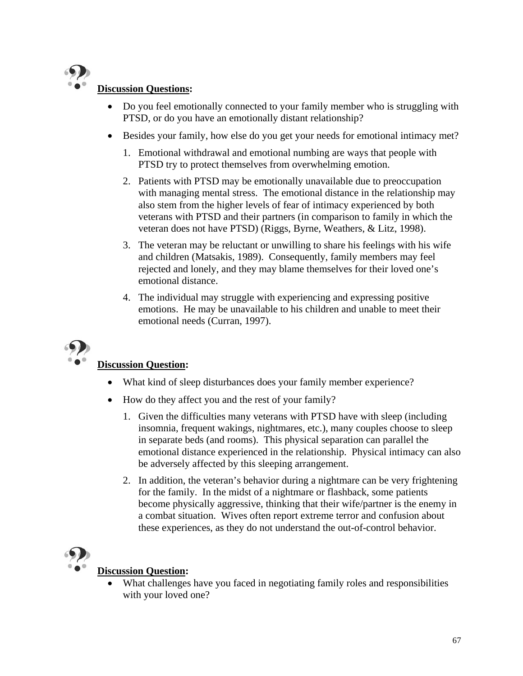

## **Discussion Questions:**

- Do you feel emotionally connected to your family member who is struggling with PTSD, or do you have an emotionally distant relationship?
- Besides your family, how else do you get your needs for emotional intimacy met?
	- 1. Emotional withdrawal and emotional numbing are ways that people with PTSD try to protect themselves from overwhelming emotion.
	- 2. Patients with PTSD may be emotionally unavailable due to preoccupation with managing mental stress. The emotional distance in the relationship may also stem from the higher levels of fear of intimacy experienced by both veterans with PTSD and their partners (in comparison to family in which the veteran does not have PTSD) (Riggs, Byrne, Weathers, & Litz, 1998).
	- 3. The veteran may be reluctant or unwilling to share his feelings with his wife and children (Matsakis, 1989). Consequently, family members may feel rejected and lonely, and they may blame themselves for their loved one's emotional distance.
	- 4. The individual may struggle with experiencing and expressing positive emotions. He may be unavailable to his children and unable to meet their emotional needs (Curran, 1997).



## **Discussion Question:**

- What kind of sleep disturbances does your family member experience?
- How do they affect you and the rest of your family?
	- 1. Given the difficulties many veterans with PTSD have with sleep (including insomnia, frequent wakings, nightmares, etc.), many couples choose to sleep in separate beds (and rooms). This physical separation can parallel the emotional distance experienced in the relationship. Physical intimacy can also be adversely affected by this sleeping arrangement.
	- 2. In addition, the veteran's behavior during a nightmare can be very frightening for the family. In the midst of a nightmare or flashback, some patients become physically aggressive, thinking that their wife/partner is the enemy in a combat situation. Wives often report extreme terror and confusion about these experiences, as they do not understand the out-of-control behavior.



## **Discussion Question:**

What challenges have you faced in negotiating family roles and responsibilities with your loved one?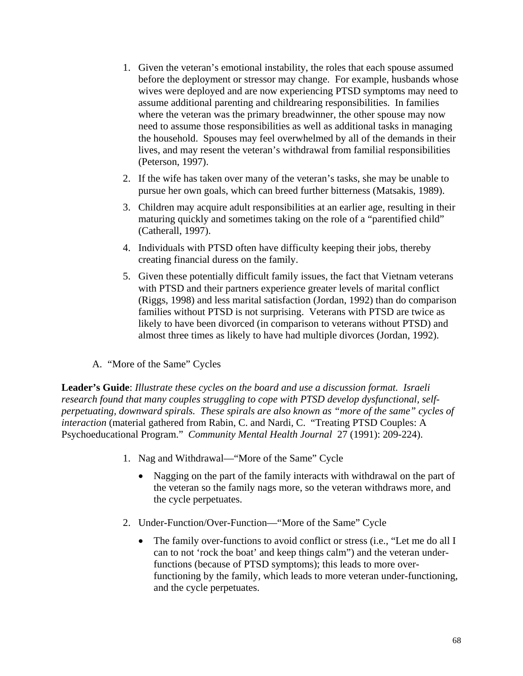- 1. Given the veteran's emotional instability, the roles that each spouse assumed before the deployment or stressor may change. For example, husbands whose wives were deployed and are now experiencing PTSD symptoms may need to assume additional parenting and childrearing responsibilities. In families where the veteran was the primary breadwinner, the other spouse may now need to assume those responsibilities as well as additional tasks in managing the household. Spouses may feel overwhelmed by all of the demands in their lives, and may resent the veteran's withdrawal from familial responsibilities (Peterson, 1997).
- 2. If the wife has taken over many of the veteran's tasks, she may be unable to pursue her own goals, which can breed further bitterness (Matsakis, 1989).
- 3. Children may acquire adult responsibilities at an earlier age, resulting in their maturing quickly and sometimes taking on the role of a "parentified child" (Catherall, 1997).
- 4. Individuals with PTSD often have difficulty keeping their jobs, thereby creating financial duress on the family.
- 5. Given these potentially difficult family issues, the fact that Vietnam veterans with PTSD and their partners experience greater levels of marital conflict (Riggs, 1998) and less marital satisfaction (Jordan, 1992) than do comparison families without PTSD is not surprising. Veterans with PTSD are twice as likely to have been divorced (in comparison to veterans without PTSD) and almost three times as likely to have had multiple divorces (Jordan, 1992).
- A. "More of the Same" Cycles

**Leader's Guide**: *Illustrate these cycles on the board and use a discussion format. Israeli research found that many couples struggling to cope with PTSD develop dysfunctional, selfperpetuating, downward spirals. These spirals are also known as "more of the same" cycles of interaction* (material gathered from Rabin, C. and Nardi, C. "Treating PTSD Couples: A Psychoeducational Program." *Community Mental Health Journal* 27 (1991): 209-224).

- 1. Nag and Withdrawal—"More of the Same" Cycle
	- Nagging on the part of the family interacts with withdrawal on the part of the veteran so the family nags more, so the veteran withdraws more, and the cycle perpetuates.
- 2. Under-Function/Over-Function—"More of the Same" Cycle
	- The family over-functions to avoid conflict or stress (i.e., "Let me do all I can to not 'rock the boat' and keep things calm") and the veteran underfunctions (because of PTSD symptoms); this leads to more overfunctioning by the family, which leads to more veteran under-functioning, and the cycle perpetuates.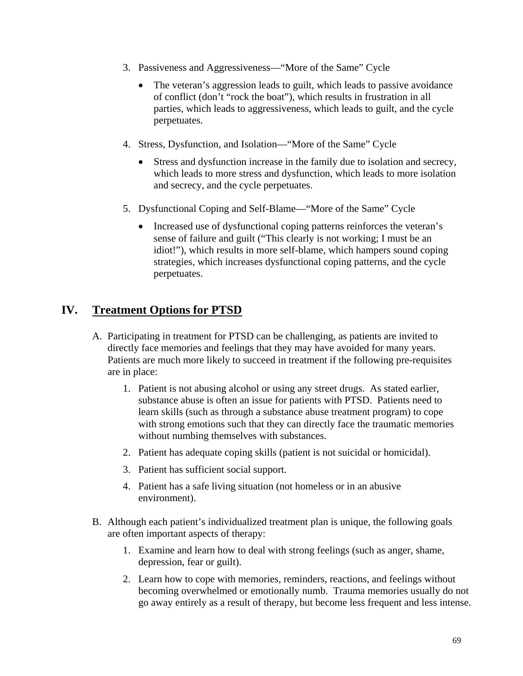- 3. Passiveness and Aggressiveness—"More of the Same" Cycle
	- The veteran's aggression leads to guilt, which leads to passive avoidance of conflict (don't "rock the boat"), which results in frustration in all parties, which leads to aggressiveness, which leads to guilt, and the cycle perpetuates.
- 4. Stress, Dysfunction, and Isolation—"More of the Same" Cycle
	- Stress and dysfunction increase in the family due to isolation and secrecy, which leads to more stress and dysfunction, which leads to more isolation and secrecy, and the cycle perpetuates.
- 5. Dysfunctional Coping and Self-Blame—"More of the Same" Cycle
	- Increased use of dysfunctional coping patterns reinforces the veteran's sense of failure and guilt ("This clearly is not working; I must be an idiot!"), which results in more self-blame, which hampers sound coping strategies, which increases dysfunctional coping patterns, and the cycle perpetuates.

## **IV. Treatment Options for PTSD**

- A. Participating in treatment for PTSD can be challenging, as patients are invited to directly face memories and feelings that they may have avoided for many years. Patients are much more likely to succeed in treatment if the following pre-requisites are in place:
	- 1. Patient is not abusing alcohol or using any street drugs. As stated earlier, substance abuse is often an issue for patients with PTSD. Patients need to learn skills (such as through a substance abuse treatment program) to cope with strong emotions such that they can directly face the traumatic memories without numbing themselves with substances.
	- 2. Patient has adequate coping skills (patient is not suicidal or homicidal).
	- 3. Patient has sufficient social support.
	- 4. Patient has a safe living situation (not homeless or in an abusive environment).
- B. Although each patient's individualized treatment plan is unique, the following goals are often important aspects of therapy:
	- 1. Examine and learn how to deal with strong feelings (such as anger, shame, depression, fear or guilt).
	- 2. Learn how to cope with memories, reminders, reactions, and feelings without becoming overwhelmed or emotionally numb. Trauma memories usually do not go away entirely as a result of therapy, but become less frequent and less intense.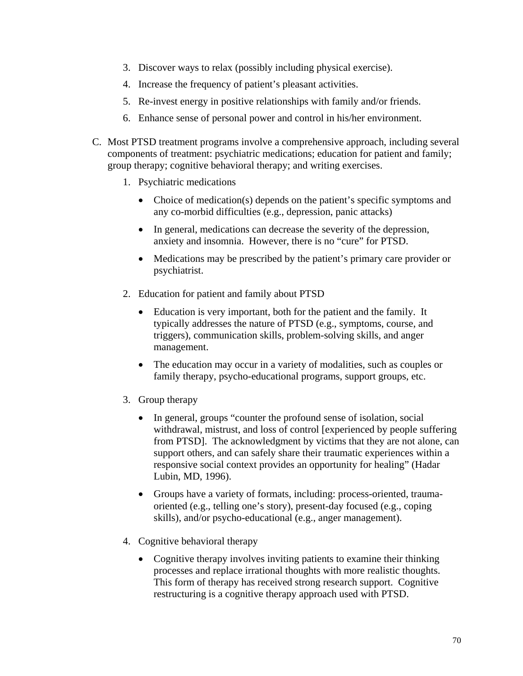- 3. Discover ways to relax (possibly including physical exercise).
- 4. Increase the frequency of patient's pleasant activities.
- 5. Re-invest energy in positive relationships with family and/or friends.
- 6. Enhance sense of personal power and control in his/her environment.
- C. Most PTSD treatment programs involve a comprehensive approach, including several components of treatment: psychiatric medications; education for patient and family; group therapy; cognitive behavioral therapy; and writing exercises.
	- 1. Psychiatric medications
		- Choice of medication(s) depends on the patient's specific symptoms and any co-morbid difficulties (e.g., depression, panic attacks)
		- In general, medications can decrease the severity of the depression, anxiety and insomnia. However, there is no "cure" for PTSD.
		- Medications may be prescribed by the patient's primary care provider or psychiatrist.
	- 2. Education for patient and family about PTSD
		- Education is very important, both for the patient and the family. It typically addresses the nature of PTSD (e.g., symptoms, course, and triggers), communication skills, problem-solving skills, and anger management.
		- The education may occur in a variety of modalities, such as couples or family therapy, psycho-educational programs, support groups, etc.
	- 3. Group therapy
		- In general, groups "counter the profound sense of isolation, social withdrawal, mistrust, and loss of control [experienced by people suffering from PTSD]. The acknowledgment by victims that they are not alone, can support others, and can safely share their traumatic experiences within a responsive social context provides an opportunity for healing" (Hadar Lubin, MD, 1996).
		- Groups have a variety of formats, including: process-oriented, traumaoriented (e.g., telling one's story), present-day focused (e.g., coping skills), and/or psycho-educational (e.g., anger management).
	- 4. Cognitive behavioral therapy
		- Cognitive therapy involves inviting patients to examine their thinking processes and replace irrational thoughts with more realistic thoughts. This form of therapy has received strong research support. Cognitive restructuring is a cognitive therapy approach used with PTSD.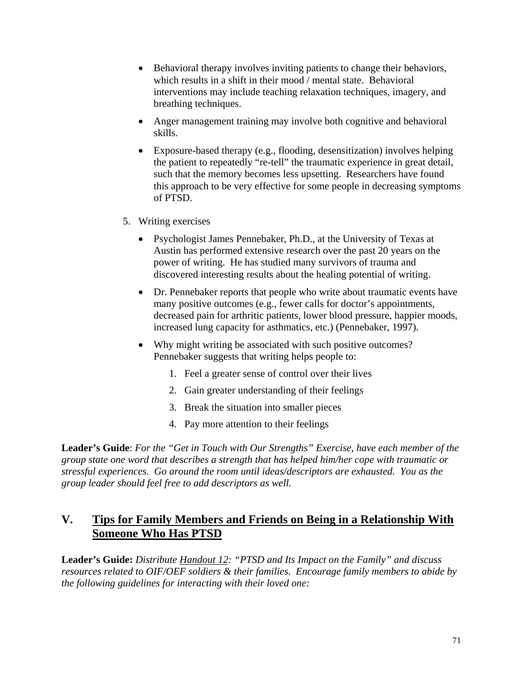- Behavioral therapy involves inviting patients to change their behaviors, which results in a shift in their mood / mental state. Behavioral interventions may include teaching relaxation techniques, imagery, and breathing techniques.
- Anger management training may involve both cognitive and behavioral skills.
- Exposure-based therapy (e.g., flooding, desensitization) involves helping the patient to repeatedly "re-tell" the traumatic experience in great detail, such that the memory becomes less upsetting. Researchers have found this approach to be very effective for some people in decreasing symptoms of PTSD.
- 5. Writing exercises
	- Psychologist James Pennebaker, Ph.D., at the University of Texas at Austin has performed extensive research over the past 20 years on the power of writing. He has studied many survivors of trauma and discovered interesting results about the healing potential of writing.
	- Dr. Pennebaker reports that people who write about traumatic events have many positive outcomes (e.g., fewer calls for doctor's appointments, decreased pain for arthritic patients, lower blood pressure, happier moods, increased lung capacity for asthmatics, etc.) (Pennebaker, 1997).
	- Why might writing be associated with such positive outcomes? Pennebaker suggests that writing helps people to:
		- 1. Feel a greater sense of control over their lives
		- 2. Gain greater understanding of their feelings
		- 3. Break the situation into smaller pieces
		- 4. Pay more attention to their feelings

**Leader's Guide**: *For the "Get in Touch with Our Strengths" Exercise, have each member of the group state one word that describes a strength that has helped him/her cope with traumatic or stressful experiences. Go around the room until ideas/descriptors are exhausted. You as the group leader should feel free to add descriptors as well.* 

# **V. Tips for Family Members and Friends on Being in a Relationship With Someone Who Has PTSD**

**Leader's Guide:** *Distribute Handout 12: "PTSD and Its Impact on the Family" and discuss resources related to OIF/OEF soldiers & their families. Encourage family members to abide by the following guidelines for interacting with their loved one:*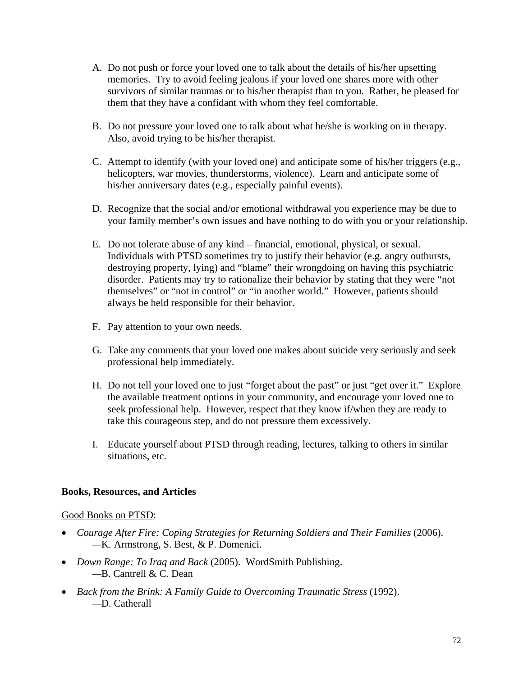- A. Do not push or force your loved one to talk about the details of his/her upsetting memories. Try to avoid feeling jealous if your loved one shares more with other survivors of similar traumas or to his/her therapist than to you. Rather, be pleased for them that they have a confidant with whom they feel comfortable.
- B. Do not pressure your loved one to talk about what he/she is working on in therapy. Also, avoid trying to be his/her therapist.
- C. Attempt to identify (with your loved one) and anticipate some of his/her triggers (e.g., helicopters, war movies, thunderstorms, violence). Learn and anticipate some of his/her anniversary dates (e.g., especially painful events).
- D. Recognize that the social and/or emotional withdrawal you experience may be due to your family member's own issues and have nothing to do with you or your relationship.
- E. Do not tolerate abuse of any kind financial, emotional, physical, or sexual. Individuals with PTSD sometimes try to justify their behavior (e.g. angry outbursts, destroying property, lying) and "blame" their wrongdoing on having this psychiatric disorder. Patients may try to rationalize their behavior by stating that they were "not themselves" or "not in control" or "in another world." However, patients should always be held responsible for their behavior.
- F. Pay attention to your own needs.
- G. Take any comments that your loved one makes about suicide very seriously and seek professional help immediately.
- H. Do not tell your loved one to just "forget about the past" or just "get over it." Explore the available treatment options in your community, and encourage your loved one to seek professional help. However, respect that they know if/when they are ready to take this courageous step, and do not pressure them excessively.
- I. Educate yourself about PTSD through reading, lectures, talking to others in similar situations, etc.

#### **Books, Resources, and Articles**

#### Good Books on PTSD:

- *Courage After Fire: Coping Strategies for Returning Soldiers and Their Families (2006). —*K. Armstrong, S. Best, & P. Domenici.
- *Down Range: To Iraq and Back* (2005). WordSmith Publishing. *—*B. Cantrell & C. Dean
- *Back from the Brink: A Family Guide to Overcoming Traumatic Stress* (1992).  *—*D. Catherall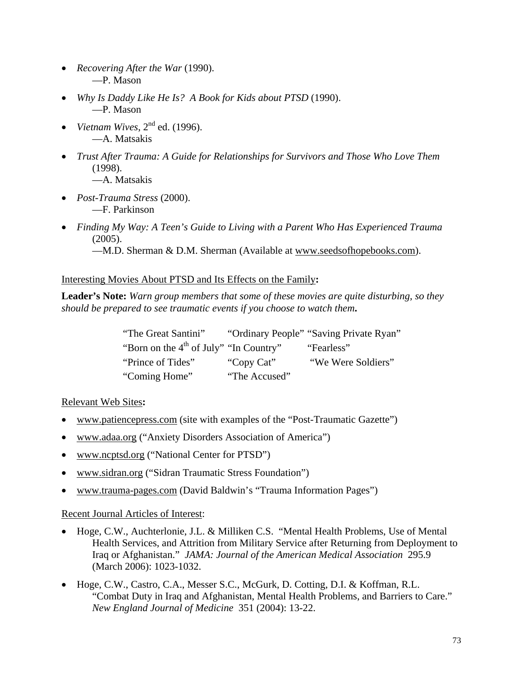- *Recovering After the War* (1990). —P. Mason
- *Why Is Daddy Like He Is? A Book for Kids about PTSD* (1990). —P. Mason
- *Vietnam Wives*, 2<sup>nd</sup> ed. (1996). —A. Matsakis
- *Trust After Trauma: A Guide for Relationships for Survivors and Those Who Love Them* (1998). —A. Matsakis
- *Post-Trauma Stress* (2000). —F. Parkinson
- *Finding My Way: A Teen's Guide to Living with a Parent Who Has Experienced Trauma* (2005).

—M.D. Sherman & D.M. Sherman (Available at www.seedsofhopebooks.com).

### Interesting Movies About PTSD and Its Effects on the Family**:**

**Leader's Note:** *Warn group members that some of these movies are quite disturbing, so they should be prepared to see traumatic events if you choose to watch them***.** 

| "The Great Santini"                                |               | "Ordinary People" "Saving Private Ryan" |
|----------------------------------------------------|---------------|-----------------------------------------|
| "Born on the 4 <sup>th</sup> of July" "In Country" |               | "Fearless"                              |
| "Prince of Tides"                                  | "Copy Cat"    | "We Were Soldiers"                      |
| "Coming Home"                                      | "The Accused" |                                         |

### Relevant Web Sites**:**

- www.patiencepress.com (site with examples of the "Post-Traumatic Gazette")
- www.adaa.org ("Anxiety Disorders Association of America")
- www.ncptsd.org ("National Center for PTSD")
- www.sidran.org ("Sidran Traumatic Stress Foundation")
- www.trauma-pages.com (David Baldwin's "Trauma Information Pages")

### Recent Journal Articles of Interest:

- Hoge, C.W., Auchterlonie, J.L. & Milliken C.S. "Mental Health Problems, Use of Mental Health Services, and Attrition from Military Service after Returning from Deployment to Iraq or Afghanistan." *JAMA: Journal of the American Medical Association* 295.9 (March 2006): 1023-1032.
- Hoge, C.W., Castro, C.A., Messer S.C., McGurk, D. Cotting, D.I. & Koffman, R.L. "Combat Duty in Iraq and Afghanistan, Mental Health Problems, and Barriers to Care." *New England Journal of Medicine* 351 (2004): 13-22.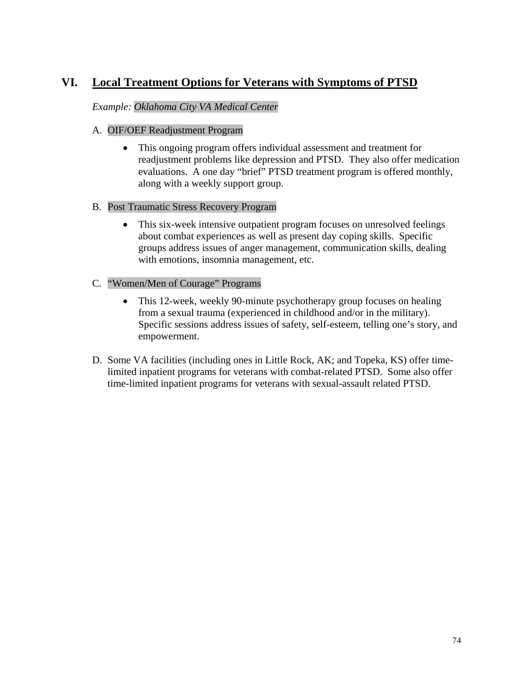# **VI. Local Treatment Options for Veterans with Symptoms of PTSD**

### *Example: Oklahoma City VA Medical Center*

### A. OIF/OEF Readjustment Program

• This ongoing program offers individual assessment and treatment for readjustment problems like depression and PTSD. They also offer medication evaluations. A one day "brief" PTSD treatment program is offered monthly, along with a weekly support group.

### B. Post Traumatic Stress Recovery Program

• This six-week intensive outpatient program focuses on unresolved feelings about combat experiences as well as present day coping skills. Specific groups address issues of anger management, communication skills, dealing with emotions, insomnia management, etc.

### C. "Women/Men of Courage" Programs

- This 12-week, weekly 90-minute psychotherapy group focuses on healing from a sexual trauma (experienced in childhood and/or in the military). Specific sessions address issues of safety, self-esteem, telling one's story, and empowerment.
- D. Some VA facilities (including ones in Little Rock, AK; and Topeka, KS) offer timelimited inpatient programs for veterans with combat-related PTSD. Some also offer time-limited inpatient programs for veterans with sexual-assault related PTSD.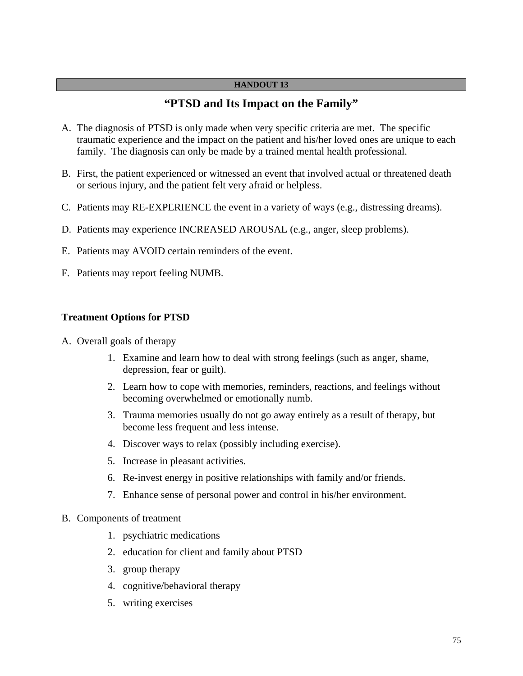#### **HANDOUT 13**

## **"PTSD and Its Impact on the Family"**

- A. The diagnosis of PTSD is only made when very specific criteria are met. The specific traumatic experience and the impact on the patient and his/her loved ones are unique to each family. The diagnosis can only be made by a trained mental health professional.
- B. First, the patient experienced or witnessed an event that involved actual or threatened death or serious injury, and the patient felt very afraid or helpless.
- C. Patients may RE-EXPERIENCE the event in a variety of ways (e.g., distressing dreams).
- D. Patients may experience INCREASED AROUSAL (e.g., anger, sleep problems).
- E. Patients may AVOID certain reminders of the event.
- F. Patients may report feeling NUMB.

#### **Treatment Options for PTSD**

- A. Overall goals of therapy
	- 1. Examine and learn how to deal with strong feelings (such as anger, shame, depression, fear or guilt).
	- 2. Learn how to cope with memories, reminders, reactions, and feelings without becoming overwhelmed or emotionally numb.
	- 3. Trauma memories usually do not go away entirely as a result of therapy, but become less frequent and less intense.
	- 4. Discover ways to relax (possibly including exercise).
	- 5. Increase in pleasant activities.
	- 6. Re-invest energy in positive relationships with family and/or friends.
	- 7. Enhance sense of personal power and control in his/her environment.
- B. Components of treatment
	- 1. psychiatric medications
	- 2. education for client and family about PTSD
	- 3. group therapy
	- 4. cognitive/behavioral therapy
	- 5. writing exercises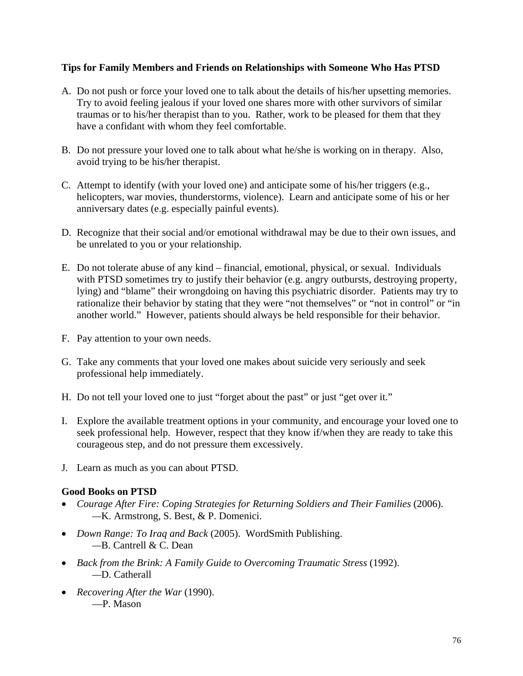### **Tips for Family Members and Friends on Relationships with Someone Who Has PTSD**

- A. Do not push or force your loved one to talk about the details of his/her upsetting memories. Try to avoid feeling jealous if your loved one shares more with other survivors of similar traumas or to his/her therapist than to you. Rather, work to be pleased for them that they have a confidant with whom they feel comfortable.
- B. Do not pressure your loved one to talk about what he/she is working on in therapy. Also, avoid trying to be his/her therapist.
- C. Attempt to identify (with your loved one) and anticipate some of his/her triggers (e.g., helicopters, war movies, thunderstorms, violence). Learn and anticipate some of his or her anniversary dates (e.g. especially painful events).
- D. Recognize that their social and/or emotional withdrawal may be due to their own issues, and be unrelated to you or your relationship.
- E. Do not tolerate abuse of any kind financial, emotional, physical, or sexual. Individuals with PTSD sometimes try to justify their behavior (e.g. angry outbursts, destroying property, lying) and "blame" their wrongdoing on having this psychiatric disorder. Patients may try to rationalize their behavior by stating that they were "not themselves" or "not in control" or "in another world." However, patients should always be held responsible for their behavior.
- F. Pay attention to your own needs.
- G. Take any comments that your loved one makes about suicide very seriously and seek professional help immediately.
- H. Do not tell your loved one to just "forget about the past" or just "get over it."
- I. Explore the available treatment options in your community, and encourage your loved one to seek professional help. However, respect that they know if/when they are ready to take this courageous step, and do not pressure them excessively.
- J. Learn as much as you can about PTSD.

### **Good Books on PTSD**

- *Courage After Fire: Coping Strategies for Returning Soldiers and Their Families (2006). —*K. Armstrong, S. Best, & P. Domenici.
- *Down Range: To Iraq and Back* (2005). WordSmith Publishing. *—*B. Cantrell & C. Dean
- *Back from the Brink: A Family Guide to Overcoming Traumatic Stress* (1992).  *—*D. Catherall
- *Recovering After the War* (1990). —P. Mason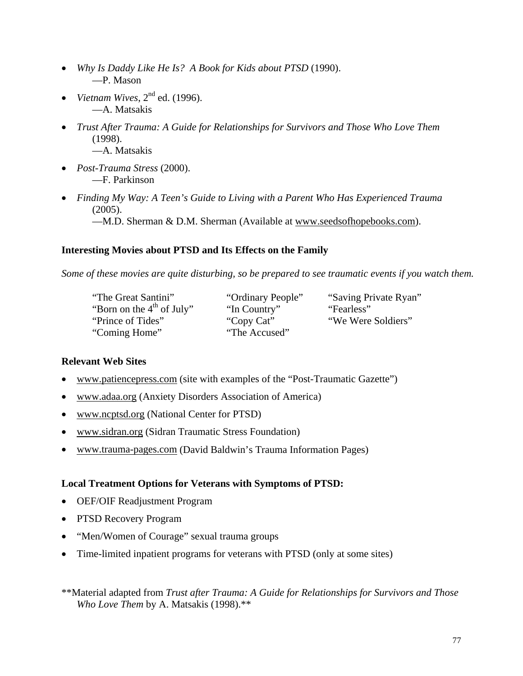- *Why Is Daddy Like He Is? A Book for Kids about PTSD* (1990). —P. Mason
- *Vietnam Wives*, 2nd ed. (1996). —A. Matsakis
- *Trust After Trauma: A Guide for Relationships for Survivors and Those Who Love Them* (1998). —A. Matsakis
- *Post-Trauma Stress* (2000). —F. Parkinson
- *Finding My Way: A Teen's Guide to Living with a Parent Who Has Experienced Trauma* (2005).

—M.D. Sherman & D.M. Sherman (Available at www.seedsofhopebooks.com).

### **Interesting Movies about PTSD and Its Effects on the Family**

*Some of these movies are quite disturbing, so be prepared to see traumatic events if you watch them.* 

"The Great Santini" "Ordinary People" "Saving Private Ryan" "Born on the 4<sup>th</sup> of July" "In Country" "Fearless" "Prince of Tides" "Copy Cat" "We Were Soldiers" "Coming Home" "The Accused"

### **Relevant Web Sites**

- www.patiencepress.com (site with examples of the "Post-Traumatic Gazette")
- www.adaa.org (Anxiety Disorders Association of America)
- www.ncptsd.org (National Center for PTSD)
- www.sidran.org (Sidran Traumatic Stress Foundation)
- www.trauma-pages.com (David Baldwin's Trauma Information Pages)

### **Local Treatment Options for Veterans with Symptoms of PTSD:**

- OEF/OIF Readjustment Program
- PTSD Recovery Program
- "Men/Women of Courage" sexual trauma groups
- Time-limited inpatient programs for veterans with PTSD (only at some sites)

<sup>\*\*</sup>Material adapted from *Trust after Trauma: A Guide for Relationships for Survivors and Those Who Love Them* by A. Matsakis (1998).\*\*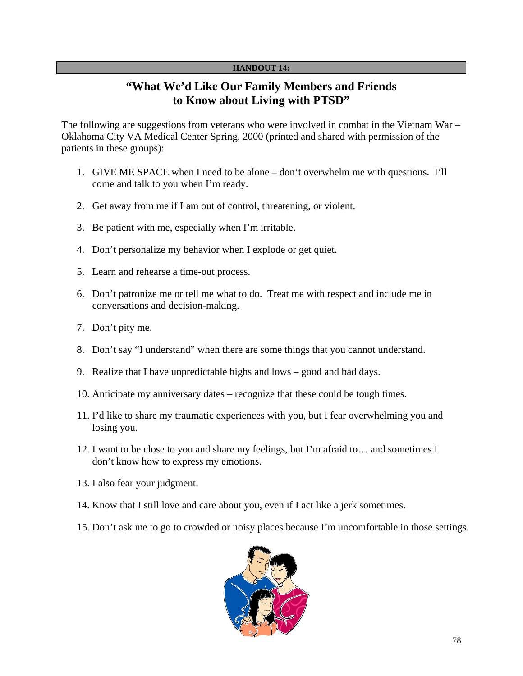#### **HANDOUT 14:**

# **"What We'd Like Our Family Members and Friends to Know about Living with PTSD"**

The following are suggestions from veterans who were involved in combat in the Vietnam War – Oklahoma City VA Medical Center Spring, 2000 (printed and shared with permission of the patients in these groups):

- 1. GIVE ME SPACE when I need to be alone don't overwhelm me with questions. I'll come and talk to you when I'm ready.
- 2. Get away from me if I am out of control, threatening, or violent.
- 3. Be patient with me, especially when I'm irritable.
- 4. Don't personalize my behavior when I explode or get quiet.
- 5. Learn and rehearse a time-out process.
- 6. Don't patronize me or tell me what to do. Treat me with respect and include me in conversations and decision-making.
- 7. Don't pity me.
- 8. Don't say "I understand" when there are some things that you cannot understand.
- 9. Realize that I have unpredictable highs and lows good and bad days.
- 10. Anticipate my anniversary dates recognize that these could be tough times.
- 11. I'd like to share my traumatic experiences with you, but I fear overwhelming you and losing you.
- 12. I want to be close to you and share my feelings, but I'm afraid to… and sometimes I don't know how to express my emotions.
- 13. I also fear your judgment.
- 14. Know that I still love and care about you, even if I act like a jerk sometimes.
- 15. Don't ask me to go to crowded or noisy places because I'm uncomfortable in those settings.

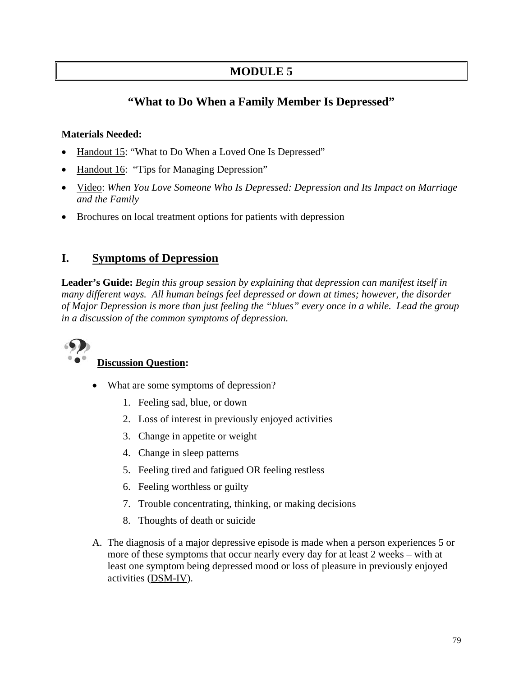# **MODULE 5**

# **"What to Do When a Family Member Is Depressed"**

### **Materials Needed:**

- Handout 15: "What to Do When a Loved One Is Depressed"
- Handout 16: "Tips for Managing Depression"
- Video: *When You Love Someone Who Is Depressed: Depression and Its Impact on Marriage and the Family*
- Brochures on local treatment options for patients with depression

## **I. Symptoms of Depression**

**Leader's Guide:** *Begin this group session by explaining that depression can manifest itself in many different ways. All human beings feel depressed or down at times; however, the disorder of Major Depression is more than just feeling the "blues" every once in a while. Lead the group in a discussion of the common symptoms of depression.* 



## **Discussion Question:**

- What are some symptoms of depression?
	- 1. Feeling sad, blue, or down
	- 2. Loss of interest in previously enjoyed activities
	- 3. Change in appetite or weight
	- 4. Change in sleep patterns
	- 5. Feeling tired and fatigued OR feeling restless
	- 6. Feeling worthless or guilty
	- 7. Trouble concentrating, thinking, or making decisions
	- 8. Thoughts of death or suicide
- A. The diagnosis of a major depressive episode is made when a person experiences 5 or more of these symptoms that occur nearly every day for at least 2 weeks – with at least one symptom being depressed mood or loss of pleasure in previously enjoyed activities (DSM-IV).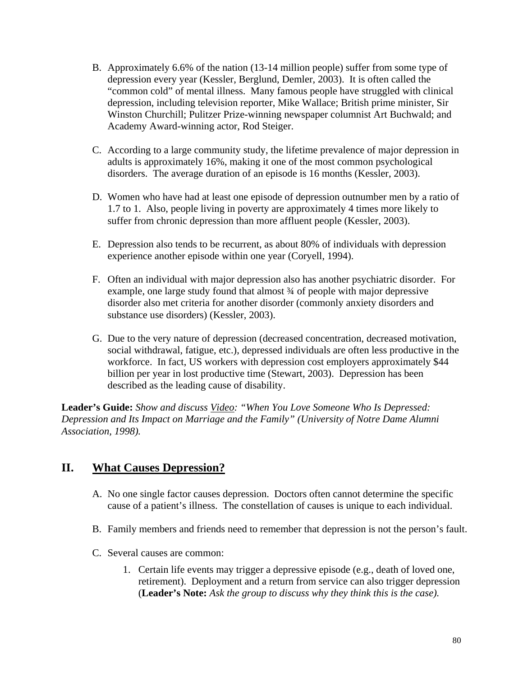- B. Approximately 6.6% of the nation (13-14 million people) suffer from some type of depression every year (Kessler, Berglund, Demler, 2003). It is often called the "common cold" of mental illness. Many famous people have struggled with clinical depression, including television reporter, Mike Wallace; British prime minister, Sir Winston Churchill; Pulitzer Prize-winning newspaper columnist Art Buchwald; and Academy Award-winning actor, Rod Steiger.
- C. According to a large community study, the lifetime prevalence of major depression in adults is approximately 16%, making it one of the most common psychological disorders. The average duration of an episode is 16 months (Kessler, 2003).
- D. Women who have had at least one episode of depression outnumber men by a ratio of 1.7 to 1. Also, people living in poverty are approximately 4 times more likely to suffer from chronic depression than more affluent people (Kessler, 2003).
- E. Depression also tends to be recurrent, as about 80% of individuals with depression experience another episode within one year (Coryell, 1994).
- F. Often an individual with major depression also has another psychiatric disorder. For example, one large study found that almost ¾ of people with major depressive disorder also met criteria for another disorder (commonly anxiety disorders and substance use disorders) (Kessler, 2003).
- G. Due to the very nature of depression (decreased concentration, decreased motivation, social withdrawal, fatigue, etc.), depressed individuals are often less productive in the workforce. In fact, US workers with depression cost employers approximately \$44 billion per year in lost productive time (Stewart, 2003). Depression has been described as the leading cause of disability.

**Leader's Guide:** *Show and discuss Video: "When You Love Someone Who Is Depressed: Depression and Its Impact on Marriage and the Family" (University of Notre Dame Alumni Association, 1998).* 

## **II. What Causes Depression?**

- A. No one single factor causes depression. Doctors often cannot determine the specific cause of a patient's illness. The constellation of causes is unique to each individual.
- B. Family members and friends need to remember that depression is not the person's fault.
- C. Several causes are common:
	- 1. Certain life events may trigger a depressive episode (e.g., death of loved one, retirement). Deployment and a return from service can also trigger depression (**Leader's Note:** *Ask the group to discuss why they think this is the case).*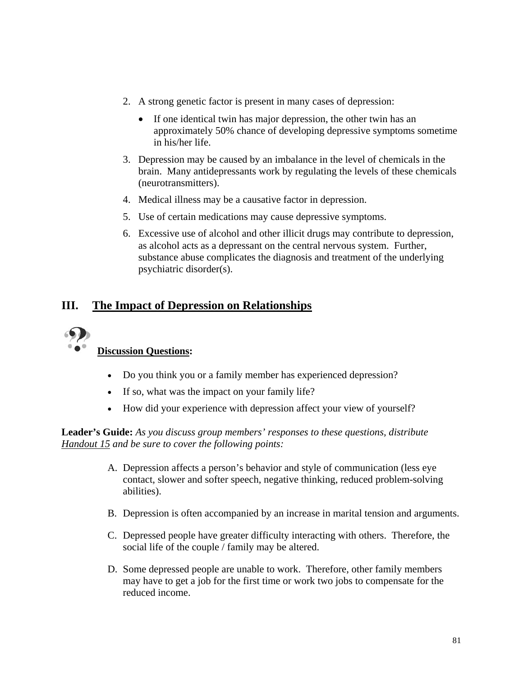- 2. A strong genetic factor is present in many cases of depression:
	- If one identical twin has major depression, the other twin has an approximately 50% chance of developing depressive symptoms sometime in his/her life.
- 3. Depression may be caused by an imbalance in the level of chemicals in the brain. Many antidepressants work by regulating the levels of these chemicals (neurotransmitters).
- 4. Medical illness may be a causative factor in depression.
- 5. Use of certain medications may cause depressive symptoms.
- 6. Excessive use of alcohol and other illicit drugs may contribute to depression, as alcohol acts as a depressant on the central nervous system. Further, substance abuse complicates the diagnosis and treatment of the underlying psychiatric disorder(s).

# **III. The Impact of Depression on Relationships**



## **Discussion Questions:**

- Do you think you or a family member has experienced depression?
- If so, what was the impact on your family life?
- How did your experience with depression affect your view of yourself?

**Leader's Guide:** *As you discuss group members' responses to these questions, distribute Handout 15 and be sure to cover the following points:* 

- A. Depression affects a person's behavior and style of communication (less eye contact, slower and softer speech, negative thinking, reduced problem-solving abilities).
- B. Depression is often accompanied by an increase in marital tension and arguments.
- C. Depressed people have greater difficulty interacting with others. Therefore, the social life of the couple / family may be altered.
- D. Some depressed people are unable to work. Therefore, other family members may have to get a job for the first time or work two jobs to compensate for the reduced income.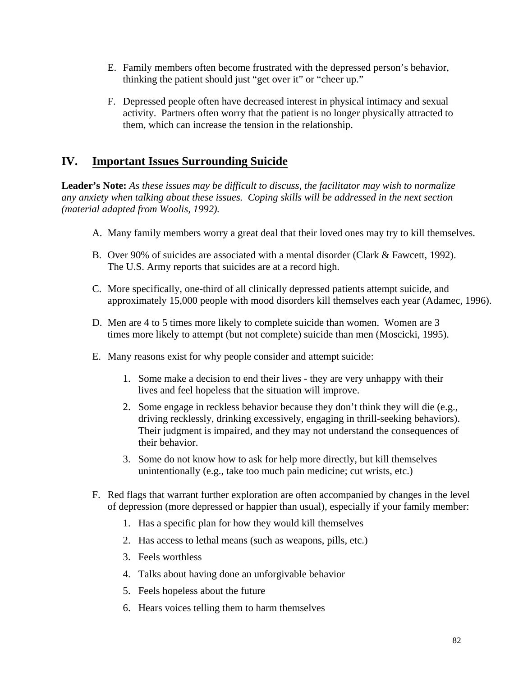- E. Family members often become frustrated with the depressed person's behavior, thinking the patient should just "get over it" or "cheer up."
- F. Depressed people often have decreased interest in physical intimacy and sexual activity. Partners often worry that the patient is no longer physically attracted to them, which can increase the tension in the relationship.

# **IV. Important Issues Surrounding Suicide**

**Leader's Note:** *As these issues may be difficult to discuss, the facilitator may wish to normalize any anxiety when talking about these issues. Coping skills will be addressed in the next section (material adapted from Woolis, 1992).*

- A. Many family members worry a great deal that their loved ones may try to kill themselves.
- B. Over 90% of suicides are associated with a mental disorder (Clark & Fawcett, 1992). The U.S. Army reports that suicides are at a record high.
- C. More specifically, one-third of all clinically depressed patients attempt suicide, and approximately 15,000 people with mood disorders kill themselves each year (Adamec, 1996).
- D. Men are 4 to 5 times more likely to complete suicide than women. Women are 3 times more likely to attempt (but not complete) suicide than men (Moscicki, 1995).
- E. Many reasons exist for why people consider and attempt suicide:
	- 1. Some make a decision to end their lives they are very unhappy with their lives and feel hopeless that the situation will improve.
	- 2. Some engage in reckless behavior because they don't think they will die (e.g., driving recklessly, drinking excessively, engaging in thrill-seeking behaviors). Their judgment is impaired, and they may not understand the consequences of their behavior.
	- 3. Some do not know how to ask for help more directly, but kill themselves unintentionally (e.g., take too much pain medicine; cut wrists, etc.)
- F. Red flags that warrant further exploration are often accompanied by changes in the level of depression (more depressed or happier than usual), especially if your family member:
	- 1. Has a specific plan for how they would kill themselves
	- 2. Has access to lethal means (such as weapons, pills, etc.)
	- 3. Feels worthless
	- 4. Talks about having done an unforgivable behavior
	- 5. Feels hopeless about the future
	- 6. Hears voices telling them to harm themselves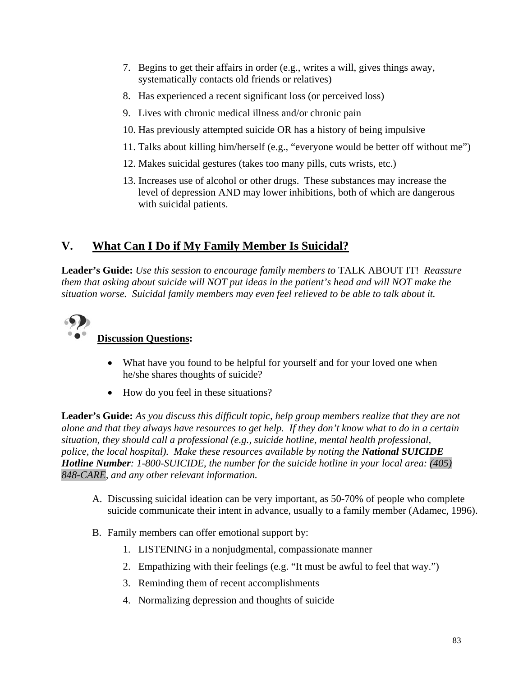- 7. Begins to get their affairs in order (e.g., writes a will, gives things away, systematically contacts old friends or relatives)
- 8. Has experienced a recent significant loss (or perceived loss)
- 9. Lives with chronic medical illness and/or chronic pain
- 10. Has previously attempted suicide OR has a history of being impulsive
- 11. Talks about killing him/herself (e.g., "everyone would be better off without me")
- 12. Makes suicidal gestures (takes too many pills, cuts wrists, etc.)
- 13. Increases use of alcohol or other drugs. These substances may increase the level of depression AND may lower inhibitions, both of which are dangerous with suicidal patients.

# **V. What Can I Do if My Family Member Is Suicidal?**

**Leader's Guide:** *Use this session to encourage family members to* TALK ABOUT IT! *Reassure them that asking about suicide will NOT put ideas in the patient's head and will NOT make the situation worse. Suicidal family members may even feel relieved to be able to talk about it.* 



## **Discussion Questions:**

- What have you found to be helpful for yourself and for your loved one when he/she shares thoughts of suicide?
- How do you feel in these situations?

**Leader's Guide:** *As you discuss this difficult topic, help group members realize that they are not alone and that they always have resources to get help. If they don't know what to do in a certain situation, they should call a professional (e.g., suicide hotline, mental health professional, police, the local hospital). Make these resources available by noting the National SUICIDE Hotline Number: 1-800-SUICIDE, the number for the suicide hotline in your local area: (405) 848-CARE, and any other relevant information.* 

- A. Discussing suicidal ideation can be very important, as 50-70% of people who complete suicide communicate their intent in advance, usually to a family member (Adamec, 1996).
- B. Family members can offer emotional support by:
	- 1. LISTENING in a nonjudgmental, compassionate manner
	- 2. Empathizing with their feelings (e.g. "It must be awful to feel that way.")
	- 3. Reminding them of recent accomplishments
	- 4. Normalizing depression and thoughts of suicide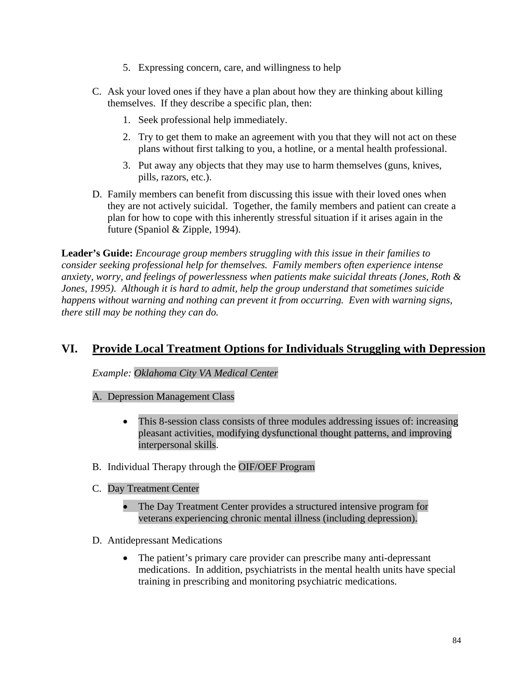- 5. Expressing concern, care, and willingness to help
- C. Ask your loved ones if they have a plan about how they are thinking about killing themselves. If they describe a specific plan, then:
	- 1. Seek professional help immediately.
	- 2. Try to get them to make an agreement with you that they will not act on these plans without first talking to you, a hotline, or a mental health professional.
	- 3. Put away any objects that they may use to harm themselves (guns, knives, pills, razors, etc.).
- D. Family members can benefit from discussing this issue with their loved ones when they are not actively suicidal. Together, the family members and patient can create a plan for how to cope with this inherently stressful situation if it arises again in the future (Spaniol & Zipple, 1994).

**Leader's Guide:** *Encourage group members struggling with this issue in their families to consider seeking professional help for themselves. Family members often experience intense anxiety, worry, and feelings of powerlessness when patients make suicidal threats (Jones, Roth & Jones, 1995). Although it is hard to admit, help the group understand that sometimes suicide happens without warning and nothing can prevent it from occurring. Even with warning signs, there still may be nothing they can do.*

## **VI. Provide Local Treatment Options for Individuals Struggling with Depression**

*Example: Oklahoma City VA Medical Center*

### A. Depression Management Class

- This 8-session class consists of three modules addressing issues of: increasing pleasant activities, modifying dysfunctional thought patterns, and improving interpersonal skills.
- B. Individual Therapy through the OIF/OEF Program
- C. Day Treatment Center
	- The Day Treatment Center provides a structured intensive program for veterans experiencing chronic mental illness (including depression).
- D. Antidepressant Medications
	- The patient's primary care provider can prescribe many anti-depressant medications. In addition, psychiatrists in the mental health units have special training in prescribing and monitoring psychiatric medications.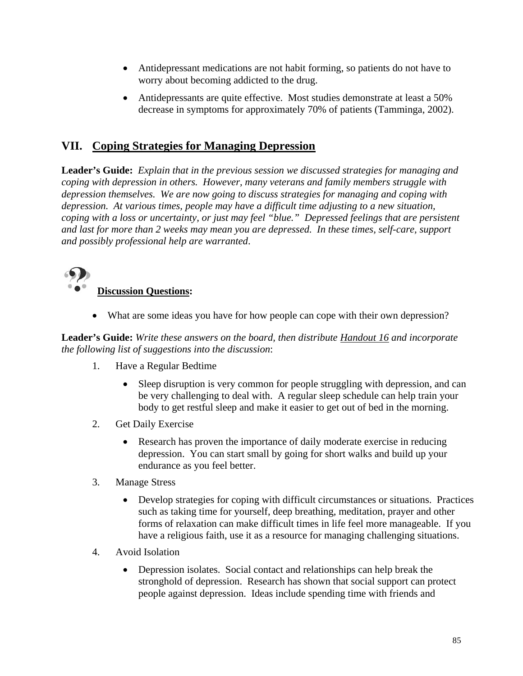- Antidepressant medications are not habit forming, so patients do not have to worry about becoming addicted to the drug.
- Antidepressants are quite effective. Most studies demonstrate at least a 50% decrease in symptoms for approximately 70% of patients (Tamminga, 2002).

# **VII. Coping Strategies for Managing Depression**

**Leader's Guide:** *Explain that in the previous session we discussed strategies for managing and coping with depression in others. However, many veterans and family members struggle with depression themselves. We are now going to discuss strategies for managing and coping with depression. At various times, people may have a difficult time adjusting to a new situation, coping with a loss or uncertainty, or just may feel "blue." Depressed feelings that are persistent and last for more than 2 weeks may mean you are depressed. In these times, self-care, support and possibly professional help are warranted*.



# **Discussion Questions:**

• What are some ideas you have for how people can cope with their own depression?

**Leader's Guide:** *Write these answers on the board, then distribute Handout 16 and incorporate the following list of suggestions into the discussion*:

- 1. Have a Regular Bedtime
	- Sleep disruption is very common for people struggling with depression, and can be very challenging to deal with. A regular sleep schedule can help train your body to get restful sleep and make it easier to get out of bed in the morning.
- 2. Get Daily Exercise
	- Research has proven the importance of daily moderate exercise in reducing depression. You can start small by going for short walks and build up your endurance as you feel better.
- 3. Manage Stress
	- Develop strategies for coping with difficult circumstances or situations. Practices such as taking time for yourself, deep breathing, meditation, prayer and other forms of relaxation can make difficult times in life feel more manageable. If you have a religious faith, use it as a resource for managing challenging situations.
- 4. Avoid Isolation
	- Depression isolates. Social contact and relationships can help break the stronghold of depression. Research has shown that social support can protect people against depression. Ideas include spending time with friends and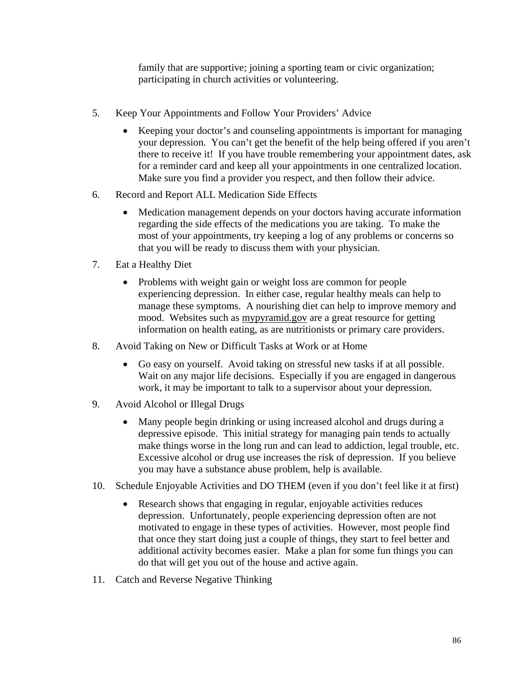family that are supportive; joining a sporting team or civic organization; participating in church activities or volunteering.

- 5. Keep Your Appointments and Follow Your Providers' Advice
	- Keeping your doctor's and counseling appointments is important for managing your depression. You can't get the benefit of the help being offered if you aren't there to receive it! If you have trouble remembering your appointment dates, ask for a reminder card and keep all your appointments in one centralized location. Make sure you find a provider you respect, and then follow their advice.
- 6. Record and Report ALL Medication Side Effects
	- Medication management depends on your doctors having accurate information regarding the side effects of the medications you are taking. To make the most of your appointments, try keeping a log of any problems or concerns so that you will be ready to discuss them with your physician.
- 7. Eat a Healthy Diet
	- Problems with weight gain or weight loss are common for people experiencing depression. In either case, regular healthy meals can help to manage these symptoms. A nourishing diet can help to improve memory and mood. Websites such as mypyramid.gov are a great resource for getting information on health eating, as are nutritionists or primary care providers.
- 8. Avoid Taking on New or Difficult Tasks at Work or at Home
	- Go easy on yourself. Avoid taking on stressful new tasks if at all possible. Wait on any major life decisions. Especially if you are engaged in dangerous work, it may be important to talk to a supervisor about your depression.
- 9. Avoid Alcohol or Illegal Drugs
	- Many people begin drinking or using increased alcohol and drugs during a depressive episode. This initial strategy for managing pain tends to actually make things worse in the long run and can lead to addiction, legal trouble, etc. Excessive alcohol or drug use increases the risk of depression. If you believe you may have a substance abuse problem, help is available.
- 10. Schedule Enjoyable Activities and DO THEM (even if you don't feel like it at first)
	- Research shows that engaging in regular, enjoyable activities reduces depression. Unfortunately, people experiencing depression often are not motivated to engage in these types of activities. However, most people find that once they start doing just a couple of things, they start to feel better and additional activity becomes easier. Make a plan for some fun things you can do that will get you out of the house and active again.
- 11. Catch and Reverse Negative Thinking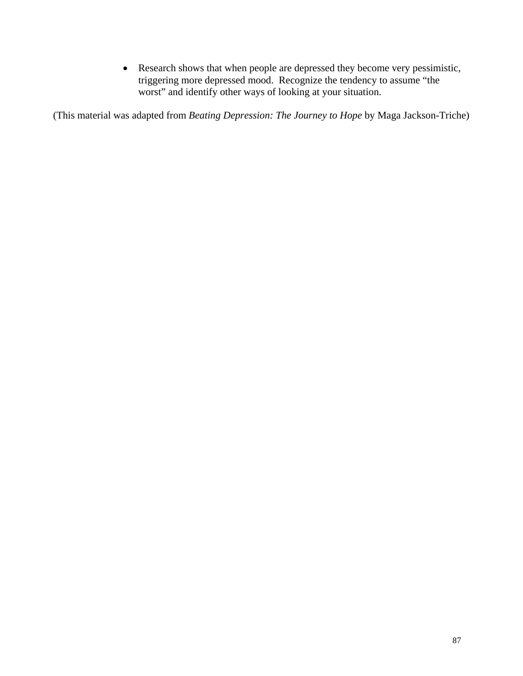• Research shows that when people are depressed they become very pessimistic, triggering more depressed mood. Recognize the tendency to assume "the worst" and identify other ways of looking at your situation.

(This material was adapted from *Beating Depression: The Journey to Hope* by Maga Jackson-Triche)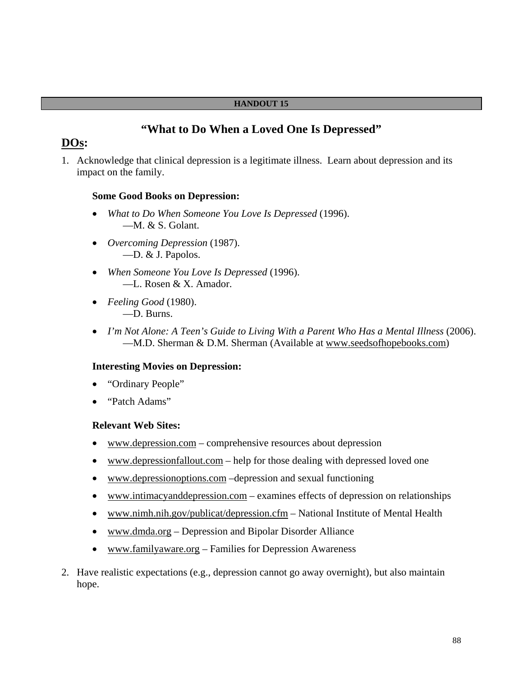#### **HANDOUT 15**

## **"What to Do When a Loved One Is Depressed"**

## **DOs:**

1. Acknowledge that clinical depression is a legitimate illness. Learn about depression and its impact on the family.

#### **Some Good Books on Depression:**

- *What to Do When Someone You Love Is Depressed* (1996). —M. & S. Golant.
- *Overcoming Depression* (1987). —D. & J. Papolos.
- *When Someone You Love Is Depressed* (1996). —L. Rosen & X. Amador.
- *Feeling Good* (1980). —D. Burns.
- *I'm Not Alone: A Teen's Guide to Living With a Parent Who Has a Mental Illness* (2006). —M.D. Sherman & D.M. Sherman (Available at www.seedsofhopebooks.com)

### **Interesting Movies on Depression:**

- "Ordinary People"
- "Patch Adams"

### **Relevant Web Sites:**

- www.depression.com comprehensive resources about depression
- www.depressionfallout.com help for those dealing with depressed loved one
- www.depressionoptions.com –depression and sexual functioning
- www.intimacyanddepression.com examines effects of depression on relationships
- www.nimh.nih.gov/publicat/depression.cfm National Institute of Mental Health
- www.dmda.org Depression and Bipolar Disorder Alliance
- www.familyaware.org Families for Depression Awareness
- 2. Have realistic expectations (e.g., depression cannot go away overnight), but also maintain hope.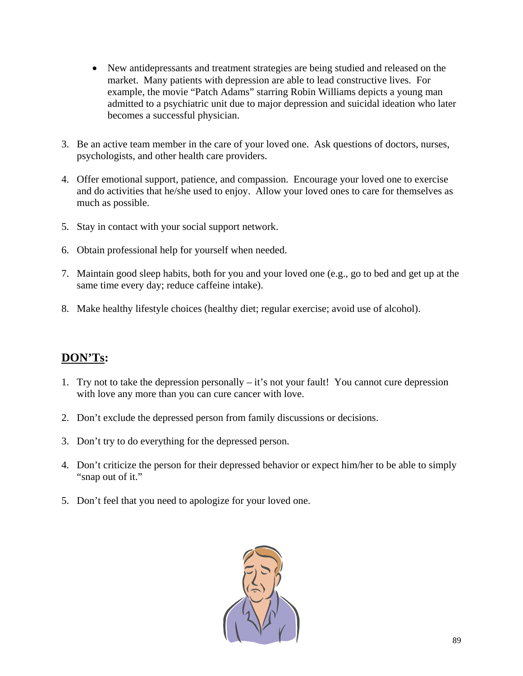- New antidepressants and treatment strategies are being studied and released on the market. Many patients with depression are able to lead constructive lives. For example, the movie "Patch Adams" starring Robin Williams depicts a young man admitted to a psychiatric unit due to major depression and suicidal ideation who later becomes a successful physician.
- 3. Be an active team member in the care of your loved one. Ask questions of doctors, nurses, psychologists, and other health care providers.
- 4. Offer emotional support, patience, and compassion. Encourage your loved one to exercise and do activities that he/she used to enjoy. Allow your loved ones to care for themselves as much as possible.
- 5. Stay in contact with your social support network.
- 6. Obtain professional help for yourself when needed.
- 7. Maintain good sleep habits, both for you and your loved one (e.g., go to bed and get up at the same time every day; reduce caffeine intake).
- 8. Make healthy lifestyle choices (healthy diet; regular exercise; avoid use of alcohol).

# **DON'Ts:**

- 1. Try not to take the depression personally it's not your fault! You cannot cure depression with love any more than you can cure cancer with love.
- 2. Don't exclude the depressed person from family discussions or decisions.
- 3. Don't try to do everything for the depressed person.
- 4. Don't criticize the person for their depressed behavior or expect him/her to be able to simply "snap out of it."
- 5. Don't feel that you need to apologize for your loved one.

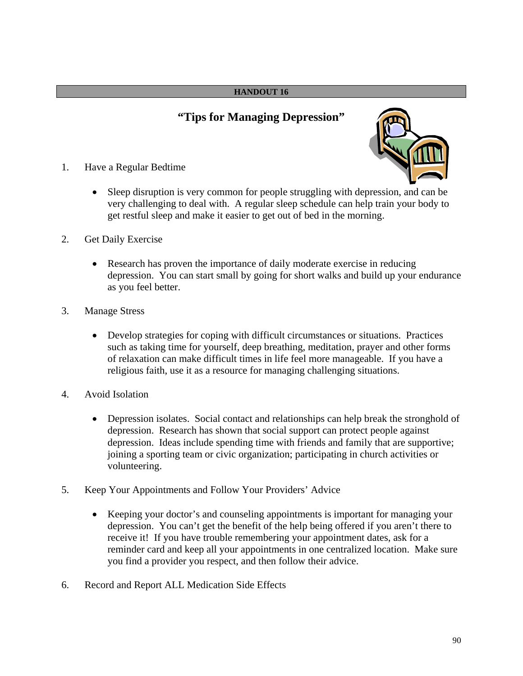### **HANDOUT 16**

# **"Tips for Managing Depression"**



- 1. Have a Regular Bedtime
	- Sleep disruption is very common for people struggling with depression, and can be very challenging to deal with. A regular sleep schedule can help train your body to get restful sleep and make it easier to get out of bed in the morning.
- 2. Get Daily Exercise
	- Research has proven the importance of daily moderate exercise in reducing depression. You can start small by going for short walks and build up your endurance as you feel better.
- 3. Manage Stress
	- Develop strategies for coping with difficult circumstances or situations. Practices such as taking time for yourself, deep breathing, meditation, prayer and other forms of relaxation can make difficult times in life feel more manageable. If you have a religious faith, use it as a resource for managing challenging situations.
- 4. Avoid Isolation
	- Depression isolates. Social contact and relationships can help break the stronghold of depression. Research has shown that social support can protect people against depression. Ideas include spending time with friends and family that are supportive; joining a sporting team or civic organization; participating in church activities or volunteering.
- 5. Keep Your Appointments and Follow Your Providers' Advice
	- Keeping your doctor's and counseling appointments is important for managing your depression. You can't get the benefit of the help being offered if you aren't there to receive it! If you have trouble remembering your appointment dates, ask for a reminder card and keep all your appointments in one centralized location. Make sure you find a provider you respect, and then follow their advice.
- 6. Record and Report ALL Medication Side Effects